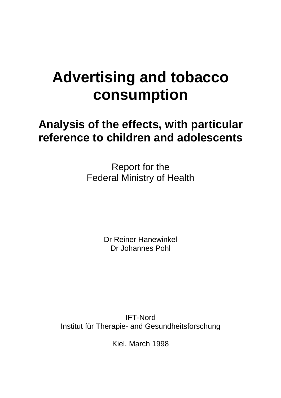# **Advertising and tobacco consumption**

# **Analysis of the effects, with particular reference to children and adolescents**

Report for the Federal Ministry of Health

> Dr Reiner Hanewinkel Dr Johannes Pohl

IFT-Nord Institut für Therapie- and Gesundheitsforschung

Kiel, March 1998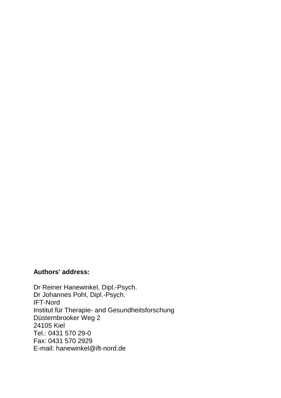# **Authors' address:**

Dr Reiner Hanewinkel, Dipl.-Psych. Dr Johannes Pohl, Dipl.-Psych. IFT-Nord Institut für Therapie- and Gesundheitsforschung Düsternbrooker Weg 2 24105 Kiel Tel.: 0431 570 29-0 Fax: 0431 570 2929 E-mail: hanewinkel@ift-nord.de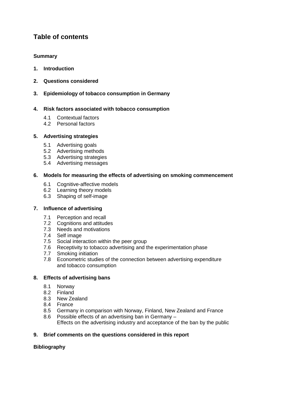# **Table of contents**

#### **Summary**

- **1. Introduction**
- **2. Questions considered**
- **3. Epidemiology of tobacco consumption in Germany**

#### **4. Risk factors associated with tobacco consumption**

- 4.1 Contextual factors
- 4.2 Personal factors

#### **5. Advertising strategies**

- 5.1 Advertising goals
- 5.2 Advertising methods
- 5.3 Advertising strategies
- 5.4 Advertising messages

#### **6. Models for measuring the effects of advertising on smoking commencement**

- 6.1 Cognitive-affective models
- 6.2 Learning theory models
- 6.3 Shaping of self-image

#### **7. Influence of advertising**

- 7.1 Perception and recall
- 7.2 Cognitions and attitudes
- 7.3 Needs and motivations
- 7.4 Self image
- 7.5 Social interaction within the peer group
- 7.6 Receptivity to tobacco advertising and the experimentation phase
- 7.7 Smoking initiation
- 7.8 Econometric studies of the connection between advertising expenditure and tobacco consumption

#### **8. Effects of advertising bans**

- 8.1 Norway
- 8.2 Finland
- 8.3 New Zealand
- 8.4 France
- 8.5 Germany in comparison with Norway, Finland, New Zealand and France 8.6 Possible effects of an advertising ban in Germany –
	- Effects on the advertising industry and acceptance of the ban by the public

#### **9. Brief comments on the questions considered in this report**

#### **Bibliography**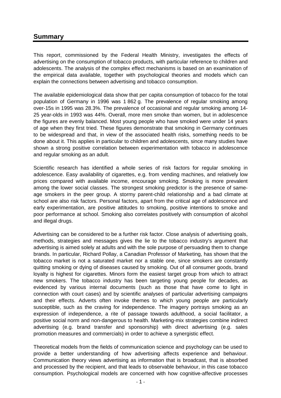## **Summary**

This report, commissioned by the Federal Health Ministry, investigates the effects of advertising on the consumption of tobacco products, with particular reference to children and adolescents. The analysis of the complex effect mechanisms is based on an examination of the empirical data available, together with psychological theories and models which can explain the connections between advertising and tobacco consumption.

The available epidemiological data show that per capita consumption of tobacco for the total population of Germany in 1996 was 1 862 g. The prevalence of regular smoking among over-15s in 1995 was 28.3%. The prevalence of occasional and regular smoking among 14- 25 year-olds in 1993 was 44%. Overall, more men smoke than women, but in adolescence the figures are evenly balanced. Most young people who have smoked were under 14 years of age when they first tried. These figures demonstrate that smoking in Germany continues to be widespread and that, in view of the associated health risks, something needs to be done about it. This applies in particular to children and adolescents, since many studies have shown a strong positive correlation between experimentation with tobacco in adolescence and regular smoking as an adult.

Scientific research has identified a whole series of risk factors for regular smoking in adolescence. Easy availability of cigarettes, e.g. from vending machines, and relatively low prices compared with available income, encourage smoking. Smoking is more prevalent among the lower social classes. The strongest smoking predictor is the presence of sameage smokers in the peer group. A stormy parent-child relationship and a bad climate at school are also risk factors. Personal factors, apart from the critical age of adolescence and early experimentation, are positive attitudes to smoking, positive intentions to smoke and poor performance at school. Smoking also correlates positively with consumption of alcohol and illegal drugs.

Advertising can be considered to be a further risk factor. Close analysis of advertising goals, methods, strategies and messages gives the lie to the tobacco industry's argument that advertising is aimed solely at adults and with the sole purpose of persuading them to change brands. In particular, Richard Pollay, a Canadian Professor of Marketing, has shown that the tobacco market is not a saturated market nor a stable one, since smokers are constantly quitting smoking or dying of diseases caused by smoking. Out of all consumer goods, brand loyalty is highest for cigarettes. Minors form the easiest target group from which to attract new smokers. The tobacco industry has been targeting young people for decades, as evidenced by various internal documents (such as those that have come to light in connection with court cases) and by scientific analyses of particular advertising campaigns and their effects. Adverts often invoke themes to which young people are particularly susceptible, such as the craving for independence. The imagery portrays smoking as an expression of independence, a rite of passage towards adulthood, a social facilitator, a positive social norm and non-dangerous to health. Marketing-mix strategies combine indirect advertising (e.g. brand transfer and sponsorship) with direct advertising (e.g. sales promotion measures and commercials) in order to achieve a synergistic effect.

Theoretical models from the fields of communication science and psychology can be used to provide a better understanding of how advertising affects experience and behaviour. Communication theory views advertising as information that is broadcast, that is absorbed and processed by the recipient, and that leads to observable behaviour, in this case tobacco consumption. Psychological models are concerned with how cognitive-affective processes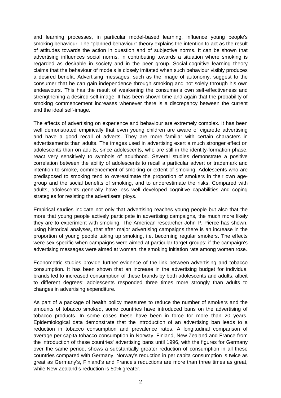and learning processes, in particular model-based learning, influence young people's smoking behaviour. The "planned behaviour" theory explains the intention to act as the result of attitudes towards the action in question and of subjective norms. It can be shown that advertising influences social norms, in contributing towards a situation where smoking is regarded as desirable in society and in the peer group. Social-cognitive learning theory claims that the behaviour of models is closely imitated when such behaviour visibly produces a desired benefit. Advertising messages, such as the image of autonomy, suggest to the consumer that he can gain independence through smoking and not solely through his own endeavours. This has the result of weakening the consumer's own self-effectiveness and strengthening a desired self-image. It has been shown time and again that the probability of smoking commencement increases whenever there is a discrepancy between the current and the ideal self-image.

The effects of advertising on experience and behaviour are extremely complex. It has been well demonstrated empirically that even young children are aware of cigarette advertising and have a good recall of adverts. They are more familiar with certain characters in advertisements than adults. The images used in advertising exert a much stronger effect on adolescents than on adults, since adolescents, who are still in the identity-formation phase, react very sensitively to symbols of adulthood. Several studies demonstrate a positive correlation between the ability of adolescents to recall a particular advert or trademark and intention to smoke, commencement of smoking or extent of smoking. Adolescents who are predisposed to smoking tend to overestimate the proportion of smokers in their own agegroup and the social benefits of smoking, and to underestimate the risks. Compared with adults, adolescents generally have less well developed cognitive capabilities and coping strategies for resisting the advertisers' ploys.

Empirical studies indicate not only that advertising reaches young people but also that the more that young people actively participate in advertising campaigns, the much more likely they are to experiment with smoking. The American researcher John P. Pierce has shown, using historical analyses, that after major advertising campaigns there is an increase in the proportion of young people taking up smoking, i.e. becoming regular smokers. The effects were sex-specific when campaigns were aimed at particular target groups: if the campaign's advertising messages were aimed at women, the smoking initiation rate among women rose.

Econometric studies provide further evidence of the link between advertising and tobacco consumption. It has been shown that an increase in the advertising budget for individual brands led to increased consumption of these brands by both adolescents and adults, albeit to different degrees: adolescents responded three times more strongly than adults to changes in advertising expenditure.

As part of a package of health policy measures to reduce the number of smokers and the amounts of tobacco smoked, some countries have introduced bans on the advertising of tobacco products. In some cases these have been in force for more than 20 years. Epidemiological data demonstrate that the introduction of an advertising ban leads to a reduction in tobacco consumption and prevalence rates. A longitudinal comparison of average per capita tobacco consumption in Norway, Finland, New Zealand and France from the introduction of these countries' advertising bans until 1996, with the figures for Germany over the same period, shows a substantially greater reduction of consumption in all these countries compared with Germany. Norway's reduction in per capita consumption is twice as great as Germany's, Finland's and France's reductions are more than three times as great, while New Zealand's reduction is 50% greater.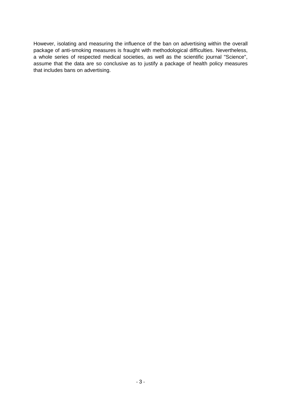However, isolating and measuring the influence of the ban on advertising within the overall package of anti-smoking measures is fraught with methodological difficulties. Nevertheless, a whole series of respected medical societies, as well as the scientific journal "Science", assume that the data are so conclusive as to justify a package of health policy measures that includes bans on advertising.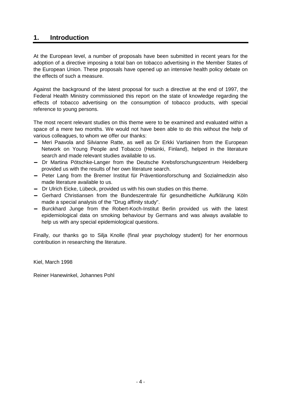## **1. Introduction**

At the European level, a number of proposals have been submitted in recent years for the adoption of a directive imposing a total ban on tobacco advertising in the Member States of the European Union. These proposals have opened up an intensive health policy debate on the effects of such a measure.

Against the background of the latest proposal for such a directive at the end of 1997, the Federal Health Ministry commissioned this report on the state of knowledge regarding the effects of tobacco advertising on the consumption of tobacco products, with special reference to young persons.

The most recent relevant studies on this theme were to be examined and evaluated within a space of a mere two months. We would not have been able to do this without the help of various colleagues, to whom we offer our thanks:

- − Meri Paavola and Silvianne Ratte, as well as Dr Erkki Vartiainen from the European Network on Young People and Tobacco (Helsinki, Finland), helped in the literature search and made relevant studies available to us.
- − Dr Martina Pötschke-Langer from the Deutsche Krebsforschungszentrum Heidelberg provided us with the results of her own literature search.
- − Peter Lang from the Bremer Institut für Präventionsforschung and Sozialmedizin also made literature available to us.
- − Dr Ulrich Eicke, Lübeck, provided us with his own studies on this theme.
- − Gerhard Christiansen from the Bundeszentrale für gesundheitliche Aufklärung Köln made a special analysis of the "Drug affinity study".
- − Burckhard Junge from the Robert-Koch-Institut Berlin provided us with the latest epidemiological data on smoking behaviour by Germans and was always available to help us with any special epidemiological questions.

Finally, our thanks go to Silja Knolle (final year psychology student) for her enormous contribution in researching the literature.

Kiel, March 1998

Reiner Hanewinkel, Johannes Pohl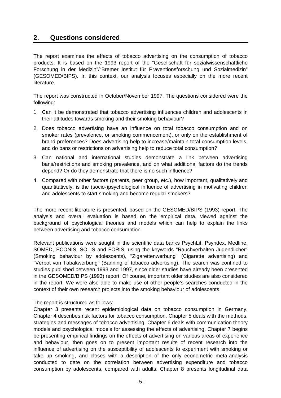# **2. Questions considered**

The report examines the effects of tobacco advertising on the consumption of tobacco products. It is based on the 1993 report of the "Gesellschaft für sozialwissenschaftliche Forschung in der Medizin"/"Bremer Institut für Präventionsforschung und Sozialmedizin" (GESOMED/BIPS). In this context, our analysis focuses especially on the more recent literature.

The report was constructed in October/November 1997. The questions considered were the following:

- 1. Can it be demonstrated that tobacco advertising influences children and adolescents in their attitudes towards smoking and their smoking behaviour?
- 2. Does tobacco advertising have an influence on total tobacco consumption and on smoker rates (prevalence, or smoking commencement), or only on the establishment of brand preferences? Does advertising help to increase/maintain total consumption levels, and do bans or restrictions on advertising help to reduce total consumption?
- 3. Can national and international studies demonstrate a link between advertising bans/restrictions and smoking prevalence, and on what additional factors do the trends depend? Or do they demonstrate that there is no such influence?
- 4. Compared with other factors (parents, peer group, etc.), how important, qualitatively and quantitatively, is the (socio-)psychological influence of advertising in motivating children and adolescents to start smoking and become regular smokers?

The more recent literature is presented, based on the GESOMED/BIPS (1993) report. The analysis and overall evaluation is based on the empirical data, viewed against the background of psychological theories and models which can help to explain the links between advertising and tobacco consumption.

Relevant publications were sought in the scientific data banks PsychLit, Psyndex, Medline, SOMED, ECONIS, SOLIS and FORIS, using the keywords "Rauchverhalten Jugendlicher" (Smoking behaviour by adolescents), "Zigarettenwerbung" (Cigarette advertising) and "Verbot von Tabakwerbung" (Banning of tobacco advertising). The search was confined to studies published between 1993 and 1997, since older studies have already been presented in the GESOMED/BIPS (1993) report. Of course, important older studies are also considered in the report. We were also able to make use of other people's searches conducted in the context of their own research projects into the smoking behaviour of adolescents.

#### The report is structured as follows:

Chapter 3 presents recent epidemiological data on tobacco consumption in Germany. Chapter 4 describes risk factors for tobacco consumption. Chapter 5 deals with the methods, strategies and messages of tobacco advertising. Chapter 6 deals with communication theory models and psychological models for assessing the effects of advertising. Chapter 7 begins be presenting empirical findings on the effects of advertising on various areas of experience and behaviour, then goes on to present important results of recent research into the influence of advertising on the susceptibility of adolescents to experiment with smoking or take up smoking, and closes with a description of the only econometric meta-analysis conducted to date on the correlation between advertising expenditure and tobacco consumption by adolescents, compared with adults. Chapter 8 presents longitudinal data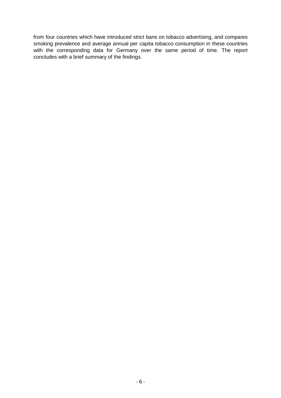from four countries which have introduced strict bans on tobacco advertising, and compares smoking prevalence and average annual per capita tobacco consumption in these countries with the corresponding data for Germany over the same period of time. The report concludes with a brief summary of the findings.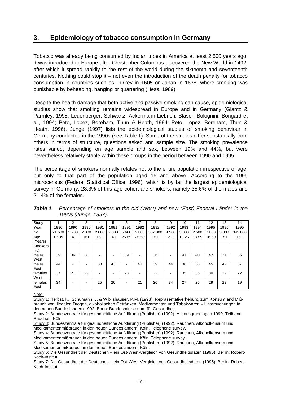# **3. Epidemiology of tobacco consumption in Germany**

Tobacco was already being consumed by Indian tribes in America at least 2 500 years ago. It was introduced to Europe after Christopher Columbus discovered the New World in 1492, after which it spread rapidly to the rest of the world during the sixteenth and seventeenth centuries. Nothing could stop it – not even the introduction of the death penalty for tobacco consumption in countries such as Turkey in 1605 or Japan in 1638, where smoking was punishable by beheading, hanging or quartering (Hess, 1989).

Despite the health damage that both active and passive smoking can cause, epidemiological studies show that smoking remains widespread in Europe and in Germany (Glantz & Parmley, 1995; Leuenberger, Schwartz, Ackermann-Liebrich, Blaser, Bolognini, Bongard et al., 1994; Peto, Lopez, Boreham, Thun & Heath, 1994; Peto, Lopez, Boreham, Thun & Heath, 1996). Junge (1997) lists the epidemiological studies of smoking behaviour in Germany conducted in the 1990s (see Table 1). Some of the studies differ substantially from others in terms of structure, questions asked and sample size. The smoking prevalence rates varied, depending on age sample and sex, between 19% and 44%, but were nevertheless relatively stable within these groups in the period between 1990 and 1995.

The percentage of smokers normally relates not to the entire population irrespective of age, but only to that part of the population aged 15 and above. According to the 1995 microcensus (Federal Statistical Office, 1996), which is by far the largest epidemiological survey in Germany, 28.3% of this age cohort are smokers, namely 35.6% of the males and 21.4% of the females.

| Study           |        | 2      | 3     | 4     | 5     | 6     | ⇁         | 8       | 9     | 10        | 11    | 12    | 13     | 14      |
|-----------------|--------|--------|-------|-------|-------|-------|-----------|---------|-------|-----------|-------|-------|--------|---------|
| Year            | 1990   | 1990   | 1990  | 1991  | 1991  | 1991  | 1992      | 1992    | 1992  | 1993      | 1994  | 1995  | 1995   | 1995    |
| No.             | 21.600 | 2.200  | 2.000 | 2.000 | 2.000 | 5.600 | 2.800     | 337.000 | 4.500 | 3.000     | 2.500 | .800  | 3.300  | 342.000 |
| Age<br>(Years)  | 12-39  | $14 +$ | 16+   | $16+$ | $16+$ | 25-69 | $25 - 69$ | $15 +$  | 12-39 | $12 - 25$ | 18-59 | 18-59 | $15 +$ | $15+$   |
| Smokers<br>(%)  |        |        |       |       |       |       |           |         |       |           |       |       |        |         |
| males<br>West   | 39     | 36     | 38    |       |       | 39    |           | 36      |       | 41        | 40    | 42    | 37     | 35      |
| males<br>East   | 44     |        |       | 38    | 43    | -     | 40        | 39      | 44    | 38        | 38    | 45    | 42     | 37      |
| females<br>West | 37     | 21     | 22    |       |       | 28    |           | 22      |       | 35        | 35    | 30    | 22     | 22      |
| females<br>East | 34     |        |       | 25    | 26    | $\,$  | 21        | 20      | 34    | 27        | 25    | 29    | 23     | 19      |

*Table 1. Percentage of smokers in the old (West) and new (East) Federal Länder in the 1990s (Junge, 1997).* 

Note:

Study 1: Herbst, K., Schumann, J. & Wiblishauser, P.M. (1993). Repräsentativerhebung zum Konsum and Mißbrauch von illegalen Drogen, alkoholischen Getränken, Medikamenten und Tabakwaren – Untersuchungen in den neuen Bundesländern 1992. Bonn: Bundesministerium für Gesundheit.

Study 2: Bundeszentrale für gesundheitliche Aufklärung (Publisher) (1992). Aktionsgrundlagen 1990. Teilband Rauchen. Köln.

Study 3: Bundeszentrale für gesundheitliche Aufklärung (Publisher) (1992). Rauchen, Alkoholkonsum und Medikamentenmißbrauch in den neuen Bundesländern. Köln. Telephone survey.

Study 4: Bundeszentrale für gesundheitliche Aufklärung (Publisher) (1992). Rauchen, Alkoholkonsum und Medikamentenmißbrauch in den neuen Bundesländern. Köln. Telephone survey.

Study 5: Bundeszentrale für gesundheitliche Aufklärung (Publisher) (1992). Rauchen, Alkoholkonsum und Medikamentenmißbrauch in den neuen Bundesländern. Köln.

Study 6: Die Gesundheit der Deutschen – ein Ost-West-Vergleich von Gesundheitsdaten (1995). Berlin: Robert-Koch-Institut.

Study 7: Die Gesundheit der Deutschen – ein Ost-West-Vergleich von Gesundheitsdaten (1995). Berlin: Robert-Koch-Institut.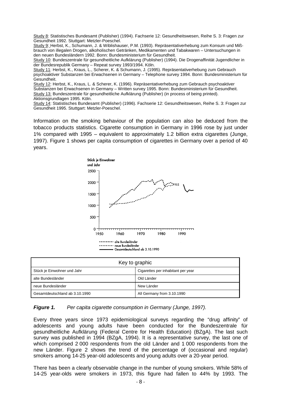Study 8: Statistisches Bundesamt (Publisher) (1994). Fachserie 12: Gesundheitswesen, Reihe S. 3: Fragen zur Gesundheit 1992. Stuttgart: Metzler-Poeschel.

Study 9: Herbst, K., Schumann, J. & Wiblishauser, P.M. (1993). Repräsentativerhebung zum Konsum und Mißbrauch von illegalen Drogen, alkoholischen Getränken, Medikamenten und Tabakwaren – Untersuchungen in den neuen Bundesländern 1992. Bonn: Bundesministerium für Gesundheit.

Study 10: Bundeszentrale für gesundheitliche Aufklärung (Publisher) (1994). Die Drogenaffinität Jugendlicher in der Bundesrepublik Germany – Repeat survey 1993/1994. Köln.

Study 11: Herbst, K., Kraus, L., Scherer, K. & Schumann, J. (1995). Repräsentativerhebung zum Gebrauch psychoaktiver Substanzen bei Erwachsenen in Germany – Telephone survey 1994. Bonn: Bundesministerium für Gesundheit.

Study 12: Herbst, K., Kraus, L. & Scherer, K. (1996). Repräsentativerhebung zum Gebrauch psychoaktiver Substanzen bei Erwachsenen in Germany – Written survey 1995. Bonn: Bundesministerium für Gesundheit. Study 13: Bundeszentrale für gesundheitliche Aufklärung (Publisher) (in process of being printed). Aktionsgrundlagen 1995. Köln.

Study 14: Statistisches Bundesamt (Publisher) (1996). Fachserie 12: Gesundheitswesen, Reihe S. 3: Fragen zur Gesundheit 1995. Stuttgart: Metzler-Poeschel.

Information on the smoking behaviour of the population can also be deduced from the tobacco products statistics. Cigarette consumption in Germany in 1996 rose by just under 1% compared with 1995 – equivalent to approximately 1.2 billion extra cigarettes (Junge, 1997). Figure 1 shows per capita consumption of cigarettes in Germany over a period of 40 years.



| Key to graphic                 |                                    |  |  |  |
|--------------------------------|------------------------------------|--|--|--|
| Stück je Einwohner und Jahr    | Cigarettes per inhabitant per year |  |  |  |
| alte Bundesländer              | Old Länder                         |  |  |  |
| neue Bundesländer              | New Länder                         |  |  |  |
| Gesamtdeutschland ab 3.10.1990 | All Germany from 3.10.1990         |  |  |  |

*Figure 1. Per capita cigarette consumption in Germany (Junge, 1997).* 

Every three years since 1973 epidemiological surveys regarding the "drug affinity" of adolescents and young adults have been conducted for the Bundeszentrale für gesundheitliche Aufklärung (Federal Centre for Health Education) (BZgA). The last such survey was published in 1994 (BZgA, 1994). It is a representative survey, the last one of which comprised 2 000 respondents from the old Länder and 1 000 respondents from the new Länder. Figure 2 shows the trend of the percentage of (occasional and regular) smokers among 14-25 year-old adolescents and young adults over a 20-year period.

There has been a clearly observable change in the number of young smokers. While 58% of 14-25 year-olds were smokers in 1973, this figure had fallen to 44% by 1993. The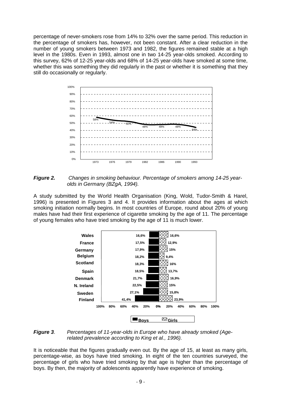percentage of never-smokers rose from 14% to 32% over the same period. This reduction in the percentage of smokers has, however, not been constant. After a clear reduction in the number of young smokers between 1973 and 1982, the figures remained stable at a high level in the 1980s. Even in 1993, almost one in two 14-25 year-olds smoked. According to this survey, 62% of 12-25 year-olds and 68% of 14-25 year-olds have smoked at some time, whether this was something they did regularly in the past or whether it is something that they still do occasionally or regularly.



*Figure 2. Changes in smoking behaviour. Percentage of smokers among 14-25 yearolds in Germany (BZgA, 1994).* 

A study submitted by the World Health Organisation (King, Wold, Tudor-Smith & Harel, 1996) is presented in Figures 3 and 4. It provides information about the ages at which smoking initiation normally begins. In most countries of Europe, round about 20% of young males have had their first experience of cigarette smoking by the age of 11. The percentage of young females who have tried smoking by the age of 11 is much lower.



#### *Figure 3*. *Percentages of 11-year-olds in Europe who have already smoked (Agerelated prevalence according to King et al., 1996).*

It is noticeable that the figures gradually even out. By the age of 15, at least as many girls, percentage-wise, as boys have tried smoking. In eight of the ten countries surveyed, the percentage of girls who have tried smoking by that age is higher than the percentage of boys. By then, the majority of adolescents apparently have experience of smoking.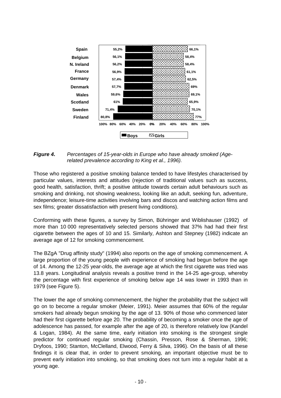

*Figure 4***.** *Percentages of 15-year-olds in Europe who have already smoked (Agerelated prevalence according to King et al., 1996).* 

Those who registered a positive smoking balance tended to have lifestyles characterised by particular values, interests and attitudes (rejection of traditional values such as success, good health, satisfaction, thrift; a positive attitude towards certain adult behaviours such as smoking and drinking, not showing weakness, looking like an adult, seeking fun, adventure, independence; leisure-time activities involving bars and discos and watching action films and sex films; greater dissatisfaction with present living conditions).

Conforming with these figures, a survey by Simon, Bühringer and Wiblishauser (1992) of more than 10 000 representatively selected persons showed that 37% had had their first cigarette between the ages of 10 and 15. Similarly, Ashton and Stepney (1982) indicate an average age of 12 for smoking commencement.

The BZgA "Drug affinity study" (1994) also reports on the age of smoking commencement. A large proportion of the young people with experience of smoking had begun before the age of 14. Among the 12-25 year-olds, the average age at which the first cigarette was tried was 13.8 years. Longitudinal analysis reveals a positive trend in the 14-25 age-group, whereby the percentage with first experience of smoking below age 14 was lower in 1993 than in 1979 (see Figure 5).

The lower the age of smoking commencement, the higher the probability that the subject will go on to become a regular smoker (Meier, 1991). Meier assumes that 60% of the regular smokers had already begun smoking by the age of 13. 90% of those who commenced later had their first cigarette before age 20. The probability of becoming a smoker once the age of adolescence has passed, for example after the age of 20, is therefore relatively low (Kandel & Logan, 1984). At the same time, early initiation into smoking is the strongest single predictor for continued regular smoking (Chassin, Presson, Rose & Sherman, 1996; Dryfoos, 1990; Stanton, McClelland, Elwood, Ferry & Silva, 1996). On the basis of all these findings it is clear that, in order to prevent smoking, an important objective must be to prevent early initiation into smoking, so that smoking does not turn into a regular habit at a young age.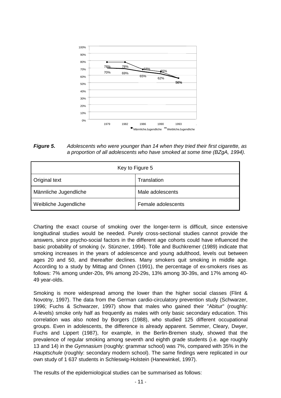

*Figure 5***.** *Adolescents who were younger than 14 when they tried their first cigarette, as a proportion of all adolescents who have smoked at some time (BZgA, 1994).* 

| Key to Figure 5       |                    |  |  |
|-----------------------|--------------------|--|--|
| <b>Original text</b>  | Translation        |  |  |
| Männliche Jugendliche | Male adolescents   |  |  |
| Weibliche Jugendliche | Female adolescents |  |  |

Charting the exact course of smoking over the longer-term is difficult, since extensive longitudinal studies would be needed. Purely cross-sectional studies cannot provide the answers, since psycho-social factors in the different age cohorts could have influenced the basic probability of smoking (v. Stünzner, 1994). Tölle and Buchkremer (1989) indicate that smoking increases in the years of adolescence and young adulthood, levels out between ages 20 and 50, and thereafter declines. Many smokers quit smoking in middle age. According to a study by Mittag and Onnen (1991), the percentage of ex-smokers rises as follows: 7% among under-20s, 9% among 20-29s, 13% among 30-39s, and 17% among 40- 49 year-olds.

Smoking is more widespread among the lower than the higher social classes (Flint & Novotny, 1997). The data from the German cardio-circulatory prevention study (Schwarzer, 1996; Fuchs & Schwarzer, 1997) show that males who gained their "Abitur" (roughly: A-levels) smoke only half as frequently as males with only basic secondary education. This correlation was also noted by Borgers (1988), who studied 125 different occupational groups. Even in adolescents, the difference is already apparent. Semmer, Cleary, Dwyer, Fuchs and Lippert (1987), for example, in the Berlin-Bremen study, showed that the prevalence of regular smoking among seventh and eighth grade students (i.e. age roughly 13 and 14) in the *Gymnasium* (roughly: grammar school) was 7%, compared with 35% in the *Hauptschule* (roughly: secondary modern school). The same findings were replicated in our own study of 1 637 students in Schleswig-Holstein (Hanewinkel, 1997).

The results of the epidemiological studies can be summarised as follows: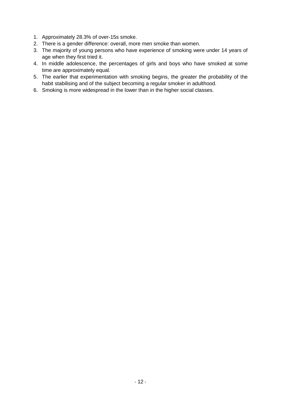- 1. Approximately 28.3% of over-15s smoke.
- 2. There is a gender difference: overall, more men smoke than women.
- 3. The majority of young persons who have experience of smoking were under 14 years of age when they first tried it.
- 4. In middle adolescence, the percentages of girls and boys who have smoked at some time are approximately equal.
- 5. The earlier that experimentation with smoking begins, the greater the probability of the habit stabilising and of the subject becoming a regular smoker in adulthood.
- 6. Smoking is more widespread in the lower than in the higher social classes.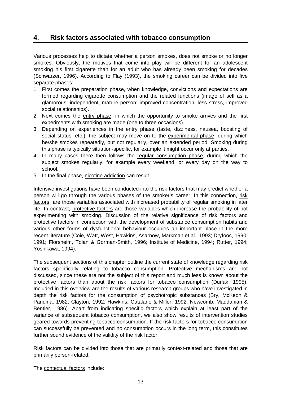# **4. Risk factors associated with tobacco consumption**

Various processes help to dictate whether a person smokes, does not smoke or no longer smokes. Obviously, the motives that come into play will be different for an adolescent smoking his first cigarette than for an adult who has already been smoking for decades (Schwarzer, 1996). According to Flay (1993), the smoking career can be divided into five separate phases:

- 1. First comes the preparation phase, when knowledge, convictions and expectations are formed regarding cigarette consumption and the related functions (image of self as a glamorous, independent, mature person; improved concentration, less stress, improved social relationships).
- 2. Next comes the entry phase, in which the opportunity to smoke arrives and the first experiments with smoking are made (one to three occasions).
- 3. Depending on experiences in the entry phase (taste, dizziness, nausea, boosting of social status, etc.), the subject may move on to the experimental phase, during which he/she smokes repeatedly, but not regularly, over an extended period. Smoking during this phase is typically situation-specific, for example it might occur only at parties.
- 4. In many cases there then follows the regular consumption phase, during which the subject smokes regularly, for example every weekend, or every day on the way to school.
- 5. In the final phase, nicotine addiction can result.

Intensive investigations have been conducted into the risk factors that may predict whether a person will go through the various phases of the smoker's career. In this connection, risk factors are those variables associated with increased probability of regular smoking in later life. In contrast, protective factors are those variables which increase the probability of not experimenting with smoking. Discussion of the relative significance of risk factors and protective factors in connection with the development of substance consumption habits and various other forms of dysfunctional behaviour occupies an important place in the more recent literature (Coie, Watt, West, Hawkins, Asarnow, Markman et al., 1993; Dryfoos, 1990, 1991; Florsheim, Tolan & Gorman-Smith, 1996; Institute of Medicine, 1994; Rutter, 1994; Yoshikawa, 1994).

The subsequent sections of this chapter outline the current state of knowledge regarding risk factors specifically relating to tobacco consumption. Protective mechanisms are not discussed, since these are not the subject of this report and much less is known about the protective factors than about the risk factors for tobacco consumption (Durlak, 1995). Included in this overview are the results of various research groups who have investigated in depth the risk factors for the consumption of psychotropic substances (Bry, McKeon & Pandina, 1982; Clayton, 1992; Hawkins, Catalano & Miller, 1992; Newcomb, Maddahian & Bentler, 1986). Apart from indicating specific factors which explain at least part of the variance of subsequent tobacco consumption, we also show results of intervention studies geared towards preventing tobacco consumption. If the risk factors for tobacco consumption can successfully be prevented and no consumption occurs in the long term, this constitutes further sound evidence of the validity of the risk factor.

Risk factors can be divided into those that are primarily context-related and those that are primarily person-related.

The contextual factors include: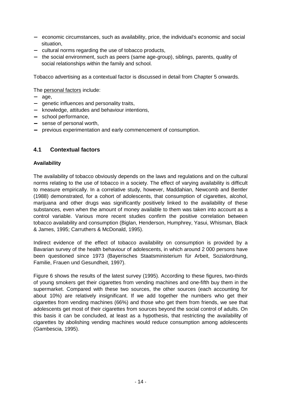- − economic circumstances, such as availability, price, the individual's economic and social situation,
- − cultural norms regarding the use of tobacco products,
- − the social environment, such as peers (same age-group), siblings, parents, quality of social relationships within the family and school.

Tobacco advertising as a contextual factor is discussed in detail from Chapter 5 onwards.

The personal factors include:

- − age,
- − genetic influences and personality traits,
- − knowledge, attitudes and behaviour intentions,
- − school performance,
- − sense of personal worth,
- − previous experimentation and early commencement of consumption.

#### **4.1 Contextual factors**

#### **Availability**

The availability of tobacco obviously depends on the laws and regulations and on the cultural norms relating to the use of tobacco in a society. The effect of varying availability is difficult to measure empirically. In a correlative study, however, Maddahian, Newcomb and Bentler (1988) demonstrated, for a cohort of adolescents, that consumption of cigarettes, alcohol, marijuana and other drugs was significantly positively linked to the availability of these substances, even when the amount of money available to them was taken into account as a control variable. Various more recent studies confirm the positive correlation between tobacco availability and consumption (Biglan, Henderson, Humphrey, Yasui, Whisman, Black & James, 1995; Carruthers & McDonald, 1995).

Indirect evidence of the effect of tobacco availability on consumption is provided by a Bavarian survey of the health behaviour of adolescents, in which around 2 000 persons have been questioned since 1973 (Bayerisches Staatsministerium für Arbeit, Sozialordnung, Familie, Frauen und Gesundheit, 1997).

Figure 6 shows the results of the latest survey (1995). According to these figures, two-thirds of young smokers get their cigarettes from vending machines and one-fifth buy them in the supermarket. Compared with these two sources, the other sources (each accounting for about 10%) are relatively insignificant. If we add together the numbers who get their cigarettes from vending machines (66%) and those who get them from friends, we see that adolescents get most of their cigarettes from sources beyond the social control of adults. On this basis it can be concluded, at least as a hypothesis, that restricting the availability of cigarettes by abolishing vending machines would reduce consumption among adolescents (Gambescia, 1995).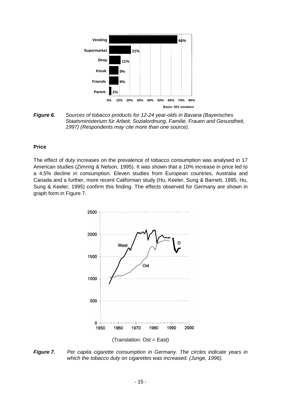

*Figure 6. Sources of tobacco products for 12-24 year-olds in Bavaria (Bayerisches Staatsministerium für Arbeit, Sozialordnung, Familie, Frauen and Gesundheit, 1997) (Respondents may cite more than one source).* 

#### **Price**

The effect of duty increases on the prevalence of tobacco consumption was analysed in 17 American studies (Zimring & Nelson, 1995). It was shown that a 10% increase in price led to a 4,5% decline in consumption. Eleven studies from European countries, Australia and Canada and a further, more recent Californian study (Hu, Keeler, Sung & Barnett, 1995; Hu, Sung & Keeler, 1995) confirm this finding. The effects observed for Germany are shown in graph form in Figure 7.



*Figure 7. Per capita cigarette consumption in Germany. The circles indicate years in which the tobacco duty on cigarettes was increased. (Junge, 1996).*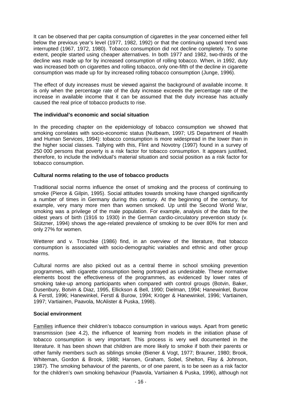It can be observed that per capita consumption of cigarettes in the year concerned either fell below the previous year's level (1977, 1982, 1992) or that the continuing upward trend was interrupted (1967, 1972, 1980). Tobacco consumption did not decline completely. To some extent, people started using cheaper alternatives. In both 1977 and 1982, two-thirds of the decline was made up for by increased consumption of rolling tobacco. When, in 1992, duty was increased both on cigarettes and rolling tobacco, only one-fifth of the decline in cigarette consumption was made up for by increased rolling tobacco consumption (Junge, 1996).

The effect of duty increases must be viewed against the background of available income. It is only when the percentage rate of the duty increase exceeds the percentage rate of the increase in available income that it can be assumed that the duty increase has actually caused the real price of tobacco products to rise.

#### **The individual's economic and social situation**

In the preceding chapter on the epidemiology of tobacco consumption we showed that smoking correlates with socio-economic status (Nutbeam, 1997; US Department of Health and Human Services, 1994): tobacco consumption is more widespread in the lower than in the higher social classes. Tallying with this, Flint and Novotny (1997) found in a survey of 250 000 persons that poverty is a risk factor for tobacco consumption. It appears justified, therefore, to include the individual's material situation and social position as a risk factor for tobacco consumption.

#### **Cultural norms relating to the use of tobacco products**

Traditional social norms influence the onset of smoking and the process of continuing to smoke (Pierce & Gilpin, 1995). Social attitudes towards smoking have changed significantly a number of times in Germany during this century. At the beginning of the century, for example, very many more men than women smoked. Up until the Second World War, smoking was a privilege of the male population. For example, analysis of the data for the oldest years of birth (1916 to 1930) in the German cardio-circulatory prevention study (v. Stützner, 1994) shows the age-related prevalence of smoking to be over 80% for men and only 27% for women.

Wetterer and v. Troschke (1986) find, in an overview of the literature, that tobacco consumption is associated with socio-demographic variables and ethnic and other group norms.

Cultural norms are also picked out as a central theme in school smoking prevention programmes, with cigarette consumption being portrayed as undesirable. These normative elements boost the effectiveness of the programmes, as evidenced by lower rates of smoking take-up among participants when compared with control groups (Botvin, Baker, Dusenbury, Botvin & Diaz, 1995, Ellickson & Bell, 1990; Dielman, 1994; Hanewinkel, Burow & Ferstl, 1996; Hanewinkel, Ferstl & Burow, 1994; Kröger & Hanewinkel, 1996; Vartiainen, 1997; Vartiainen, Paavola, McAlister & Puska, 1998).

#### **Social environment**

Families influence their children's tobacco consumption in various ways. Apart from genetic transmission (see 4.2), the influence of learning from models in the initiation phase of tobacco consumption is very important. This process is very well documented in the literature. It has been shown that children are more likely to smoke if both their parents or other family members such as siblings smoke (Biener & Vogt, 1977; Brauner, 1980; Brook, Whiteman, Gordon & Brook, 1988; Hansen, Graham, Sobel, Shelton, Flay & Johnson, 1987). The smoking behaviour of the parents, or of one parent, is to be seen as a risk factor for the children's own smoking behaviour (Paavola, Vartiainen & Puska, 1996), although not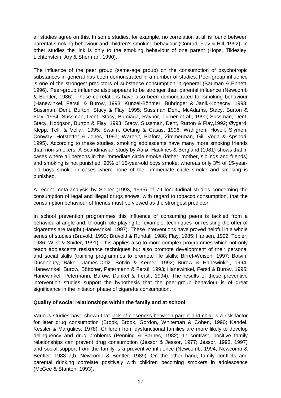all studies agree on this. In some studies, for example, no correlation at all is found between parental smoking behaviour and children's smoking behaviour (Conrad, Flay & Hill, 1992). In other studies the link is only to the smoking behaviour of one parent (Hops, Tildesley, Lichtenstein, Ary & Sherman, 1990).

The influence of the peer group (same-age group) on the consumption of psychotropic substances in general has been demonstrated in a number of studies. Peer-group influence is one of the strongest predictors of substance consumption in general (Bauman & Ennett, 1996). Peer-group influence also appears to be stronger than parental influence (Newcomb & Bentler, 1986). These correlations have also been demonstrated for smoking behaviour (Hanewinkel, Ferstl, & Burow, 1993; Künzel-Böhmer, Bühringer & Janik-Konecny, 1993; Sussman, Dent, Burton, Stacy & Flay, 1995; Sussman Dent, McAdams, Stacy, Burton & Flay, 1994; Sussman, Dent, Stacy, Burciaga, Raynor, Turner et al., 1990; Sussman, Dent, Stacy, Hodgson, Burton & Flay, 1993; Stacy, Sussman, Dent, Rurton & Flay,1992; Øygard, Klepp, Tell, & Vellar, 1995; Swaim, Oetting & Casas, 1996; Wahlgren, Hovell, Slymen, Conway, Hofstetter & Jones, 1997; Warheit, Biafora, Zimmerman, Gil, Vega & Apspori, 1995). According to these studies, smoking adolescents have many more smoking friends than non-smokers. A Scandinavian study by Aarø, Hauknes & Bergland (1981) shows that in cases where all persons in the immediate circle smoke (father, mother, siblings and friends) and smoking is not punished, 90% of 15-year-old boys smoke, whereas only 3% of 15-yearold boys smoke in cases where none of their immediate circle smoke and smoking is punished.

A recent meta-analysis by Sieber (1993, 1995) of 79 longitudinal studies concerning the consumption of legal and illegal drugs shows, with regard to tobacco consumption, that the consumption behaviour of friends must be viewed as the strongest predictor.

In school prevention programmes this influence of consuming peers is tackled from a behavioural angle and, through role-playing for example, techniques for resisting the offer of cigarettes are taught (Hanewinkel, 1997). These interventions have proved helpful in a whole series of studies (Bruvold, 1993; Bruvold & Rundall, 1988; Flay, 1985; Hansen, 1992; Tobler, 1986; Wiist & Snider, 1991). This applies also to more complex programmes which not only teach adolescents resistance techniques but also promote development of their personal and social skills (training programmes to promote life skills: Birrel-Weisen, 1997; Botvin, Dusenbury, Baker, James-Ortiz, Botvin & Kerner, 1992; Burow & Hanewinkel, 1994; Hanewinkel, Burow, Böttcher, Petermann & Ferstl, 1993; Hanewinkel, Ferstl & Burow, 1995; Hanewinkel, Petermann, Burow, Dunkel & Ferstl, 1994). The results of these preventive intervention studies support the hypothesis that the peer-group behaviour is of great significance in the initiation phase of cigarette consumption.

#### **Quality of social relationships within the family and at school**

Various studies have shown that lack of closeness between parent and child is a risk factor for later drug consumption (Brook, Brook, Gordon, Whiteman & Cohen, 1990; Kandel, Kessler & Margulies, 1978). Children from dysfunctional families are more likely to develop delinquency and drug problems (Penning & Barnes, 1982). In contrast, positive family relationships can prevent drug consumption (Jessor & Jessor, 1977; Jessor, 1993, 1997) and social support from the family is a preventive influence (Newcomb, 1994; Newcomb & Bentler, 1988 a,b; Newcomb & Bentler, 1989). On the other hand, family conflicts and parental drinking correlate positively with children becoming smokers in adolescence (McGee & Stanton, 1993).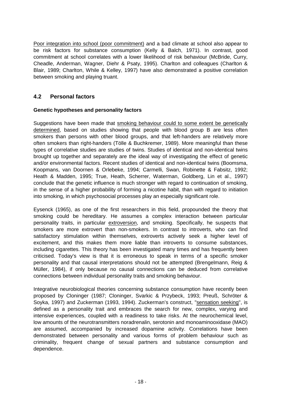Poor integration into school (poor commitment) and a bad climate at school also appear to be risk factors for substance consumption (Kelly & Balch, 1971). In contrast, good commitment at school correlates with a lower likelihood of risk behaviour (McBride, Curry, Cheadle, Anderman, Wagner, Diehr & Psaty, 1995). Charlton and colleagues (Charlton & Blair, 1989; Charlton, While & Kelley, 1997) have also demonstrated a positive correlation between smoking and playing truant.

#### **4.2 Personal factors**

#### **Genetic hypotheses and personality factors**

Suggestions have been made that smoking behaviour could to some extent be genetically determined, based on studies showing that people with blood group B are less often smokers than persons with other blood groups, and that left-handers are relatively more often smokers than right-handers (Tölle & Buchkremer, 1989). More meaningful than these types of correlative studies are studies of twins. Studies of identical and non-identical twins brought up together and separately are the ideal way of investigating the effect of genetic and/or environmental factors. Recent studies of identical and non-identical twins (Boomsma, Koopmans, van Doornen & Orlebeke, 1994; Carmelli, Swan, Robinette & Fabsitz, 1992; Heath & Madden, 1995; True, Heath, Scherrer, Waterman, Goldberg, Lin et al., 1997) conclude that the genetic influence is much stronger with regard to continuation of smoking, in the sense of a higher probability of forming a nicotine habit, than with regard to initiation into smoking, in which psychosocial processes play an especially significant role.

Eysenck (1965), as one of the first researchers in this field, propounded the theory that smoking could be hereditary. He assumes a complex interaction between particular personality traits, in particular extroversion, and smoking. Specifically, he suspects that smokers are more extrovert than non-smokers. In contrast to introverts, who can find satisfactory stimulation within themselves, extroverts actively seek a higher level of excitement, and this makes them more liable than introverts to consume substances, including cigarettes. This theory has been investigated many times and has frequently been criticised. Today's view is that it is erroneous to speak in terms of a specific smoker personality and that causal interpretations should not be attempted (Brengelmann, Reig & Müller, 1984), if only because no causal connections can be deduced from correlative connections between individual personality traits and smoking behaviour.

Integrative neurobiological theories concerning substance consumption have recently been proposed by Cloninger (1987; Cloninger, Svarkic & Przybeck, 1993; Preuß, Schröter & Soyka, 1997) and Zuckerman (1993, 1994). Zuckerman's construct, "sensation seeking", is defined as a personality trait and embraces the search for new, complex, varying and intensive experiences, coupled with a readiness to take risks. At the neurochemical level, low amounts of the neurotransmitters noradrenalin, serotonin and monoaminooxidase (MAO) are assumed, accompanied by increased dopamine activity. Correlations have been demonstrated between personality and various forms of problem behaviour such as criminality, frequent change of sexual partners and substance consumption and dependence.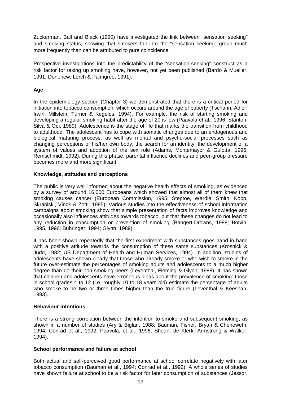Zuckerman, Ball and Black (1990) have investigated the link between "sensation seeking" and smoking status, showing that smokers fall into the "sensation seeking" group much more frequently than can be attributed to pure coincidence.

Prospective investigations into the predictability of the "sensation-seeking" construct as a risk factor for taking up smoking have, however, not yet been published (Bardo & Mueller, 1991; Donohew, Lorch & Palmgree, 1991).

#### **Age**

In the epidemiology section (Chapter 3) we demonstrated that there is a critical period for initiation into tobacco consumption, which occurs around the age of puberty (Tschann, Adler, Irwin, Millstein, Turner & Kegeles, 1994). For example, the risk of starting smoking and developing a regular smoking habit after the age of 20 is low (Paavola et al., 1996; Stanton, Silva & Oei, 1989). Adolescence is the stage of life that marks the transition from childhood to adulthood. The adolescent has to cope with somatic changes due to an endogenous and biological maturing process, as well as mental and psycho-social processes such as changing perceptions of his/her own body, the search for an identity, the development of a system of values and adoption of the sex role (Adams, Montemayor & Gulotta, 1996; Remschmidt, 1992). During this phase, parental influence declines and peer-group pressure becomes more and more significant.

#### **Knowledge, attitudes and perceptions**

The public is very well informed about the negative health effects of smoking, as evidenced by a survey of around 16 000 Europeans which showed that almost all of them knew that smoking causes cancer (European Commission, 1995; Steptoe, Wardle, Smith, Kopp, Skrabiski, Vinck & Zotti, 1995). Various studies into the effectiveness of school information campaigns about smoking show that simple presentation of facts improves knowledge and occasionally also influences attitudes towards tobacco, but that these changes do not lead to any reduction in consumption or prevention of smoking (Bangert-Drowns, 1988; Botvin, 1995, 1996; Bühringer, 1994; Glynn, 1989).

It has been shown repeatedly that the first experiment with substances goes hand in hand with a positive attitude towards the consumption of these same substances (Krosnick & Judd, 1982; US Department of Health and Human Services, 1994). In addition, studies of adolescents have shown clearly that those who already smoke or who wish to smoke in the future over-estimate the percentages of smoking adults and adolescents to a much higher degree than do their non-smoking peers (Leventhal, Fleming & Glynn, 1988). It has shown that children and adolescents have erroneous ideas about the prevalence of smoking: those in school grades 4 to 12 (i.e. roughly 10 to 18 years old) estimate the percentage of adults who smoke to be two or three times higher than the true figure (Leventhal & Keeshan, 1993).

#### **Behaviour intentions**

There is a strong correlation between the intention to smoke and subsequent smoking, as shown in a number of studies (Ary & Biglan, 1988; Bauman, Fisher, Bryan & Chenoweth, 1994; Conrad et al., 1992; Paavola, et al., 1996; Shean, de Klerk, Armstrong & Walker, 1994).

#### **School performance and failure at school**

Both actual and self-perceived good performance at school correlate negatively with later tobacco consumption (Bauman et al., 1994; Conrad et al., 1992). A whole series of studies have shown failure at school to be a risk factor for later consumption of substances (Jessor,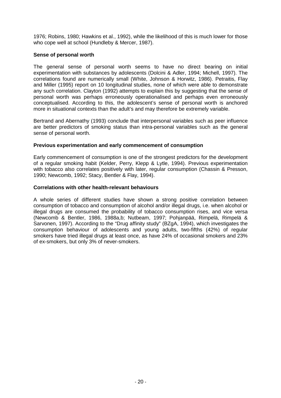1976; Robins, 1980; Hawkins et al., 1992), while the likelihood of this is much lower for those who cope well at school (Hundleby & Mercer, 1987).

#### **Sense of personal worth**

The general sense of personal worth seems to have no direct bearing on initial experimentation with substances by adolescents (Dolcini & Adler, 1994; Michell, 1997). The correlations found are numerically small (White, Johnson & Horwitz, 1986). Petraitis, Flay and Miller (1995) report on 10 longitudinal studies, none of which were able to demonstrate any such correlation. Clayton (1992) attempts to explain this by suggesting that the sense of personal worth was perhaps erroneously operationalised and perhaps even erroneously conceptualised. According to this, the adolescent's sense of personal worth is anchored more in situational contexts than the adult's and may therefore be extremely variable.

Bertrand and Abernathy (1993) conclude that interpersonal variables such as peer influence are better predictors of smoking status than intra-personal variables such as the general sense of personal worth.

#### **Previous experimentation and early commencement of consumption**

Early commencement of consumption is one of the strongest predictors for the development of a regular smoking habit (Kelder, Perry, Klepp & Lytle, 1994). Previous experimentation with tobacco also correlates positively with later, regular consumption (Chassin & Presson, 1990; Newcomb, 1992; Stacy, Bentler & Flay, 1994).

#### **Correlations with other health-relevant behaviours**

A whole series of different studies have shown a strong positive correlation between consumption of tobacco and consumption of alcohol and/or illegal drugs, i.e. when alcohol or illegal drugs are consumed the probability of tobacco consumption rises, and vice versa (Newcomb & Bentler, 1986, 1988a,b; Nutbeam, 1997; Pohjanpää, Rimpelä, Rimpelä & Sarvonen, 1997). According to the "Drug affinity study" (BZgA, 1994), which investigates the consumption behaviour of adolescents and young adults, two-fifths (42%) of regular smokers have tried illegal drugs at least once, as have 24% of occasional smokers and 23% of ex-smokers, but only 3% of never-smokers.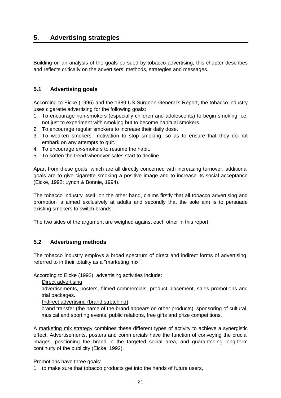# **5. Advertising strategies**

Building on an analysis of the goals pursued by tobacco advertising, this chapter describes and reflects critically on the advertisers' methods, strategies and messages.

#### **5.1 Advertising goals**

According to Eicke (1996) and the 1989 US Surgeon-General's Report, the tobacco industry uses cigarette advertising for the following goals:

- 1. To encourage non-smokers (especially children and adolescents) to begin smoking, i.e. not just to experiment with smoking but to become habitual smokers.
- 2. To encourage regular smokers to increase their daily dose.
- 3. To weaken smokers' motivation to stop smoking, so as to ensure that they do not embark on any attempts to quit.
- 4. To encourage ex-smokers to resume the habit.
- 5. To soften the trend whenever sales start to decline.

Apart from these goals, which are all directly concerned with increasing turnover, additional goals are to give cigarette smoking a positive image and to increase its social acceptance (Eicke, 1992; Lynch & Bonnie, 1994).

The tobacco industry itself, on the other hand, claims firstly that all tobacco advertising and promotion is aimed exclusively at adults and secondly that the sole aim is to persuade existing smokers to switch brands.

The two sides of the argument are weighed against each other in this report.

#### **5.2 Advertising methods**

The tobacco industry employs a broad spectrum of direct and indirect forms of advertising, referred to in their totality as a "marketing mix".

According to Eicke (1992), advertising activities include:

− Direct advertising:

advertisements, posters, filmed commercials, product placement, sales promotions and trial packages.

− Indirect advertising (brand stretching): brand transfer (the name of the brand appears on other products), sponsoring of cultural, musical and sporting events, public relations, free gifts and prize competitions.

A marketing mix strategy combines these different types of activity to achieve a synergistic effect. Advertisements, posters and commercials have the function of conveying the crucial images, positioning the brand in the targeted social area, and guaranteeing long-term continuity of the publicity (Eicke, 1992).

Promotions have three goals:

1. to make sure that tobacco products get into the hands of future users,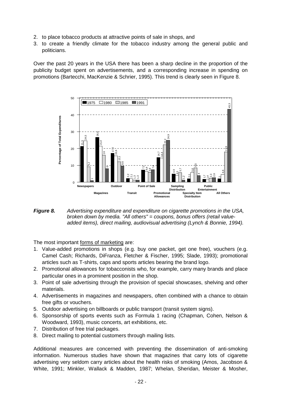- 2. to place tobacco products at attractive points of sale in shops, and
- 3. to create a friendly climate for the tobacco industry among the general public and politicians.

Over the past 20 years in the USA there has been a sharp decline in the proportion of the publicity budget spent on advertisements, and a corresponding increase in spending on promotions (Bartecchi, MacKenzie & Schrier, 1995). This trend is clearly seen in Figure 8.



*Figure 8. Advertising expenditure and expenditure on cigarette promotions in the USA, broken down by media. "All others" = coupons, bonus offers (retail valueadded items), direct mailing, audiovisual advertising (Lynch & Bonnie, 1994).* 

The most important forms of marketing are:

- 1. Value-added promotions in shops (e.g. buy one packet, get one free), vouchers (e.g. Camel Cash; Richards, DiFranza, Fletcher & Fischer, 1995; Slade, 1993); promotional articles such as T-shirts, caps and sports articles bearing the brand logo.
- 2. Promotional allowances for tobacconists who, for example, carry many brands and place particular ones in a prominent position in the shop.
- 3. Point of sale advertising through the provision of special showcases, shelving and other materials.
- 4. Advertisements in magazines and newspapers, often combined with a chance to obtain free gifts or vouchers.
- 5. Outdoor advertising on billboards or public transport (transit system signs).
- 6. Sponsorship of sports events such as Formula 1 racing (Chapman, Cohen, Nelson & Woodward, 1993), music concerts, art exhibitions, etc.
- 7. Distribution of free trial packages.
- 8. Direct mailing to potential customers through mailing lists.

Additional measures are concerned with preventing the dissemination of anti-smoking information. Numerous studies have shown that magazines that carry lots of cigarette advertising very seldom carry articles about the health risks of smoking (Amos, Jacobson &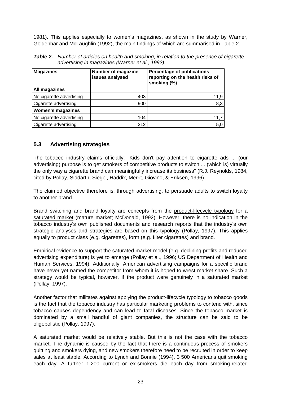1981). This applies especially to women's magazines, as shown in the study by Warner, Goldenhar and McLaughlin (1992), the main findings of which are summarised in Table 2.

*Table 2. Number of articles on health and smoking, in relation to the presence of cigarette advertising in magazines (Warner et al., 1992).* 

| <b>Magazines</b>         | <b>Number of magazine</b><br>issues analysed | <b>Percentage of publications</b><br>reporting on the health risks of<br>smoking (%) |  |  |
|--------------------------|----------------------------------------------|--------------------------------------------------------------------------------------|--|--|
| All magazines            |                                              |                                                                                      |  |  |
| No cigarette advertising | 403                                          | 11,9                                                                                 |  |  |
| Cigarette advertising    | 900                                          | 8,3                                                                                  |  |  |
| <b>Women's magazines</b> |                                              |                                                                                      |  |  |
| No cigarette advertising | 104                                          | 11,7                                                                                 |  |  |
| Cigarette advertising    | 212                                          | 5,0                                                                                  |  |  |

#### **5.3 Advertising strategies**

The tobacco industry claims officially: "Kids don't pay attention to cigarette ads ... (our advertising) purpose is to get smokers of competitive products to switch ... (which is) virtually the only way a cigarette brand can meaningfully increase its business" (R.J. Reynolds, 1984, cited by Pollay, Siddarth, Siegel, Haddix, Merrit, Giovino, & Eriksen, 1996).

The claimed objective therefore is, through advertising, to persuade adults to switch loyalty to another brand.

Brand switching and brand loyalty are concepts from the product-lifecycle typology for a saturated market (mature market; McDonald, 1992). However, there is no indication in the tobacco industry's own published documents and research reports that the industry's own strategic analyses and strategies are based on this typology (Pollay, 1997). This applies equally to product class (e.g. cigarettes), form (e.g. filter cigarettes) and brand.

Empirical evidence to support the saturated market model (e.g. declining profits and reduced advertising expenditure) is yet to emerge (Pollay et al., 1996; US Department of Health and Human Services, 1994). Additionally, American advertising campaigns for a specific brand have never yet named the competitor from whom it is hoped to wrest market share. Such a strategy would be typical, however, if the product were genuinely in a saturated market (Pollay, 1997).

Another factor that militates against applying the product-lifecycle typology to tobacco goods is the fact that the tobacco industry has particular marketing problems to contend with, since tobacco causes dependency and can lead to fatal diseases. Since the tobacco market is dominated by a small handful of giant companies, the structure can be said to be oligopolistic (Pollay, 1997).

A saturated market would be relatively stable. But this is not the case with the tobacco market. The dynamic is caused by the fact that there is a continuous process of smokers quitting and smokers dying, and new smokers therefore need to be recruited in order to keep sales at least stable. According to Lynch and Bonnie (1994), 3 500 Americans quit smoking each day. A further 1 200 current or ex-smokers die each day from smoking-related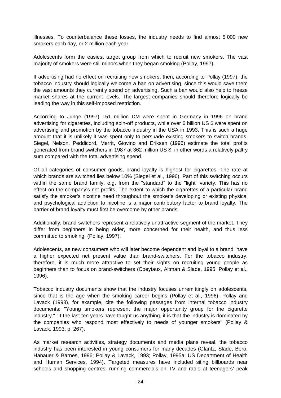illnesses. To counterbalance these losses, the industry needs to find almost 5 000 new smokers each day, or 2 million each year.

Adolescents form the easiest target group from which to recruit new smokers. The vast majority of smokers were still minors when they began smoking (Pollay, 1997).

If advertising had no effect on recruiting new smokers, then, according to Pollay (1997), the tobacco industry should logically welcome a ban on advertising, since this would save them the vast amounts they currently spend on advertising. Such a ban would also help to freeze market shares at the current levels. The largest companies should therefore logically be leading the way in this self-imposed restriction.

According to Junge (1997) 151 million DM were spent in Germany in 1996 on brand advertising for cigarettes, including spin-off products, while over 6 billion US \$ were spent on advertising and promotion by the tobacco industry in the USA in 1993. This is such a huge amount that it is unlikely it was spent only to persuade existing smokers to switch brands. Siegel, Nelson, Peddicord, Merrit, Giovino and Eriksen (1996) estimate the total profits generated from brand switchers in 1987 at 362 million US \$, in other words a relatively paltry sum compared with the total advertising spend.

Of all categories of consumer goods, brand loyalty is highest for cigarettes. The rate at which brands are switched lies below 10% (Siegel et al., 1996). Part of this switching occurs within the same brand family, e.g. from the "standard" to the "light" variety. This has no effect on the company's net profits. The extent to which the cigarettes of a particular brand satisfy the smoker's nicotine need throughout the smoker's developing or existing physical and psychological addiction to nicotine is a major contributory factor to brand loyalty. The barrier of brand loyalty must first be overcome by other brands.

Additionally, brand switchers represent a relatively unattractive segment of the market. They differ from beginners in being older, more concerned for their health, and thus less committed to smoking. (Pollay, 1997).

Adolescents, as new consumers who will later become dependent and loyal to a brand, have a higher expected net present value than brand-switchers. For the tobacco industry, therefore, it is much more attractive to set their sights on recruiting young people as beginners than to focus on brand-switchers (Coeytaux, Altman & Slade, 1995; Pollay et al., 1996).

Tobacco industry documents show that the industry focuses unremittingly on adolescents, since that is the age when the smoking career begins (Pollay et al., 1996). Pollay and Lavack (1993), for example, cite the following passages from internal tobacco industry documents: "Young smokers represent the major opportunity group for the cigarette industry." "If the last ten years have taught us anything, it is that the industry is dominated by the companies who respond most effectively to needs of younger smokers" (Pollay & Lavack, 1993, p. 267).

As market research activities, strategy documents and media plans reveal, the tobacco industry has been interested in young consumers for many decades (Glantz, Slade, Bero, Hanauer & Barnes, 1996; Pollay & Lavack, 1993; Pollay, 1995a; US Department of Health and Human Services, 1994). Targeted measures have included siting billboards near schools and shopping centres, running commercials on TV and radio at teenagers' peak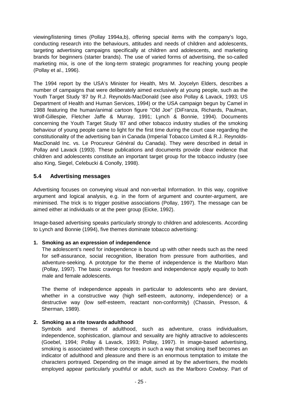viewing/listening times (Pollay 1994a,b), offering special items with the company's logo, conducting research into the behaviours, attitudes and needs of children and adolescents, targeting advertising campaigns specifically at children and adolescents, and marketing brands for beginners (starter brands). The use of varied forms of advertising, the so-called marketing mix, is one of the long-term strategic programmes for reaching young people (Pollay et al., 1996).

The 1994 report by the USA's Minister for Health, Mrs M. Joycelyn Elders, describes a number of campaigns that were deliberately aimed exclusively at young people, such as the Youth Target Study '87 by R.J. Reynolds-MacDonald (see also Pollay & Lavack, 1993; US Department of Health and Human Services, 1994) or the USA campaign begun by Camel in 1988 featuring the human/animal cartoon figure "Old Joe" (DiFranza, Richards, Paulman, Wolf-Gillespie, Fletcher Jaffe & Murray, 1991; Lynch & Bonnie, 1994). Documents concerning the Youth Target Study '87 and other tobacco industry studies of the smoking behaviour of young people came to light for the first time during the court case regarding the constitutionality of the advertising ban in Canada (Imperial Tobacco Limited & R.J. Reynolds-MacDonald Inc. vs. Le Procureur Général du Canada). They were described in detail in Pollay and Lavack (1993). These publications and documents provide clear evidence that children and adolescents constitute an important target group for the tobacco industry (see also King, Siegel, Celebucki & Conolly, 1998).

#### **5.4 Advertising messages**

Advertising focuses on conveying visual and non-verbal Information. In this way, cognitive argument and logical analysis, e.g. in the form of argument and counter-argument, are minimised. The trick is to trigger positive associations (Pollay, 1997). The message can be aimed either at individuals or at the peer group (Eicke, 1992).

Image-based advertising speaks particularly strongly to children and adolescents. According to Lynch and Bonnie (1994), five themes dominate tobacco advertising:

#### **1. Smoking as an expression of independence**

The adolescent's need for independence is bound up with other needs such as the need for self-assurance, social recognition, liberation from pressure from authorities, and adventure-seeking. A prototype for the theme of independence is the Marlboro Man (Pollay, 1997). The basic cravings for freedom and independence apply equally to both male and female adolescents.

The theme of independence appeals in particular to adolescents who are deviant, whether in a constructive way (high self-esteem, autonomy, independence) or a destructive way (low self-esteem, reactant non-conformity) (Chassin, Presson, & Sherman, 1989).

#### **2. Smoking as a rite towards adulthood**

Symbols and themes of adulthood, such as adventure, crass individualism, independence, sophistication, glamour and sexuality are highly attractive to adolescents (Goebel, 1994; Pollay & Lavack, 1993; Pollay, 1997). In image-based advertising, smoking is associated with these concepts in such a way that smoking itself becomes an indicator of adulthood and pleasure and there is an enormous temptation to imitate the characters portrayed. Depending on the image aimed at by the advertisers, the models employed appear particularly youthful or adult, such as the Marlboro Cowboy. Part of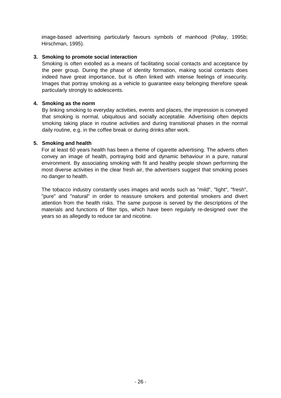image-based advertising particularly favours symbols of manhood (Pollay, 1995b; Hirschman, 1995).

#### **3. Smoking to promote social interaction**

Smoking is often extolled as a means of facilitating social contacts and acceptance by the peer group. During the phase of identity formation, making social contacts does indeed have great importance, but is often linked with intense feelings of insecurity. Images that portray smoking as a vehicle to guarantee easy belonging therefore speak particularly strongly to adolescents.

#### **4. Smoking as the norm**

By linking smoking to everyday activities, events and places, the impression is conveyed that smoking is normal, ubiquitous and socially acceptable. Advertising often depicts smoking taking place in routine activities and during transitional phases in the normal daily routine, e.g. in the coffee break or during drinks after work.

#### **5. Smoking and health**

For at least 60 years health has been a theme of cigarette advertising. The adverts often convey an image of health, portraying bold and dynamic behaviour in a pure, natural environment. By associating smoking with fit and healthy people shown performing the most diverse activities in the clear fresh air, the advertisers suggest that smoking poses no danger to health.

The tobacco industry constantly uses images and words such as "mild", "light", "fresh", "pure" and "natural" in order to reassure smokers and potential smokers and divert attention from the health risks. The same purpose is served by the descriptions of the materials and functions of filter tips, which have been regularly re-designed over the years so as allegedly to reduce tar and nicotine.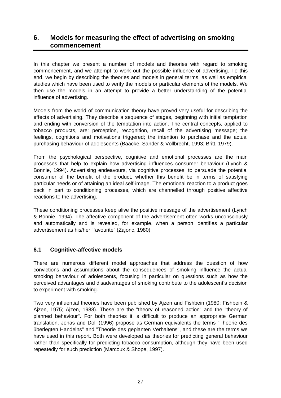# **6. Models for measuring the effect of advertising on smoking commencement**

In this chapter we present a number of models and theories with regard to smoking commencement, and we attempt to work out the possible influence of advertising. To this end, we begin by describing the theories and models in general terms, as well as empirical studies which have been used to verify the models or particular elements of the models. We then use the models in an attempt to provide a better understanding of the potential influence of advertising.

Models from the world of communication theory have proved very useful for describing the effects of advertising. They describe a sequence of stages, beginning with initial temptation and ending with conversion of the temptation into action. The central concepts, applied to tobacco products, are: perception, recognition, recall of the advertising message; the feelings, cognitions and motivations triggered; the intention to purchase and the actual purchasing behaviour of adolescents (Baacke, Sander & Vollbrecht, 1993; Britt, 1979).

From the psychological perspective, cognitive and emotional processes are the main processes that help to explain how advertising influences consumer behaviour (Lynch & Bonnie, 1994). Advertising endeavours, via cognitive processes, to persuade the potential consumer of the benefit of the product, whether this benefit be in terms of satisfying particular needs or of attaining an ideal self-image. The emotional reaction to a product goes back in part to conditioning processes, which are channelled through positive affective reactions to the advertising.

These conditioning processes keep alive the positive message of the advertisement (Lynch & Bonnie, 1994). The affective component of the advertisement often works unconsciously and automatically and is revealed, for example, when a person identifies a particular advertisement as his/her "favourite" (Zajonc, 1980).

#### **6.1 Cognitive-affective models**

There are numerous different model approaches that address the question of how convictions and assumptions about the consequences of smoking influence the actual smoking behaviour of adolescents, focusing in particular on questions such as how the perceived advantages and disadvantages of smoking contribute to the adolescent's decision to experiment with smoking.

Two very influential theories have been published by Ajzen and Fishbein (1980; Fishbein & Ajzen, 1975; Ajzen, 1988). These are the "theory of reasoned action" and the "theory of planned behaviour". For both theories it is difficult to produce an appropriate German translation. Jonas and Doll (1996) propose as German equivalents the terms "Theorie des überlegten Handelns" and "Theorie des geplanten Verhaltens", and these are the terms we have used in this report. Both were developed as theories for predicting general behaviour rather than specifically for predicting tobacco consumption, although they have been used repeatedly for such prediction (Marcoux & Shope, 1997).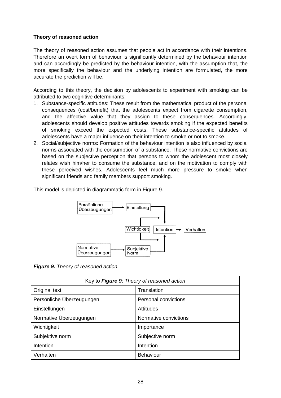#### **Theory of reasoned action**

The theory of reasoned action assumes that people act in accordance with their intentions. Therefore an overt form of behaviour is significantly determined by the behaviour intention and can accordingly be predicted by the behaviour intention, with the assumption that, the more specifically the behaviour and the underlying intention are formulated, the more accurate the prediction will be.

According to this theory, the decision by adolescents to experiment with smoking can be attributed to two cognitive determinants:

- 1. Substance-specific attitudes: These result from the mathematical product of the personal consequences (cost/benefit) that the adolescents expect from cigarette consumption, and the affective value that they assign to these consequences. Accordingly, adolescents should develop positive attitudes towards smoking if the expected benefits of smoking exceed the expected costs. These substance-specific attitudes of adolescents have a major influence on their intention to smoke or not to smoke.
- 2. Social/subjective norms: Formation of the behaviour intention is also influenced by social norms associated with the consumption of a substance. These normative convictions are based on the subjective perception that persons to whom the adolescent most closely relates wish him/her to consume the substance, and on the motivation to comply with these perceived wishes. Adolescents feel much more pressure to smoke when significant friends and family members support smoking.

This model is depicted in diagrammatic form in Figure 9.



*Figure 9. Theory of reasoned action.* 

| Key to Figure 9: Theory of reasoned action |                             |  |  |  |
|--------------------------------------------|-----------------------------|--|--|--|
| Original text                              | Translation                 |  |  |  |
| Persönliche Überzeugungen                  | <b>Personal convictions</b> |  |  |  |
| Einstellungen                              | Attitudes                   |  |  |  |
| Normative Überzeugungen                    | Normative convictions       |  |  |  |
| Wichtigkeit                                | Importance                  |  |  |  |
| Subjektive norm                            | Subjective norm             |  |  |  |
| Intention                                  | Intention                   |  |  |  |
| Verhalten                                  | <b>Behaviour</b>            |  |  |  |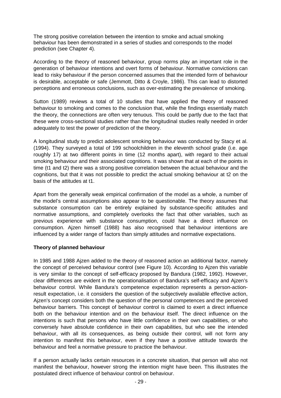The strong positive correlation between the intention to smoke and actual smoking behaviour has been demonstrated in a series of studies and corresponds to the model prediction (see Chapter 4).

According to the theory of reasoned behaviour, group norms play an important role in the generation of behaviour intentions and overt forms of behaviour. Normative convictions can lead to risky behaviour if the person concerned assumes that the intended form of behaviour is desirable, acceptable or safe (Jemmott, Ditto & Croyle, 1986). This can lead to distorted perceptions and erroneous conclusions, such as over-estimating the prevalence of smoking.

Sutton (1989) reviews a total of 10 studies that have applied the theory of reasoned behaviour to smoking and comes to the conclusion that, while the findings essentially match the theory, the connections are often very tenuous. This could be partly due to the fact that these were cross-sectional studies rather than the longitudinal studies really needed in order adequately to test the power of prediction of the theory.

A longitudinal study to predict adolescent smoking behaviour was conducted by Stacy et al. (1994). They surveyed a total of 199 schoolchildren in the eleventh school grade (i.e. age roughly 17) at two different points in time (12 months apart), with regard to their actual smoking behaviour and their associated cognitions. It was shown that at each of the points in time (t1 and t2) there was a strong positive correlation between the actual behaviour and the cognitions, but that it was not possible to predict the actual smoking behaviour at t2 on the basis of the attitudes at t1.

Apart from the generally weak empirical confirmation of the model as a whole, a number of the model's central assumptions also appear to be questionable. The theory assumes that substance consumption can be entirely explained by substance-specific attitudes and normative assumptions, and completely overlooks the fact that other variables, such as previous experience with substance consumption, could have a direct influence on consumption. Ajzen himself (1988) has also recognised that behaviour intentions are influenced by a wider range of factors than simply attitudes and normative expectations.

#### **Theory of planned behaviour**

In 1985 and 1988 Ajzen added to the theory of reasoned action an additional factor, namely the concept of perceived behaviour control (see Figure 10). According to Ajzen this variable is very similar to the concept of self-efficacy proposed by Bandura (1982, 1992). However, clear differences are evident in the operationalisation of Bandura's self-efficacy and Ajzen's behaviour control. While Bandura's competence expectation represents a person-actionresult expectation, i.e. it considers the question of the subjectively available effective action, Ajzen's concept considers both the question of the personal competences and the perceived behaviour barriers. This concept of behaviour control is claimed to exert a direct influence both on the behaviour intention and on the behaviour itself. The direct influence on the intentions is such that persons who have little confidence in their own capabilities, or who conversely have absolute confidence in their own capabilities, but who see the intended behaviour, with all its consequences, as being outside their control, will not form any intention to manifest this behaviour, even if they have a positive attitude towards the behaviour and feel a normative pressure to practice the behaviour.

If a person actually lacks certain resources in a concrete situation, that person will also not manifest the behaviour, however strong the intention might have been. This illustrates the postulated direct influence of behaviour control on behaviour.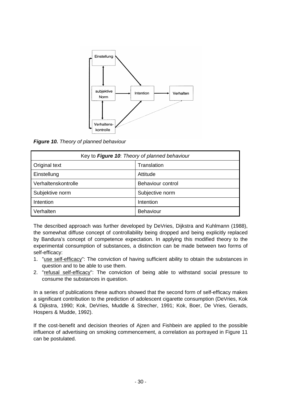

*Figure 10. Theory of planned behaviour* 

| Key to Figure 10: Theory of planned behaviour |                   |  |  |
|-----------------------------------------------|-------------------|--|--|
| <b>Original text</b>                          | Translation       |  |  |
| Einstellung                                   | Attitude          |  |  |
| Verhaltenskontrolle                           | Behaviour control |  |  |
| Subjektive norm                               | Subjective norm   |  |  |
| Intention                                     | Intention         |  |  |
| Verhalten                                     | <b>Behaviour</b>  |  |  |

The described approach was further developed by DeVries, Dijkstra and Kuhlmann (1988), the somewhat diffuse concept of controllability being dropped and being explicitly replaced by Bandura's concept of competence expectation. In applying this modified theory to the experimental consumption of substances, a distinction can be made between two forms of self-efficacy:

- 1. "use self-efficacy": The conviction of having sufficient ability to obtain the substances in question and to be able to use them.
- 2. "refusal self-efficacy": The conviction of being able to withstand social pressure to consume the substances in question.

In a series of publications these authors showed that the second form of self-efficacy makes a significant contribution to the prediction of adolescent cigarette consumption (DeVries, Kok & Dijkstra, 1990; Kok, DeVries, Muddle & Strecher, 1991; Kok, Boer, De Vries, Gerads, Hospers & Mudde, 1992).

If the cost-benefit and decision theories of Ajzen and Fishbein are applied to the possible influence of advertising on smoking commencement, a correlation as portrayed in Figure 11 can be postulated.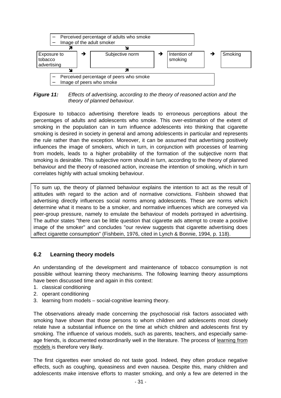

*Figure 11: Effects of advertising, according to the theory of reasoned action and the theory of planned behaviour.* 

Exposure to tobacco advertising therefore leads to erroneous perceptions about the percentages of adults and adolescents who smoke. This over-estimation of the extent of smoking in the population can in turn influence adolescents into thinking that cigarette smoking is desired in society in general and among adolescents in particular and represents the rule rather than the exception. Moreover, it can be assumed that advertising positively influences the image of smokers, which in turn, in conjunction with processes of learning from models, leads to a higher probability of the formation of the subjective norm that smoking is desirable. This subjective norm should in turn, according to the theory of planned behaviour and the theory of reasoned action, increase the intention of smoking, which in turn correlates highly with actual smoking behaviour.

To sum up, the theory of planned behaviour explains the intention to act as the result of attitudes with regard to the action and of normative convictions. Fishbein showed that advertising directly influences social norms among adolescents. These are norms which determine what it means to be a smoker, and normative influences which are conveyed via peer-group pressure, namely to emulate the behaviour of models portrayed in advertising. The author states "there can be little question that cigarette ads attempt to create a positive image of the smoker" and concludes "our review suggests that cigarette advertising does affect cigarette consumption" (Fishbein, 1976, cited in Lynch & Bonnie, 1994, p. 118).

#### **6.2 Learning theory models**

An understanding of the development and maintenance of tobacco consumption is not possible without learning theory mechanisms. The following learning theory assumptions have been discussed time and again in this context:

- 1. classical conditioning
- 2. operant conditioning
- 3. learning from models social-cognitive learning theory.

The observations already made concerning the psychosocial risk factors associated with smoking have shown that those persons to whom children and adolescents most closely relate have a substantial influence on the time at which children and adolescents first try smoking. The influence of various models, such as parents, teachers, and especially sameage friends, is documented extraordinarily well in the literature. The process of learning from models is therefore very likely.

The first cigarettes ever smoked do not taste good. Indeed, they often produce negative effects, such as coughing, queasiness and even nausea. Despite this, many children and adolescents make intensive efforts to master smoking, and only a few are deterred in the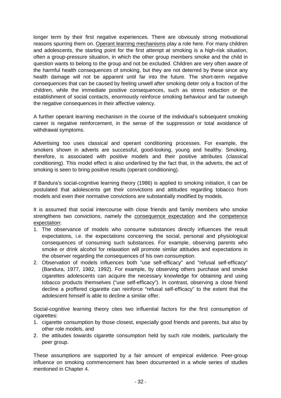longer term by their first negative experiences. There are obviously strong motivational reasons spurring them on. Operant learning mechanisms play a role here. For many children and adolescents, the starting point for the first attempt at smoking is a high-risk situation, often a group-pressure situation, in which the other group members smoke and the child in question wants to belong to the group and not be excluded. Children are very often aware of the harmful health consequences of smoking, but they are not deterred by these since any health damage will not be apparent until far into the future. The short-term negative consequences that can be caused by feeling unwell after smoking deter only a fraction of the children, while the immediate positive consequences, such as stress reduction or the establishment of social contacts, enormously reinforce smoking behaviour and far outweigh the negative consequences in their affective valency.

A further operant learning mechanism in the course of the individual's subsequent smoking career is negative reinforcement, in the sense of the suppression or total avoidance of withdrawal symptoms.

Advertising too uses classical and operant conditioning processes. For example, the smokers shown in adverts are successful, good-looking, young and healthy. Smoking, therefore, is associated with positive models and their positive attributes (classical conditioning). This model effect is also underlined by the fact that, in the adverts, the act of smoking is seen to bring positive results (operant conditioning).

If Bandura's social-cognitive learning theory (1986) is applied to smoking initiation, it can be postulated that adolescents get their convictions and attitudes regarding tobacco from models and even their normative convictions are substantially modified by models.

It is assumed that social intercourse with close friends and family members who smoke strengthens two convictions, namely the consequence expectation and the competence expectation:

- 1. The observance of models who consume substances directly influences the result expectations, i.e. the expectations concerning the social, personal and physiological consequences of consuming such substances. For example, observing parents who smoke or drink alcohol for relaxation will promote similar attitudes and expectations in the observer regarding the consequences of his own consumption.
- 2. Observation of models influences both "use self-efficacy" and "refusal self-efficacy" (Bandura, 1977, 1982, 1992). For example, by observing others purchase and smoke cigarettes adolescents can acquire the necessary knowledge for obtaining and using tobacco products themselves ("use self-efficacy"). In contrast, observing a close friend decline a proffered cigarette can reinforce "refusal self-efficacy" to the extent that the adolescent himself is able to decline a similar offer.

Social-cognitive learning theory cites two influential factors for the first consumption of cigarettes:

- 1. cigarette consumption by those closest, especially good friends and parents, but also by other role models, and
- 2. the attitudes towards cigarette consumption held by such role models, particularly the peer group.

These assumptions are supported by a fair amount of empirical evidence. Peer-group influence on smoking commencement has been documented in a whole series of studies mentioned in Chapter 4.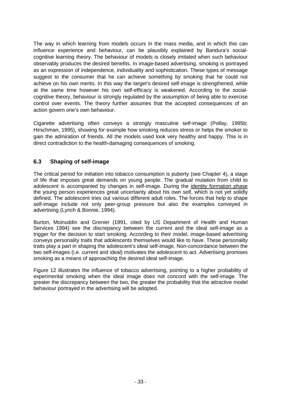The way in which learning from models occurs in the mass media, and in which this can influence experience and behaviour, can be plausibly explained by Bandura's socialcognitive learning theory. The behaviour of models is closely imitated when such behaviour observably produces the desired benefits. In image-based advertising, smoking is portrayed as an expression of independence, individuality and sophistication. These types of message suggest to the consumer that he can achieve something by smoking that he could not achieve on his own merits. In this way the target's desired self-image is strengthened, while at the same time however his own self-efficacy is weakened. According to the socialcognitive theory, behaviour is strongly regulated by the assumption of being able to exercise control over events. The theory further assumes that the accepted consequences of an action govern one's own behaviour.

Cigarette advertising often conveys a strongly masculine self-image (Pollay, 1995b; Hirschman, 1995), showing for example how smoking reduces stress or helps the smoker to gain the admiration of friends. All the models used look very healthy and happy. This is in direct contradiction to the health-damaging consequences of smoking.

#### **6.3 Shaping of self-image**

The critical period for initiation into tobacco consumption is puberty (see Chapter 4), a stage of life that imposes great demands on young people. The gradual mutation from child to adolescent is accompanied by changes in self-image. During the identity formation phase the young person experiences great uncertainty about his own self, which is not yet solidly defined. The adolescent tries out various different adult roles. The forces that help to shape self-image include not only peer-group pressure but also the examples conveyed in advertising (Lynch & Bonnie, 1994).

Burton, Moinuddin and Grenier (1991, cited by US Department of Health and Human Services 1994) see the discrepancy between the current and the ideal self-image as a trigger for the decision to start smoking. According to their model, image-based advertising conveys personality traits that adolescents themselves would like to have. These personality traits play a part in shaping the adolescent's ideal self-image. Non-concordance between the two self-images (i.e. current and ideal) motivates the adolescent to act. Advertising promises smoking as a means of approaching the desired ideal self-image.

Figure 12 illustrates the influence of tobacco advertising, pointing to a higher probability of experimental smoking when the ideal image does not concord with the self-image. The greater the discrepancy between the two, the greater the probability that the attractive model behaviour portrayed in the advertising will be adopted.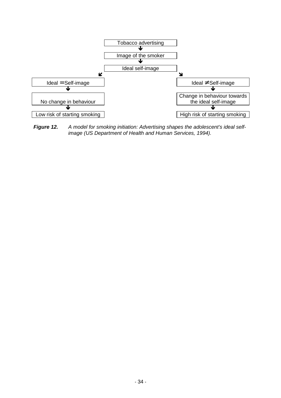

*Figure 12. A model for smoking initiation: Advertising shapes the adolescent's ideal selfimage (US Department of Health and Human Services, 1994).*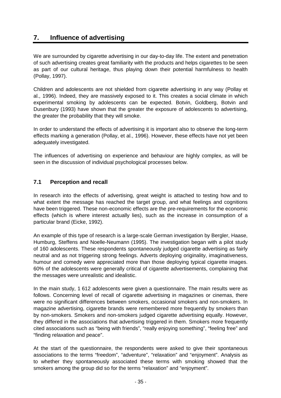# **7. Influence of advertising**

We are surrounded by cigarette advertising in our day-to-day life. The extent and penetration of such advertising creates great familiarity with the products and helps cigarettes to be seen as part of our cultural heritage, thus playing down their potential harmfulness to health (Pollay, 1997).

Children and adolescents are not shielded from cigarette advertising in any way (Pollay et al., 1996). Indeed, they are massively exposed to it. This creates a social climate in which experimental smoking by adolescents can be expected. Botvin, Goldberg, Botvin and Dusenbury (1993) have shown that the greater the exposure of adolescents to advertising, the greater the probability that they will smoke.

In order to understand the effects of advertising it is important also to observe the long-term effects marking a generation (Pollay, et al., 1996). However, these effects have not yet been adequately investigated.

The influences of advertising on experience and behaviour are highly complex, as will be seen in the discussion of individual psychological processes below.

## **7.1 Perception and recall**

In research into the effects of advertising, great weight is attached to testing how and to what extent the message has reached the target group, and what feelings and cognitions have been triggered. These non-economic effects are the pre-requirements for the economic effects (which is where interest actually lies), such as the increase in consumption of a particular brand (Eicke, 1992).

An example of this type of research is a large-scale German investigation by Bergler, Haase, Humburg, Steffens and Noelle-Neumann (1995). The investigation began with a pilot study of 160 adolescents. These respondents spontaneously judged cigarette advertising as fairly neutral and as not triggering strong feelings. Adverts deploying originality, imaginativeness, humour and comedy were appreciated more than those deploying typical cigarette images. 60% of the adolescents were generally critical of cigarette advertisements, complaining that the messages were unrealistic and idealistic.

In the main study, 1 612 adolescents were given a questionnaire. The main results were as follows. Concerning level of recall of cigarette advertising in magazines or cinemas, there were no significant differences between smokers, occasional smokers and non-smokers. In magazine advertising, cigarette brands were remembered more frequently by smokers than by non-smokers. Smokers and non-smokers judged cigarette advertising equally. However, they differed in the associations that advertising triggered in them. Smokers more frequently cited associations such as "being with friends", "really enjoying something", "feeling free" and "finding relaxation and peace".

At the start of the questionnaire, the respondents were asked to give their spontaneous associations to the terms "freedom", "adventure", "relaxation" and "enjoyment". Analysis as to whether they spontaneously associated these terms with smoking showed that the smokers among the group did so for the terms "relaxation" and "enjoyment".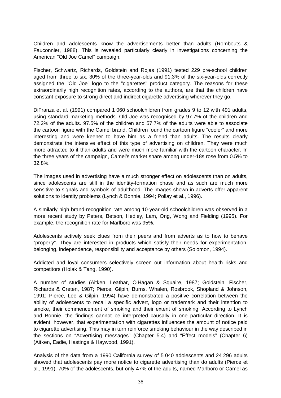Children and adolescents know the advertisements better than adults (Rombouts & Fauconnier, 1988). This is revealed particularly clearly in investigations concerning the American "Old Joe Camel" campaign.

Fischer, Schwartz, Richards, Goldstein and Rojas (1991) tested 229 pre-school children aged from three to six. 30% of the three-year-olds and 91.3% of the six-year-olds correctly assigned the "Old Joe" logo to the "cigarettes" product category. The reasons for these extraordinarily high recognition rates, according to the authors, are that the children have constant exposure to strong direct and indirect cigarette advertising wherever they go.

DiFranza et al. (1991) compared 1 060 schoolchildren from grades 9 to 12 with 491 adults, using standard marketing methods. Old Joe was recognised by 97.7% of the children and 72.2% of the adults. 97.5% of the children and 57.7% of the adults were able to associate the cartoon figure with the Camel brand. Children found the cartoon figure "cooler" and more interesting and were keener to have him as a friend than adults. The results clearly demonstrate the intensive effect of this type of advertising on children. They were much more attracted to it than adults and were much more familiar with the cartoon character. In the three years of the campaign, Camel's market share among under-18s rose from 0.5% to 32.8%.

The images used in advertising have a much stronger effect on adolescents than on adults, since adolescents are still in the identity-formation phase and as such are much more sensitive to signals and symbols of adulthood. The images shown in adverts offer apparent solutions to identity problems (Lynch & Bonnie, 1994; Pollay et al., 1996).

A similarly high brand-recognition rate among 10-year-old schoolchildren was observed in a more recent study by Peters, Betson, Hedley, Lam, Ong, Wong and Fielding (1995). For example, the recognition rate for Marlboro was 95%.

Adolescents actively seek clues from their peers and from adverts as to how to behave "properly". They are interested in products which satisfy their needs for experimentation, belonging, independence, responsibility and acceptance by others (Solomon, 1994).

Addicted and loyal consumers selectively screen out information about health risks and competitors (Holak & Tang, 1990).

A number of studies (Aitken, Leathar, O'Hagan & Squaire, 1987; Goldstein, Fischer, Richards & Creten, 1987; Pierce, Gilpin, Burns, Whalen, Rosbrook, Shopland & Johnson, 1991; Pierce, Lee & Gilpin, 1994) have demonstrated a positive correlation between the ability of adolescents to recall a specific advert, logo or trademark and their intention to smoke, their commencement of smoking and their extent of smoking. According to Lynch and Bonnie, the findings cannot be interpreted causally in one particular direction. It is evident, however, that experimentation with cigarettes influences the amount of notice paid to cigarette advertising. This may in turn reinforce smoking behaviour in the way described in the sections on "Advertising messages" (Chapter 5.4) and "Effect models" (Chapter 6) (Aitken, Eadie, Hastings & Haywood, 1991).

Analysis of the data from a 1990 California survey of 5 040 adolescents and 24 296 adults showed that adolescents pay more notice to cigarette advertising than do adults (Pierce et al., 1991). 70% of the adolescents, but only 47% of the adults, named Marlboro or Camel as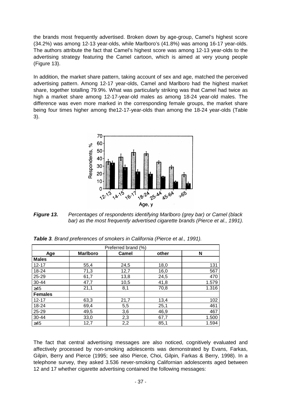the brands most frequently advertised. Broken down by age-group, Camel's highest score (34.2%) was among 12-13 year-olds, while Marlboro's (41.8%) was among 16-17 year-olds. The authors attribute the fact that Camel's highest score was among 12-13 year-olds to the advertising strategy featuring the Camel cartoon, which is aimed at very young people (Figure 13).

In addition, the market share pattern, taking account of sex and age, matched the perceived advertising pattern. Among 12-17 year-olds, Camel and Marlboro had the highest market share, together totalling 79.9%. What was particularly striking was that Camel had twice as high a market share among 12-17-year-old males as among 18-24 year-old males. The difference was even more marked in the corresponding female groups, the market share being four times higher among the12-17-year-olds than among the 18-24 year-olds (Table 3).



*Figure 13. Percentages of respondents identifying Marlboro (grey bar) or Camel (black*  bar) as the most frequently advertised cigarette brands (Pierce et al., 1991).

| Preferred brand (%) |                 |       |       |       |
|---------------------|-----------------|-------|-------|-------|
| Age                 | <b>Marlboro</b> | Camel | other | N     |
| <b>Males</b>        |                 |       |       |       |
| $12 - 17$           | 55,4            | 24,5  | 18,0  | 131   |
| 18-24               | 71,3            | 12,7  | 16,0  | 567   |
| 25-29               | 61,7            | 13,8  | 24,5  | 470   |
| 30-44               | 47,7            | 10,5  | 41,8  | 1.579 |
| $\geq 45$           | 21,1            | 8,1   | 70,8  | 1.316 |
| <b>Females</b>      |                 |       |       |       |
| $12 - 17$           | 63,3            | 21,7  | 13,4  | 102   |
| 18-24               | 69,4            | 5,5   | 25,1  | 461   |
| 25-29               | 49,5            | 3,6   | 46,9  | 467   |
| 30-44               | 33,0            | 2,3   | 67,7  | 1.500 |
| $\geq45$            | 12,7            | 2,2   | 85,1  | 1.594 |

*Table 3. Brand preferences of smokers in California (Pierce et al., 1991).* 

The fact that central advertising messages are also noticed, cognitively evaluated and affectively processed by non-smoking adolescents was demonstrated by Evans, Farkas, Gilpin, Berry and Pierce (1995; see also Pierce, Choi, Gilpin, Farkas & Berry, 1998). In a telephone survey, they asked 3.536 never-smoking Californian adolescents aged between 12 and 17 whether cigarette advertising contained the following messages: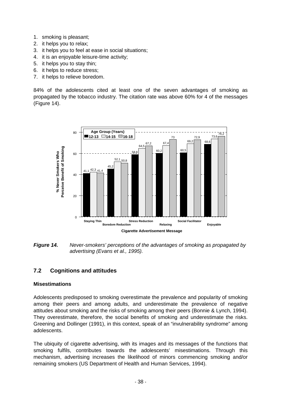- 1. smoking is pleasant;
- 2. it helps you to relax;
- 3. it helps you to feel at ease in social situations;
- 4. it is an enjoyable leisure-time activity;
- 5. it helps you to stay thin;
- 6. it helps to reduce stress;
- 7. it helps to relieve boredom.

84% of the adolescents cited at least one of the seven advantages of smoking as propagated by the tobacco industry. The citation rate was above 60% for 4 of the messages (Figure 14).



*Figure 14. Never-smokers' perceptions of the advantages of smoking as propagated by advertising (Evans et al., 1995).* 

## **7.2 Cognitions and attitudes**

#### **Misestimations**

Adolescents predisposed to smoking overestimate the prevalence and popularity of smoking among their peers and among adults, and underestimate the prevalence of negative attitudes about smoking and the risks of smoking among their peers (Bonnie & Lynch, 1994). They overestimate, therefore, the social benefits of smoking and underestimate the risks. Greening and Dollinger (1991), in this context, speak of an "invulnerability syndrome" among adolescents.

The ubiquity of cigarette advertising, with its images and its messages of the functions that smoking fulfils, contributes towards the adolescents' misestimations. Through this mechanism, advertising increases the likelihood of minors commencing smoking and/or remaining smokers (US Department of Health and Human Services, 1994).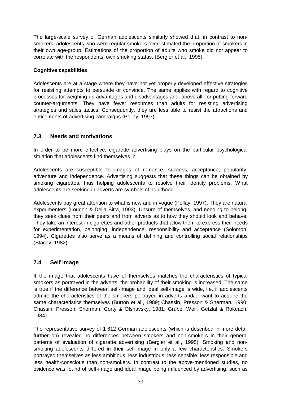The large-scale survey of German adolescents similarly showed that, in contrast to nonsmokers, adolescents who were regular smokers overestimated the proportion of smokers in their own age-group. Estimations of the proportion of adults who smoke did not appear to correlate with the respondents' own smoking status. (Bergler et al., 1995).

#### **Cognitive capabilities**

Adolescents are at a stage where they have not yet properly developed effective strategies for resisting attempts to persuade or convince. The same applies with regard to cognitive processes for weighing up advantages and disadvantages and, above all, for putting forward counter-arguments. They have fewer resources than adults for resisting advertising strategies and sales tactics. Consequently, they are less able to resist the attractions and enticements of advertising campaigns (Pollay, 1997).

## **7.3 Needs and motivations**

In order to be more effective, cigarette advertising plays on the particular psychological situation that adolescents find themselves in.

Adolescents are susceptible to images of romance, success, acceptance, popularity, adventure and independence. Advertising suggests that these things can be obtained by smoking cigarettes, thus helping adolescents to resolve their identity problems. What adolescents are seeking in adverts are symbols of adulthood.

Adolescents pay great attention to what is new and in vogue (Pollay, 1997). They are natural experimenters (Loudon & Della Bitta, 1993). Unsure of themselves, and needing to belong, they seek clues from their peers and from adverts as to how they should look and behave. They take an interest in cigarettes and other products that allow them to express their needs for experimentation, belonging, independence, responsibility and acceptance (Solomon, 1994). Cigarettes also serve as a means of defining and controlling social relationships (Stacey, 1982).

#### **7.4 Self image**

If the image that adolescents have of themselves matches the characteristics of typical smokers as portrayed in the adverts, the probability of their smoking is increased. The same is true if the difference between self-image and ideal self-image is wide, i.e. if adolescents admire the characteristics of the smokers portrayed in adverts and/or want to acquire the same characteristics themselves (Burton et al., 1989; Chassin, Presson & Sherman, 1990; Chassin, Presson, Sherman, Corty & Olshavsky, 1981; Grube, Weir, Getzlaf & Rokeach, 1984).

The representative survey of 1 612 German adolescents (which is described in more detail further on) revealed no differences between smokers and non-smokers in their general patterns of evaluation of cigarette advertising (Bergler et al., 1995). Smoking and nonsmoking adolescents differed in their self-image in only a few characteristics. Smokers portrayed themselves as less ambitious, less industrious, less sensible, less responsible and less health-conscious than non-smokers. In contrast to the above-mentioned studies, no evidence was found of self-image and ideal image being influenced by advertising, such as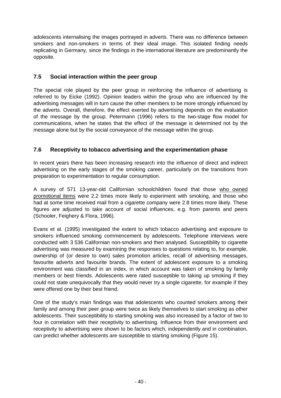adolescents internalising the images portrayed in adverts. There was no difference between smokers and non-smokers in terms of their ideal image. This isolated finding needs replicating in Germany, since the findings in the international literature are predominantly the opposite.

# **7.5 Social interaction within the peer group**

The special role played by the peer group in reinforcing the influence of advertising is referred to by Eicke (1992). Opinion leaders within the group who are influenced by the advertising messages will in turn cause the other members to be more strongly influenced by the adverts. Overall, therefore, the effect exerted by advertising depends on the evaluation of the message by the group. Petermann (1996) refers to the two-stage flow model for communications, when he states that the effect of the message is determined not by the message alone but by the social conveyance of the message within the group.

# **7.6 Receptivity to tobacco advertising and the experimentation phase**

In recent years there has been increasing research into the influence of direct and indirect advertising on the early stages of the smoking career, particularly on the transitions from preparation to experimentation to regular consumption.

A survey of 571 13-year-old Californian schoolchildren found that those who owned promotional items were 2.2 times more likely to experiment with smoking, and those who had at some time received mail from a cigarette company were 2.8 times more likely. These figures are adjusted to take account of social influences, e.g. from parents and peers (Schooler, Feighery & Flora, 1996).

Evans et al. (1995) investigated the extent to which tobacco advertising and exposure to smokers influenced smoking commencement by adolescents. Telephone interviews were conducted with 3 536 Californian non-smokers and then analysed. Susceptibility to cigarette advertising was measured by examining the responses to questions relating to, for example, ownership of (or desire to own) sales promotion articles, recall of advertising messages, favourite adverts and favourite brands. The extent of adolescent exposure to a smoking environment was classified in an index, in which account was taken of smoking by family members or best friends. Adolescents were rated susceptible to taking up smoking if they could not state unequivocally that they would never try a single cigarette, for example if they were offered one by their best friend.

One of the study's main findings was that adolescents who counted smokers among their family and among their peer group were twice as likely themselves to start smoking as other adolescents. Their susceptibility to starting smoking was also increased by a factor of two to four in correlation with their receptivity to advertising. Influence from their environment and receptivity to advertising were shown to be factors which, independently and in combination, can predict whether adolescents are susceptible to starting smoking (Figure 15).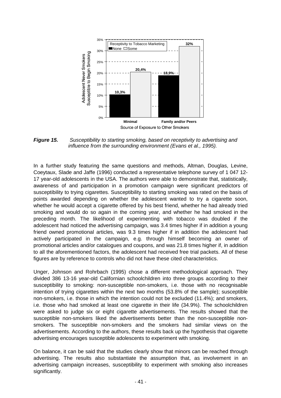

*Figure 15. Susceptibility to starting smoking, based on receptivity to advertising and influence from the surrounding environment (Evans et al., 1995).* 

In a further study featuring the same questions and methods, Altman, Douglas, Levine, Coeytaux, Slade and Jaffe (1996) conducted a representative telephone survey of 1 047 12- 17 year-old adolescents in the USA. The authors were able to demonstrate that, statistically, awareness of and participation in a promotion campaign were significant predictors of susceptibility to trying cigarettes. Susceptibility to starting smoking was rated on the basis of points awarded depending on whether the adolescent wanted to try a cigarette soon, whether he would accept a cigarette offered by his best friend, whether he had already tried smoking and would do so again in the coming year, and whether he had smoked in the preceding month. The likelihood of experimenting with tobacco was doubled if the adolescent had noticed the advertising campaign, was 3.4 times higher if in addition a young friend owned promotional articles, was 9.3 times higher if in addition the adolescent had actively participated in the campaign, e.g. through himself becoming an owner of promotional articles and/or catalogues and coupons, and was 21.8 times higher if, in addition to all the aforementioned factors, the adolescent had received free trial packets. All of these figures are by reference to controls who did not have these cited characteristics.

Unger, Johnson and Rohrbach (1995) chose a different methodological approach. They divided 386 13-16 year-old Californian schoolchildren into three groups according to their susceptibility to smoking: non-susceptible non-smokers, i.e. those with no recognisable intention of trying cigarettes within the next two months (53.8% of the sample); susceptible non-smokers, i.e. those in which the intention could not be excluded (11.4%); and smokers, i.e. those who had smoked at least one cigarette in their life (34.9%). The schoolchildren were asked to judge six or eight cigarette advertisements. The results showed that the susceptible non-smokers liked the advertisements better than the non-susceptible nonsmokers. The susceptible non-smokers and the smokers had similar views on the advertisements. According to the authors, these results back up the hypothesis that cigarette advertising encourages susceptible adolescents to experiment with smoking.

On balance, it can be said that the studies clearly show that minors can be reached through advertising. The results also substantiate the assumption that, as involvement in an advertising campaign increases, susceptibility to experiment with smoking also increases significantly.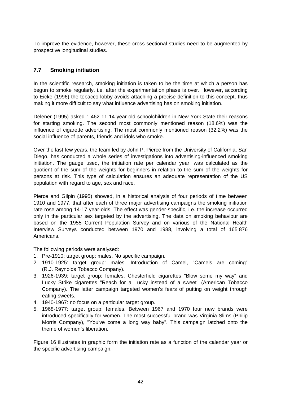To improve the evidence, however, these cross-sectional studies need to be augmented by prospective longitudinal studies.

## **7.7 Smoking initiation**

In the scientific research, smoking initiation is taken to be the time at which a person has begun to smoke regularly, i.e. after the experimentation phase is over. However, according to Eicke (1996) the tobacco lobby avoids attaching a precise definition to this concept, thus making it more difficult to say what influence advertising has on smoking initiation.

Delener (1995) asked 1 462 11-14 year-old schoolchildren in New York State their reasons for starting smoking. The second most commonly mentioned reason (18.6%) was the influence of cigarette advertising. The most commonly mentioned reason (32.2%) was the social influence of parents, friends and idols who smoke.

Over the last few years, the team led by John P. Pierce from the University of California, San Diego, has conducted a whole series of investigations into advertising-influenced smoking initiation. The gauge used, the initiation rate per calendar year, was calculated as the quotient of the sum of the weights for beginners in relation to the sum of the weights for persons at risk. This type of calculation ensures an adequate representation of the US population with regard to age, sex and race.

Pierce and Gilpin (1995) showed, in a historical analysis of four periods of time between 1910 and 1977, that after each of three major advertising campaigns the smoking initiation rate rose among 14-17 year-olds. The effect was gender-specific, i.e. the increase occurred only in the particular sex targeted by the advertising. The data on smoking behaviour are based on the 1955 Current Population Survey and on various of the National Health Interview Surveys conducted between 1970 and 1988, involving a total of 165 876 Americans.

The following periods were analysed:

- 1. Pre-1910: target group: males. No specific campaign.
- 2. 1910-1925: target group: males. Introduction of Camel, "Camels are coming" (R.J. Reynolds Tobacco Company).
- 3. 1926-1939: target group: females. Chesterfield cigarettes "Blow some my way" and Lucky Strike cigarettes "Reach for a Lucky instead of a sweet" (American Tobacco Company). The latter campaign targeted women's fears of putting on weight through eating sweets.
- 4. 1940-1967: no focus on a particular target group.
- 5. 1968-1977: target group: females. Between 1967 and 1970 four new brands were introduced specifically for women. The most successful brand was Virginia Slims (Philip Morris Company), "You've come a long way baby". This campaign latched onto the theme of women's liberation.

Figure 16 illustrates in graphic form the initiation rate as a function of the calendar year or the specific advertising campaign.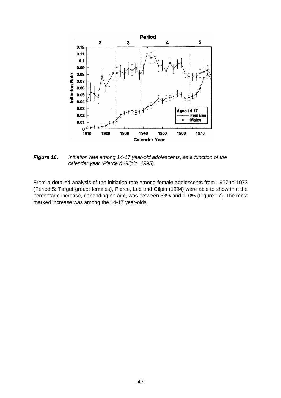

*Figure 16. Initiation rate among 14-17 year-old adolescents, as a function of the calendar year (Pierce & Gilpin, 1995).* 

From a detailed analysis of the initiation rate among female adolescents from 1967 to 1973 (Period 5: Target group: females), Pierce, Lee and Gilpin (1994) were able to show that the percentage increase, depending on age, was between 33% and 110% (Figure 17). The most marked increase was among the 14-17 year-olds.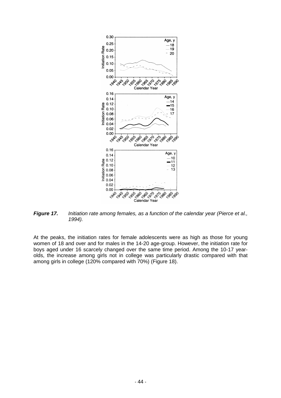

*Figure 17. Initiation rate among females, as a function of the calendar year (Pierce et al., 1994).* 

At the peaks, the initiation rates for female adolescents were as high as those for young women of 18 and over and for males in the 14-20 age-group. However, the initiation rate for boys aged under 16 scarcely changed over the same time period. Among the 10-17 yearolds, the increase among girls not in college was particularly drastic compared with that among girls in college (120% compared with 70%) (Figure 18).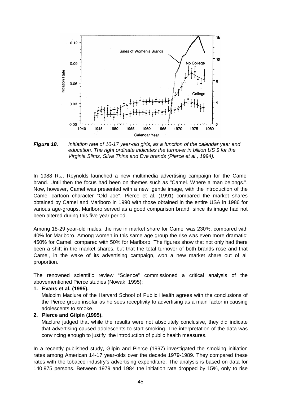

*Figure 18. Initiation rate of 10-17 year-old girls, as a function of the calendar year and education. The right ordinate indicates the turnover in billion US \$ for the Virginia Slims, Silva Thins and Eve brands (Pierce et al., 1994).* 

In 1988 R.J. Reynolds launched a new multimedia advertising campaign for the Camel brand. Until then the focus had been on themes such as "Camel. Where a man belongs.". Now, however, Camel was presented with a new, gentle image, with the introduction of the Camel cartoon character "Old Joe". Pierce et al. (1991) compared the market shares obtained by Camel and Marlboro in 1990 with those obtained in the entire USA in 1986 for various age-groups. Marlboro served as a good comparison brand, since its image had not been altered during this five-year period.

Among 18-29 year-old males, the rise in market share for Camel was 230%, compared with 40% for Marlboro. Among women in this same age group the rise was even more dramatic: 450% for Camel, compared with 50% for Marlboro. The figures show that not only had there been a shift in the market shares, but that the total turnover of both brands rose and that Camel, in the wake of its advertising campaign, won a new market share out of all proportion.

The renowned scientific review "Science" commissioned a critical analysis of the abovementioned Pierce studies (Nowak, 1995):

**1. Evans et al. (1995).** 

Malcolm Maclure of the Harvard School of Public Health agrees with the conclusions of the Pierce group insofar as he sees receptivity to advertising as a main factor in causing adolescents to smoke.

#### **2. Pierce and Gilpin (1995).**

Maclure judged that while the results were not absolutely conclusive, they did indicate that advertising caused adolescents to start smoking. The interpretation of the data was convincing enough to justify the introduction of public health measures.

In a recently published study, Gilpin and Pierce (1997) investigated the smoking initiation rates among American 14-17 year-olds over the decade 1979-1989. They compared these rates with the tobacco industry's advertising expenditure. The analysis is based on data for 140 975 persons. Between 1979 and 1984 the initiation rate dropped by 15%, only to rise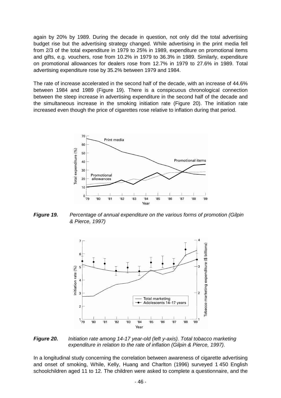again by 20% by 1989. During the decade in question, not only did the total advertising budget rise but the advertising strategy changed. While advertising in the print media fell from 2/3 of the total expenditure in 1979 to 25% in 1989, expenditure on promotional items and gifts, e.g. vouchers, rose from 10.2% in 1979 to 36.3% in 1989. Similarly, expenditure on promotional allowances for dealers rose from 12.7% in 1979 to 27.6% in 1989. Total advertising expenditure rose by 35.2% between 1979 and 1984.

The rate of increase accelerated in the second half of the decade, with an increase of 44.6% between 1984 and 1989 (Figure 19). There is a conspicuous chronological connection between the steep increase in advertising expenditure in the second half of the decade and the simultaneous increase in the smoking initiation rate (Figure 20). The initiation rate increased even though the price of cigarettes rose relative to inflation during that period.



*Figure 19. Percentage of annual expenditure on the various forms of promotion (Gilpin & Pierce, 1997)* 



*Figure 20. Initiation rate among 14-17 year-old (left y-axis). Total tobacco marketing expenditure in relation to the rate of inflation (Gilpin & Pierce, 1997).* 

In a longitudinal study concerning the correlation between awareness of cigarette advertising and onset of smoking, While, Kelly, Huang and Charlton (1996) surveyed 1 450 English schoolchildren aged 11 to 12. The children were asked to complete a questionnaire, and the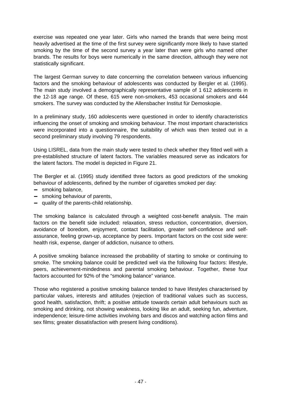exercise was repeated one year later. Girls who named the brands that were being most heavily advertised at the time of the first survey were significantly more likely to have started smoking by the time of the second survey a year later than were girls who named other brands. The results for boys were numerically in the same direction, although they were not statistically significant.

The largest German survey to date concerning the correlation between various influencing factors and the smoking behaviour of adolescents was conducted by Bergler et al. (1995). The main study involved a demographically representative sample of 1 612 adolescents in the 12-18 age range. Of these, 615 were non-smokers, 453 occasional smokers and 444 smokers. The survey was conducted by the Allensbacher Institut für Demoskopie.

In a preliminary study, 160 adolescents were questioned in order to identify characteristics influencing the onset of smoking and smoking behaviour. The most important characteristics were incorporated into a questionnaire, the suitability of which was then tested out in a second preliminary study involving 79 respondents.

Using LISREL, data from the main study were tested to check whether they fitted well with a pre-established structure of latent factors. The variables measured serve as indicators for the latent factors. The model is depicted in Figure 21.

The Bergler et al. (1995) study identified three factors as good predictors of the smoking behaviour of adolescents, defined by the number of cigarettes smoked per day:

- − smoking balance,
- − smoking behaviour of parents,
- − quality of the parents-child relationship.

The smoking balance is calculated through a weighted cost-benefit analysis. The main factors on the benefit side included: relaxation, stress reduction, concentration, diversion, avoidance of boredom, enjoyment, contact facilitation, greater self-confidence and selfassurance, feeling grown-up, acceptance by peers. Important factors on the cost side were: health risk, expense, danger of addiction, nuisance to others.

A positive smoking balance increased the probability of starting to smoke or continuing to smoke. The smoking balance could be predicted well via the following four factors: lifestyle, peers, achievement-mindedness and parental smoking behaviour. Together, these four factors accounted for 92% of the "smoking balance" variance.

Those who registered a positive smoking balance tended to have lifestyles characterised by particular values, interests and attitudes (rejection of traditional values such as success, good health, satisfaction, thrift; a positive attitude towards certain adult behaviours such as smoking and drinking, not showing weakness, looking like an adult, seeking fun, adventure, independence; leisure-time activities involving bars and discos and watching action films and sex films; greater dissatisfaction with present living conditions).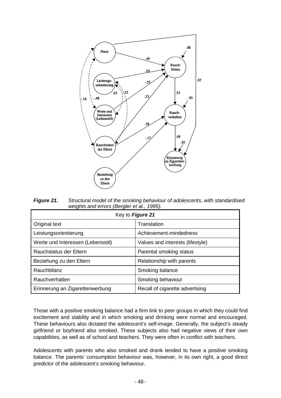

*Figure 21. Structural model of the smoking behaviour of adolescents, with standardised weights and errors (Bergler et al., 1995).* 

| Key to Figure 21                  |                                  |  |  |
|-----------------------------------|----------------------------------|--|--|
| Original text                     | Translation                      |  |  |
| Leistungsorientierung             | Achievement-mindedness           |  |  |
| Werte und Interessen (Lebensstil) | Values and interests (lifestyle) |  |  |
| Rauchstatus der Eltern            | Parental smoking status          |  |  |
| Beziehung zu den Eltern           | Relationship with parents        |  |  |
| Rauchbilanz                       | Smoking balance                  |  |  |
| Rauchverhalten                    | Smoking behaviour                |  |  |
| Erinnerung an Zigarettenwerbung   | Recall of cigarette advertising  |  |  |

Those with a positive smoking balance had a firm link to peer groups in which they could find excitement and stability and in which smoking and drinking were normal and encouraged. These behaviours also dictated the adolescent's self-image. Generally, the subject's steady girlfriend or boyfriend also smoked. These subjects also had negative views of their own capabilities, as well as of school and teachers. They were often in conflict with teachers.

Adolescents with parents who also smoked and drank tended to have a positive smoking balance. The parents' consumption behaviour was, however, in its own right, a good direct predictor of the adolescent's smoking behaviour.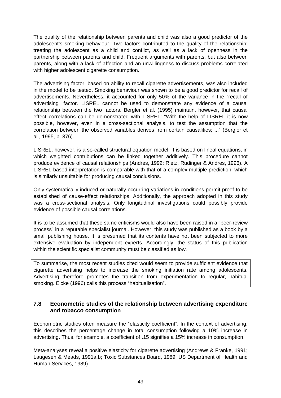The quality of the relationship between parents and child was also a good predictor of the adolescent's smoking behaviour. Two factors contributed to the quality of the relationship: treating the adolescent as a child and conflict, as well as a lack of openness in the partnership between parents and child. Frequent arguments with parents, but also between parents, along with a lack of affection and an unwillingness to discuss problems correlated with higher adolescent cigarette consumption.

The advertising factor, based on ability to recall cigarette advertisements, was also included in the model to be tested. Smoking behaviour was shown to be a good predictor for recall of advertisements. Nevertheless, it accounted for only 50% of the variance in the "recall of advertising" factor. LISREL cannot be used to demonstrate any evidence of a causal relationship between the two factors. Bergler et al. (1995) maintain, however, that causal effect correlations can be demonstrated with LISREL: "With the help of LISREL it is now possible, however, even in a cross-sectional analysis, to test the assumption that the correlation between the observed variables derives from certain causalities; ..." (Bergler et al., 1995, p. 376).

LISREL, however, is a so-called structural equation model. It is based on lineal equations, in which weighted contributions can be linked together additively. This procedure cannot produce evidence of causal relationships (Andres, 1992; Rietz, Rudinger & Andres, 1996). A LISREL-based interpretation is comparable with that of a complex multiple prediction, which is similarly unsuitable for producing causal conclusions.

Only systematically induced or naturally occurring variations in conditions permit proof to be established of cause-effect relationships. Additionally, the approach adopted in this study was a cross-sectional analysis. Only longitudinal investigations could possibly provide evidence of possible causal correlations.

It is to be assumed that these same criticisms would also have been raised in a "peer-review process" in a reputable specialist journal. However, this study was published as a book by a small publishing house. It is presumed that its contents have not been subjected to more extensive evaluation by independent experts. Accordingly, the status of this publication within the scientific specialist community must be classified as low.

To summarise, the most recent studies cited would seem to provide sufficient evidence that cigarette advertising helps to increase the smoking initiation rate among adolescents. Advertising therefore promotes the transition from experimentation to regular, habitual smoking. Eicke (1996) calls this process "habitualisation".

## **7.8 Econometric studies of the relationship between advertising expenditure and tobacco consumption**

Econometric studies often measure the "elasticity coefficient". In the context of advertising, this describes the percentage change in total consumption following a 10% increase in advertising. Thus, for example, a coefficient of .15 signifies a 15% increase in consumption.

Meta-analyses reveal a positive elasticity for cigarette advertising (Andrews & Franke, 1991; Laugesen & Meads, 1991a,b; Toxic Substances Board, 1989; US Department of Health and Human Services, 1989).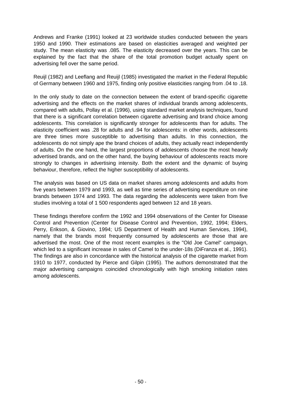Andrews and Franke (1991) looked at 23 worldwide studies conducted between the years 1950 and 1990. Their estimations are based on elasticities averaged and weighted per study. The mean elasticity was .085. The elasticity decreased over the years. This can be explained by the fact that the share of the total promotion budget actually spent on advertising fell over the same period.

Reuijl (1982) and Leeflang and Reuijl (1985) investigated the market in the Federal Republic of Germany between 1960 and 1975, finding only positive elasticities ranging from .04 to .18.

In the only study to date on the connection between the extent of brand-specific cigarette advertising and the effects on the market shares of individual brands among adolescents, compared with adults, Pollay et al. (1996), using standard market analysis techniques, found that there is a significant correlation between cigarette advertising and brand choice among adolescents. This correlation is significantly stronger for adolescents than for adults. The elasticity coefficient was .28 for adults and .94 for adolescents: in other words, adolescents are three times more susceptible to advertising than adults. In this connection, the adolescents do not simply ape the brand choices of adults, they actually react independently of adults. On the one hand, the largest proportions of adolescents choose the most heavily advertised brands, and on the other hand, the buying behaviour of adolescents reacts more strongly to changes in advertising intensity. Both the extent and the dynamic of buying behaviour, therefore, reflect the higher susceptibility of adolescents.

The analysis was based on US data on market shares among adolescents and adults from five years between 1979 and 1993, as well as time series of advertising expenditure on nine brands between 1974 and 1993. The data regarding the adolescents were taken from five studies involving a total of 1 500 respondents aged between 12 and 18 years.

These findings therefore confirm the 1992 and 1994 observations of the Center for Disease Control and Prevention (Center for Disease Control and Prevention, 1992, 1994; Elders, Perry, Erikson, & Giovino, 1994; US Department of Health and Human Services, 1994), namely that the brands most frequently consumed by adolescents are those that are advertised the most. One of the most recent examples is the "Old Joe Camel" campaign, which led to a significant increase in sales of Camel to the under-18s (DiFranza et al., 1991). The findings are also in concordance with the historical analysis of the cigarette market from 1910 to 1977, conducted by Pierce and Gilpin (1995). The authors demonstrated that the major advertising campaigns coincided chronologically with high smoking initiation rates among adolescents.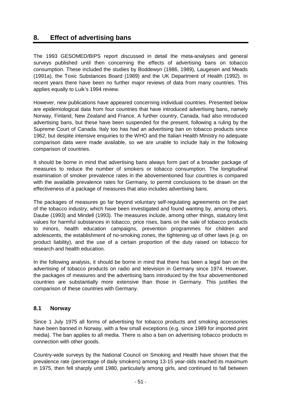# **8. Effect of advertising bans**

The 1993 GESOMED/BIPS report discussed in detail the meta-analyses and general surveys published until then concerning the effects of advertising bans on tobacco consumption. These included the studies by Boddewyn (1986, 1989), Laugesen and Meads (1991a), the Toxic Substances Board (1989) and the UK Department of Health (1992). In recent years there have been no further major reviews of data from many countries. This applies equally to Luik's 1994 review.

However, new publications have appeared concerning individual countries. Presented below are epidemiological data from four countries that have introduced advertising bans, namely Norway, Finland, New Zealand and France. A further country, Canada, had also introduced advertising bans, but these have been suspended for the present, following a ruling by the Supreme Court of Canada. Italy too has had an advertising ban on tobacco products since 1962, but despite intensive enquiries to the WHO and the Italian Health Ministry no adequate comparison data were made available, so we are unable to include Italy in the following comparison of countries.

It should be borne in mind that advertising bans always form part of a broader package of measures to reduce the number of smokers or tobacco consumption. The longitudinal examination of smoker prevalence rates in the abovementioned four countries is compared with the available prevalence rates for Germany, to permit conclusions to be drawn on the effectiveness of a package of measures that also includes advertising bans.

The packages of measures go far beyond voluntary self-regulating agreements on the part of the tobacco industry, which have been investigated and found wanting by, among others, Daube (1993) and Mindell (1993). The measures include, among other things, statutory limit values for harmful substances in tobacco, price rises, bans on the sale of tobacco products to minors, health education campaigns, prevention programmes for children and adolescents, the establishment of no-smoking zones, the tightening up of other laws (e.g. on product liability), and the use of a certain proportion of the duty raised on tobacco for research and health education.

In the following analysis, it should be borne in mind that there has been a legal ban on the advertising of tobacco products on radio and television in Germany since 1974. However, the packages of measures and the advertising bans introduced by the four abovementioned countries are substantially more extensive than those in Germany. This justifies the comparison of these countries with Germany.

#### **8.1 Norway**

Since 1 July 1975 all forms of advertising for tobacco products and smoking accessories have been banned in Norway, with a few small exceptions (e.g. since 1989 for imported print media). The ban applies to all media. There is also a ban on advertising tobacco products in connection with other goods.

Country-wide surveys by the National Council on Smoking and Health have shown that the prevalence rate (percentage of daily smokers) among 13-15 year-olds reached its maximum in 1975, then fell sharply until 1980, particularly among girls, and continued to fall between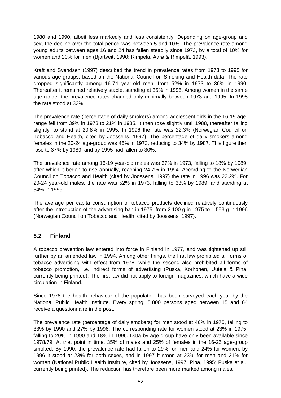1980 and 1990, albeit less markedly and less consistently. Depending on age-group and sex, the decline over the total period was between 5 and 10%. The prevalence rate among young adults between ages 16 and 24 has fallen steadily since 1973, by a total of 10% for women and 20% for men (Bjartveit, 1990; Rimpelä, Aarø & Rimpelä, 1993).

Kraft and Svendsen (1997) described the trend in prevalence rates from 1973 to 1995 for various age-groups, based on the National Council on Smoking and Health data. The rate dropped significantly among 16-74 year-old men, from 52% in 1973 to 36% in 1990. Thereafter it remained relatively stable, standing at 35% in 1995. Among women in the same age-range, the prevalence rates changed only minimally between 1973 and 1995. In 1995 the rate stood at 32%.

The prevalence rate (percentage of daily smokers) among adolescent girls in the 16-19 agerange fell from 39% in 1973 to 21% in 1985. It then rose slightly until 1988, thereafter falling slightly, to stand at 20.8% in 1995. In 1996 the rate was 22.3% (Norwegian Council on Tobacco and Health, cited by Joossens, 1997). The percentage of daily smokers among females in the 20-24 age-group was 46% in 1973, reducing to 34% by 1987. This figure then rose to 37% by 1989, and by 1995 had fallen to 30%.

The prevalence rate among 16-19 year-old males was 37% in 1973, falling to 18% by 1989, after which it began to rise annually, reaching 24.7% in 1994. According to the Norwegian Council on Tobacco and Health (cited by Joossens, 1997) the rate in 1996 was 22.2%. For 20-24 year-old males, the rate was 52% in 1973, falling to 33% by 1989, and standing at 34% in 1995.

The average per capita consumption of tobacco products declined relatively continuously after the introduction of the advertising ban in 1975, from 2 100 g in 1975 to 1 553 g in 1996 (Norwegian Council on Tobacco and Health, cited by Joossens, 1997).

## **8.2 Finland**

A tobacco prevention law entered into force in Finland in 1977, and was tightened up still further by an amended law in 1994. Among other things, the first law prohibited all forms of tobacco advertising with effect from 1978, while the second also prohibited all forms of tobacco promotion, i.e. indirect forms of advertising (Puska, Korhonen, Uutela & Piha, currently being printed). The first law did not apply to foreign magazines, which have a wide circulation in Finland.

Since 1978 the health behaviour of the population has been surveyed each year by the National Public Health Institute. Every spring, 5 000 persons aged between 15 and 64 receive a questionnaire in the post.

The prevalence rate (percentage of daily smokers) for men stood at 46% in 1975, falling to 33% by 1990 and 27% by 1996. The corresponding rate for women stood at 23% in 1975, falling to 20% in 1990 and 18% in 1996. Data by age-group have only been available since 1978/79. At that point in time, 35% of males and 25% of females in the 16-25 age-group smoked. By 1990, the prevalence rate had fallen to 29% for men and 24% for women, by 1996 it stood at 23% for both sexes, and in 1997 it stood at 23% for men and 21% for women (National Public Health Institute, cited by Joossens, 1997; Piha, 1995; Puska et al., currently being printed). The reduction has therefore been more marked among males.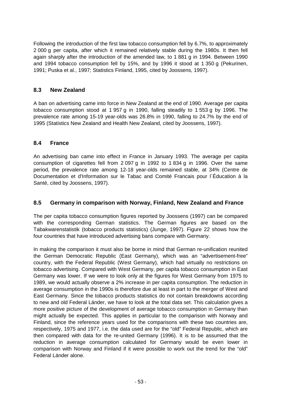Following the introduction of the first law tobacco consumption fell by 6.7%, to approximately 2 000 g per capita, after which it remained relatively stable during the 1980s. It then fell again sharply after the introduction of the amended law, to 1 881 g in 1994. Between 1990 and 1994 tobacco consumption fell by 15%, and by 1996 it stood at 1 350 g (Pekurinen, 1991; Puska et al., 1997; Statistics Finland, 1995, cited by Joossens, 1997).

## **8.3 New Zealand**

A ban on advertising came into force in New Zealand at the end of 1990. Average per capita tobacco consumption stood at 1 957 g in 1990, falling steadily to 1 553 g by 1996. The prevalence rate among 15-19 year-olds was 26.8% in 1990, falling to 24.7% by the end of 1995 (Statistics New Zealand and Health New Zealand, cited by Joossens, 1997).

## **8.4 France**

An advertising ban came into effect in France in January 1993. The average per capita consumption of cigarettes fell from 2 097 g in 1992 to 1 834 g in 1996. Over the same period, the prevalence rate among 12-18 year-olds remained stable, at 34% (Centre de Documentation et d'Information sur le Tabac and Comité Francais pour l´Éducation à la Santé, cited by Joossens, 1997).

## **8.5 Germany in comparison with Norway, Finland, New Zealand and France**

The per capita tobacco consumption figures reported by Joossens (1997) can be compared with the corresponding German statistics. The German figures are based on the Tabakwarenstatistik (tobacco products statistics) (Junge, 1997). Figure 22 shows how the four countries that have introduced advertising bans compare with Germany.

In making the comparison it must also be borne in mind that German re-unification reunited the German Democratic Republic (East Germany), which was an "advertisement-free" country, with the Federal Republic (West Germany), which had virtually no restrictions on tobacco advertising. Compared with West Germany, per capita tobacco consumption in East Germany was lower. If we were to look only at the figures for West Germany from 1975 to 1989, we would actually observe a 2% increase in per capita consumption. The reduction in average consumption in the 1990s is therefore due at least in part to the merger of West and East Germany. Since the tobacco products statistics do not contain breakdowns according to new and old Federal Länder, we have to look at the total data set. This calculation gives a more positive picture of the development of average tobacco consumption in Germany than might actually be expected. This applies in particular to the comparison with Norway and Finland, since the reference years used for the comparisons with these two countries are, respectively, 1975 and 1977, i.e. the data used are for the "old" Federal Republic, which are then compared with data for the re-united Germany (1996). It is to be assumed that the reduction in average consumption calculated for Germany would be even lower in comparison with Norway and Finland if it were possible to work out the trend for the "old" Federal Länder alone.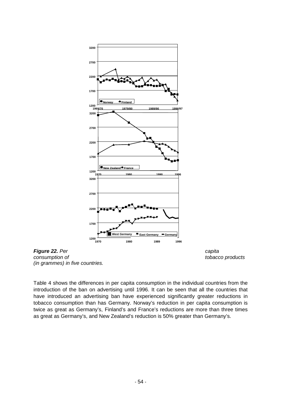

**Figure 22.** Per capita *consumption of tobacco products (in grammes) in five countries.* 

Table 4 shows the differences in per capita consumption in the individual countries from the introduction of the ban on advertising until 1996. It can be seen that all the countries that have introduced an advertising ban have experienced significantly greater reductions in tobacco consumption than has Germany. Norway's reduction in per capita consumption is twice as great as Germany's, Finland's and France's reductions are more than three times as great as Germany's, and New Zealand's reduction is 50% greater than Germany's.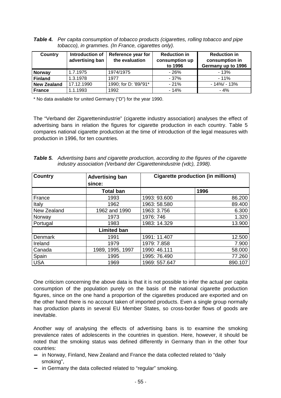| <b>Table 4.</b> Per capita consumption of tobacco products (cigarettes, rolling tobacco and pipe |
|--------------------------------------------------------------------------------------------------|
| tobacco), in grammes. (In France, cigarettes only).                                              |

| <b>Country</b>     | Introduction of<br>advertising ban | Reference year for<br>the evaluation | <b>Reduction in</b><br>consumption up<br>to 1996 | <b>Reduction in</b><br>consumption in<br>Germany up to 1996 |
|--------------------|------------------------------------|--------------------------------------|--------------------------------------------------|-------------------------------------------------------------|
| <b>Norway</b>      | 1.7.1975                           | 1974/1975                            | $-26%$                                           | $-13%$                                                      |
| <b>Finland</b>     | 1.3.1978                           | 1977                                 | $-37%$                                           | $-11%$                                                      |
| <b>New Zealand</b> | 17.12.1990                         | 1990; for D: '89/'91*                | $-21%$                                           | $-14\% - 13\%$                                              |
| <b>France</b>      | 1.1.1993                           | 1992                                 | $-14%$                                           | $-4%$                                                       |

\* No data available for united Germany ("D") for the year 1990.

The "Verband der Zigarettenindustrie" (cigarette industry association) analyses the effect of advertising bans in relation the figures for cigarette production in each country. Table 5 compares national cigarette production at the time of introduction of the legal measures with production in 1996, for ten countries.

| <b>Table 5.</b> Advertising bans and cigarette production, according to the figures of the cigarette |
|------------------------------------------------------------------------------------------------------|
| industry association (Verband der Cigarettenindustrie (vdc), 1998).                                  |

| <b>Country</b> | <b>Advertising ban</b> | <b>Cigarette production (in millions)</b> |         |
|----------------|------------------------|-------------------------------------------|---------|
|                | since:                 |                                           |         |
|                | <b>Total ban</b>       |                                           | 1996    |
| France         | 1993                   | 1993: 93.600                              | 86.200  |
| Italy          | 1962                   | 1963: 58.580                              | 89.400  |
| New Zealand    | 1962 and 1990          | 1963: 3.756                               | 6.300   |
| Norway         | 1973                   | 1976: 746                                 | 1.320   |
| Portugal       | 1983                   | 1983: 14.329                              | 13.900  |
|                | <b>Limited ban</b>     |                                           |         |
| <b>Denmark</b> | 1991                   | 1991: 11.407                              | 12.500  |
| Ireland        | 1979                   | 1979: 7.858                               | 7.900   |
| Canada         | 1989, 1995, 1997       | 1990: 46.111                              | 58.000  |
| Spain          | 1995                   | 1995: 76.490                              | 77.260  |
| <b>USA</b>     | 1969                   | 1969: 557.647                             | 890.107 |

One criticism concerning the above data is that it is not possible to infer the actual per capita consumption of the population purely on the basis of the national cigarette production figures, since on the one hand a proportion of the cigarettes produced are exported and on the other hand there is no account taken of imported products. Even a single group normally has production plants in several EU Member States, so cross-border flows of goods are inevitable.

Another way of analysing the effects of advertising bans is to examine the smoking prevalence rates of adolescents in the countries in question. Here, however, it should be noted that the smoking status was defined differently in Germany than in the other four countries:

- − in Norway, Finland, New Zealand and France the data collected related to "daily smoking",
- − in Germany the data collected related to "regular" smoking.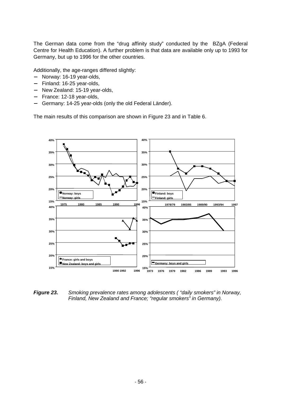The German data come from the "drug affinity study" conducted by the BZgA (Federal Centre for Health Education). A further problem is that data are available only up to 1993 for Germany, but up to 1996 for the other countries.

Additionally, the age-ranges differed slightly:

- − Norway: 16-19 year-olds,
- − Finland: 16-25 year-olds,
- − New Zealand: 15-19 year-olds,
- − France: 12-18 year-olds,
- Germany: 14-25 year-olds (only the old Federal Länder).

The main results of this comparison are shown in Figure 23 and in Table 6.



*Figure 23. Smoking prevalence rates among adolescents ( "daily smokers" in Norway, Finland, New Zealand and France; "regular smokers" in Germany).*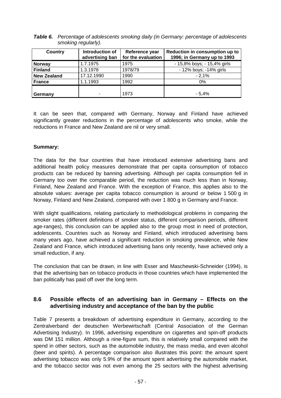| <b>Table 6.</b> Percentage of adolescents smoking daily (in Germany: percentage of adolescents |
|------------------------------------------------------------------------------------------------|
| smoking regularly).                                                                            |

| Country            | Introduction of<br>advertising ban | Reference year<br>for the evaluation | Reduction in consumption up to<br>1996; in Germany up to 1993 |
|--------------------|------------------------------------|--------------------------------------|---------------------------------------------------------------|
| <b>Norway</b>      | 1.7.1975                           | 1975                                 | - 15,8% boys; - 15,4% girls                                   |
| <b>Finland</b>     | 1.3.1978                           | 1978/79                              | - 12% boys; -14% girls                                        |
| <b>New Zealand</b> | 17.12.1990                         | 1990                                 | $-2.1%$                                                       |
| <b>France</b>      | 1.1.1993                           | 1992                                 | 0%                                                            |
|                    |                                    | 1973                                 | $-5.4%$                                                       |
| Germany            |                                    |                                      |                                                               |

It can be seen that, compared with Germany, Norway and Finland have achieved significantly greater reductions in the percentage of adolescents who smoke, while the reductions in France and New Zealand are nil or very small.

#### **Summary:**

The data for the four countries that have introduced extensive advertising bans and additional health policy measures demonstrate that per capita consumption of tobacco products can be reduced by banning advertising. Although per capita consumption fell in Germany too over the comparable period, the reduction was much less than in Norway, Finland, New Zealand and France. With the exception of France, this applies also to the absolute values: average per capita tobacco consumption is around or below 1 500 g in Norway, Finland and New Zealand, compared with over 1 800 g in Germany and France.

With slight qualifications, relating particularly to methodological problems in comparing the smoker rates (different definitions of smoker status, different comparison periods, different age-ranges), this conclusion can be applied also to the group most in need of protection, adolescents. Countries such as Norway and Finland, which introduced advertising bans many years ago, have achieved a significant reduction in smoking prevalence, while New Zealand and France, which introduced advertising bans only recently, have achieved only a small reduction, if any.

The conclusion that can be drawn, in line with Esser and Maschewski-Schneider (1994), is that the advertising ban on tobacco products in those countries which have implemented the ban politically has paid off over the long term.

## **8.6 Possible effects of an advertising ban in Germany – Effects on the advertising industry and acceptance of the ban by the public**

Table 7 presents a breakdown of advertising expenditure in Germany, according to the Zentralverband der deutschen Werbewirtschaft (Central Association of the German Advertising Industry). In 1996, advertising expenditure on cigarettes and spin-off products was DM 151 million. Although a nine-figure sum, this is relatively small compared with the spend in other sectors, such as the automobile industry, the mass media, and even alcohol (beer and spirits). A percentage comparison also illustrates this point: the amount spent advertising tobacco was only 5.9% of the amount spent advertising the automobile market, and the tobacco sector was not even among the 25 sectors with the highest advertising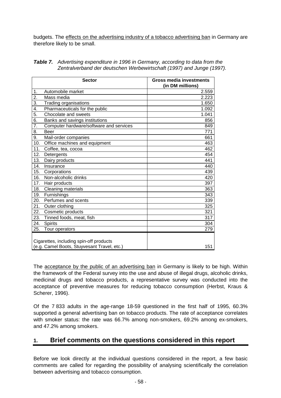budgets. The effects on the advertising industry of a tobacco advertising ban in Germany are therefore likely to be small.

|     | <b>Sector</b>                                                                          | Gross media investments<br>(in DM millions) |
|-----|----------------------------------------------------------------------------------------|---------------------------------------------|
| 1.  | Automobile market                                                                      | 2.559                                       |
| 2.  | Mass media                                                                             | 2.223                                       |
| 3.  | Trading organisations                                                                  | 1.650                                       |
| 4.  | Pharmaceuticals for the public                                                         | 1.092                                       |
| 5.  | Chocolate and sweets                                                                   | 1.041                                       |
| 6.  | Banks and savings institutions                                                         | 856                                         |
| 7.  | Computer hardware/software and services                                                | 849                                         |
| 8.  | <b>Beer</b>                                                                            | 771                                         |
| 9.  | Mail-order companies                                                                   | 661                                         |
| 10. | Office machines and equipment                                                          | 463                                         |
| 11. | Coffee, tea, cocoa                                                                     | 462                                         |
| 12. | Detergents                                                                             | 454                                         |
| 13. | Dairy products                                                                         | 441                                         |
| 14. | Insurance                                                                              | 440                                         |
| 15. | Corporations                                                                           | 439                                         |
| 16. | Non-alcoholic drinks                                                                   | 420                                         |
| 17. | Hair products                                                                          | 397                                         |
| 18. | Cleaning materials                                                                     | 363                                         |
| 19. | Furnishings                                                                            | 343                                         |
| 20. | Perfumes and scents                                                                    | 339                                         |
| 21. | Outer clothing                                                                         | 325                                         |
| 22. | Cosmetic products                                                                      | 321                                         |
| 23. | Tinned foods, meat, fish                                                               | 317                                         |
| 24. | <b>Spirits</b>                                                                         | 304                                         |
| 25. | Tour operators                                                                         | 279                                         |
|     | Cigarettes, including spin-off products<br>(e.g. Camel Boots, Stuyvesant Travel, etc.) | 151                                         |

| <b>Table 7.</b> Advertising expenditure in 1996 in Germany, according to data from the |  |  |
|----------------------------------------------------------------------------------------|--|--|
| Zentralverband der deutschen Werbewirtschaft (1997) and Junge (1997).                  |  |  |

The acceptance by the public of an advertising ban in Germany is likely to be high. Within the framework of the Federal survey into the use and abuse of illegal drugs, alcoholic drinks, medicinal drugs and tobacco products, a representative survey was conducted into the acceptance of preventive measures for reducing tobacco consumption (Herbst, Kraus & Scherer, 1996).

Of the 7 833 adults in the age-range 18-59 questioned in the first half of 1995, 60.3% supported a general advertising ban on tobacco products. The rate of acceptance correlates with smoker status: the rate was 66.7% among non-smokers, 69.2% among ex-smokers, and 47.2% among smokers.

# **1. Brief comments on the questions considered in this report**

Before we look directly at the individual questions considered in the report, a few basic comments are called for regarding the possibility of analysing scientifically the correlation between advertising and tobacco consumption.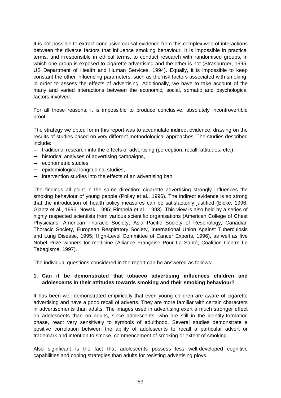It is not possible to extract conclusive causal evidence from this complex web of interactions between the diverse factors that influence smoking behaviour. It is impossible in practical terms, and irresponsible in ethical terms, to conduct research with randomised groups, in which one group is exposed to cigarette advertising and the other is not (Strasburger, 1995; US Department of Health and Human Services, 1994). Equally, it is impossible to keep constant the other influencing parameters, such as the risk factors associated with smoking, in order to assess the effects of advertising. Additionally, we have to take account of the many and varied interactions between the economic, social, somatic and psychological factors involved.

For all these reasons, it is impossible to produce conclusive, absolutely incontrovertible proof.

The strategy we opted for in this report was to accumulate indirect evidence, drawing on the results of studies based on very different methodological approaches. The studies described include:

- − traditional research into the effects of advertising (perception, recall, attitudes, etc.),
- − historical analyses of advertising campaigns,
- − econometric studies,
- − epidemiological longitudinal studies,
- − intervention studies into the effects of an advertising ban.

The findings all point in the same direction: cigarette advertising strongly influences the smoking behaviour of young people (Pollay et al., 1996). The indirect evidence is so strong that the introduction of health policy measures can be satisfactorily justified (Eicke, 1996; Glantz et al., 1996; Nowak, 1995; Rimpelä et al., 1993). This view is also held by a series of highly respected scientists from various scientific organisations (American College of Chest Physicians, American Thoracic Society, Asia Pacific Society of Respirology, Canadian Thoracic Society, European Respiratory Society, International Union Against Tuberculosis and Lung Disease, 1995; High-Level Committee of Cancer Experts, 1996), as well as five Nobel Prize winners for medicine (Alliance Française Pour La Santé; Coalition Contre Le Tabagisme, 1997).

The individual questions considered in the report can be answered as follows:

#### **1. Can it be demonstrated that tobacco advertising influences children and adolescents in their attitudes towards smoking and their smoking behaviour?**

It has been well demonstrated empirically that even young children are aware of cigarette advertising and have a good recall of adverts. They are more familiar with certain characters in advertisements than adults. The images used in advertising exert a much stronger effect on adolescents than on adults, since adolescents, who are still in the identity-formation phase, react very sensitively to symbols of adulthood. Several studies demonstrate a positive correlation between the ability of adolescents to recall a particular advert or trademark and intention to smoke, commencement of smoking or extent of smoking.

Also significant is the fact that adolescents possess less well-developed cognitive capabilities and coping strategies than adults for resisting advertising ploys.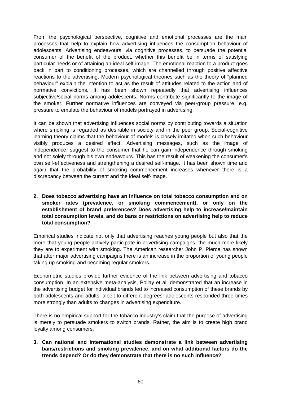From the psychological perspective, cognitive and emotional processes are the main processes that help to explain how advertising influences the consumption behaviour of adolescents. Advertising endeavours, via cognitive processes, to persuade the potential consumer of the benefit of the product, whether this benefit be in terms of satisfying particular needs or of attaining an ideal self-image. The emotional reaction to a product goes back in part to conditioning processes, which are channelled through positive affective reactions to the advertising. Modern psychological theories such as the theory of "planned behaviour" explain the intention to act as the result of attitudes related to the action and of normative convictions. It has been shown repeatedly that advertising influences subjective/social norms among adolescents. Norms contribute significantly to the image of the smoker. Further normative influences are conveyed via peer-group pressure, e.g. pressure to emulate the behaviour of models portrayed in advertising.

It can be shown that advertising influences social norms by contributing towards a situation where smoking is regarded as desirable in society and in the peer group. Social-cognitive learning theory claims that the behaviour of models is closely imitated when such behaviour visibly produces a desired effect. Advertising messages, such as the image of independence, suggest to the consumer that he can gain independence through smoking and not solely through his own endeavours. This has the result of weakening the consumer's own self-effectiveness and strengthening a desired self-image. It has been shown time and again that the probability of smoking commencement increases whenever there is a discrepancy between the current and the ideal self-image.

**2. Does tobacco advertising have an influence on total tobacco consumption and on smoker rates (prevalence, or smoking commencement), or only on the establishment of brand preferences? Does advertising help to increase/maintain total consumption levels, and do bans or restrictions on advertising help to reduce total consumption?** 

Empirical studies indicate not only that advertising reaches young people but also that the more that young people actively participate in advertising campaigns, the much more likely they are to experiment with smoking. The American researcher John P. Pierce has shown that after major advertising campaigns there is an increase in the proportion of young people taking up smoking and becoming regular smokers.

Econometric studies provide further evidence of the link between advertising and tobacco consumption. In an extensive meta-analysis, Pollay et al. demonstrated that an increase in the advertising budget for individual brands led to increased consumption of these brands by both adolescents and adults, albeit to different degrees: adolescents responded three times more strongly than adults to changes in advertising expenditure.

There is no empirical support for the tobacco industry's claim that the purpose of advertising is merely to persuade smokers to switch brands. Rather, the aim is to create high brand loyalty among consumers.

**3. Can national and international studies demonstrate a link between advertising bans/restrictions and smoking prevalence, and on what additional factors do the trends depend? Or do they demonstrate that there is no such influence?**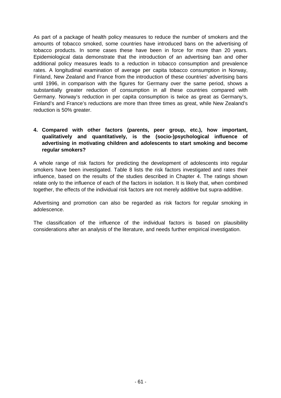As part of a package of health policy measures to reduce the number of smokers and the amounts of tobacco smoked, some countries have introduced bans on the advertising of tobacco products. In some cases these have been in force for more than 20 years. Epidemiological data demonstrate that the introduction of an advertising ban and other additional policy measures leads to a reduction in tobacco consumption and prevalence rates. A longitudinal examination of average per capita tobacco consumption in Norway, Finland, New Zealand and France from the introduction of these countries' advertising bans until 1996, in comparison with the figures for Germany over the same period, shows a substantially greater reduction of consumption in all these countries compared with Germany. Norway's reduction in per capita consumption is twice as great as Germany's, Finland's and France's reductions are more than three times as great, while New Zealand's reduction is 50% greater.

#### **4. Compared with other factors (parents, peer group, etc.), how important, qualitatively and quantitatively, is the (socio-)psychological influence of advertising in motivating children and adolescents to start smoking and become regular smokers?**

A whole range of risk factors for predicting the development of adolescents into regular smokers have been investigated. Table 8 lists the risk factors investigated and rates their influence, based on the results of the studies described in Chapter 4. The ratings shown relate only to the influence of each of the factors in isolation. It is likely that, when combined together, the effects of the individual risk factors are not merely additive but supra-additive.

Advertising and promotion can also be regarded as risk factors for regular smoking in adolescence.

The classification of the influence of the individual factors is based on plausibility considerations after an analysis of the literature, and needs further empirical investigation.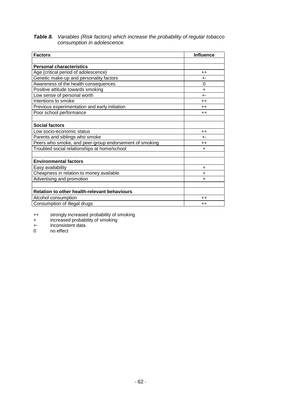#### *Table 8. Variables (Risk factors) which increase the probability of regular tobacco consumption in adolescence.*

| <b>Factors</b>                                         | <b>Influence</b> |
|--------------------------------------------------------|------------------|
|                                                        |                  |
| <b>Personal characteristics</b>                        |                  |
| Age (critical period of adolescence)                   | $^{++}$          |
| Genetic make-up and personality factors                | $+ -$            |
| Awareness of the health consequences                   | 0                |
| Positive attitude towards smoking                      | $\ddot{}$        |
| Low sense of personal worth                            | $+ -$            |
| Intentions to smoke                                    | $++$             |
| Previous experimentation and early initiation          | $++$             |
| Poor school performance                                | $++$             |
|                                                        |                  |
| <b>Social factors</b>                                  |                  |
| Low socio-economic status                              | $++$             |
| Parents and siblings who smoke                         | $+ -$            |
| Peers who smoke, and peer-group endorsement of smoking | $++$             |
| Troubled social relationships at home/school           | $\ddot{}$        |
|                                                        |                  |
| <b>Environmental factors</b>                           |                  |
| Easy availability                                      | ÷                |
| Cheapness in relation to money available               | $\ddot{}$        |
| Advertising and promotion                              | $\ddot{}$        |
|                                                        |                  |
| <b>Relation to other health-relevant behaviours</b>    |                  |
| Alcohol consumption                                    | $++$             |
| Consumption of illegal drugs                           | $++$             |

++ strongly increased probability of smoking

+ increased probability of smoking

+- inconsistent data

no effect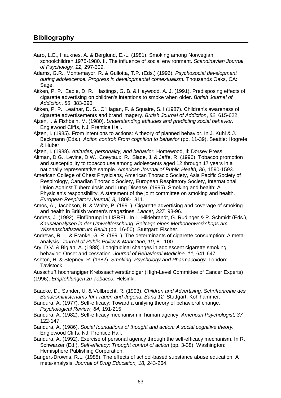# **Bibliography**

- Aarø, L.E., Hauknes, A. & Berglund, E.-L. (1981). Smoking among Norwegian schoolchildren 1975-1980. II. The influence of social environment. *Scandinavian Journal of Psychology, 22,* 297-309.
- Adams, G.R., Montemayor, R. & Gullotta, T.P. (Eds.) (1996). *Psychosocial development during adolescence. Progress in developmental contextualism.* Thousands Oaks, CA: Sage.
- Aitken, P. P., Eadie, D. R., Hastings, G. B. & Haywood, A. J. (1991). Predisposing effects of cigarette advertising on children's intentions to smoke when older. *British Journal of Addiction*, *86*, 383-390.
- Aitken, P. P., Leathar, D. S., O´Hagan, F. & Squaire, S. I (1987). Children's awareness of cigarette advertisements and brand imagery. *British Journal of Addiction*, *82*, 615-622.
- Ajzen, I. & Fishbein, M. (1980). *Understanding attitudes and predicting social behavior.*  Englewood Cliffs, NJ: Prentice Hall.
- Ajzen, I. (1985). From intentions to actions: A theory of planned behavior. In J. Kuhl & J. Beckmann (Eds.), *Action control: From cognition to behavior* (pp. 11-39). Seattle: Hogrefe & Huber.
- Ajzen, I. (1988). *Attitudes, personality, and behavior.* Homewood, Il: Dorsey Press.
- Altman, D.G., Levine, D.W., Coeytaux, R., Slade, J. & Jaffe, R. (1996). Tobacco promotion and susceptibility to tobacco use among adolescents aged 12 through 17 years in a nationally representative sample. *American Journal of Public Health, 86,* 1590-1593.
- American College of Chest Physicians, American Thoracic Society, Asia Pacific Society of Respirology, Canadian Thoracic Society, European Respiratory Society, International Union Against Tuberculosis and Lung Disease. (1995). Smoking and health: A Physician's responsibility. A statement of the joint committee on smoking and health. *European Respiratory Journal, 8,* 1808-1811.
- Amos, A., Jacobson, B. & White, P. (1991). Cigarette advertising and coverage of smoking and health in British women's magazines. *Lancet, 337,* 93-96.
- Andres, J. (1992). Einführung in LISREL. In L. Hildebrandt, G. Rudinger & P. Schmidt (Eds.), *Kausalanalysen in der Umweltforschung: Beiträge eines Methodenworkshops am Wissenschaftszentrum Berlin* (pp. 16-50). Stuttgart: Fischer.
- Andrews, R. L. & Franke, G. R. (1991). The determinants of cigarette consumption: A metaanalysis. *Journal of Public Policy & Marketing*, *10*, 81-100.
- Ary, D.V. & Biglan, A. (1988). Longitudinal changes in adolescent cigarette smoking behavior: Onset and cessation. *Journal of Behavioral Medicine, 11,* 641-647.
- Ashton, H. & Stepney, R. (1982). *Smoking: Psychology and Pharmacology.* London: Tavistock.

Ausschuß hochrangiger Krebssachverständiger (High-Level Committee of Cancer Experts) (1996). *Empfehlungen zu Tobacco.* Helsinki.

- Baacke, D., Sander, U. & Vollbrecht, R. (1993). *Children and Advertising. Schriftenreihe des Bundesministeriums für Frauen and Jugend, Band 12.* Stuttgart: Kohlhammer.
- Bandura, A. (1977). Self-efficacy: Toward a unifying theory of behavioral change. *Psychological Review, 84,* 191-215.
- Bandura, A. (1982). Self-efficacy mechanism in human agency. *American Psychologist, 37,*  122-147.
- Bandura, A. (1986). *Social foundations of thought and action: A social cognitive theory.* Englewood Cliffs, NJ: Prentice Hall.
- Bandura, A. (1992). Exercise of personal agency through the self-efficacy mechanism. In R. Schwarzer (Ed.), *Self-efficacy: Thought control of action* (pp. 3-38). Washington: Hemisphere Publishing Corporation.
- Bangert-Drowns, R.L. (1988). The effects of school-based substance abuse education: A meta-analysis. *Journal of Drug Education, 18,* 243-264.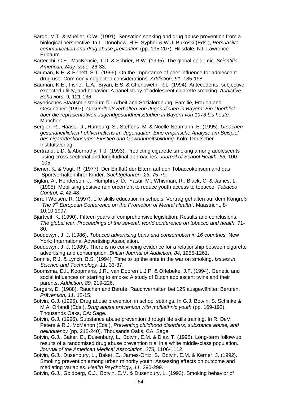- Bardo, M.T. & Mueller, C.W. (1991). Sensation seeking and drug abuse prevention from a biological perspective. In L. Donohew, H.E. Sypher & W.J. Bukoski (Eds.), *Persuasive communication and drug abuse prevention* (pp. 195-207). Hillsdale, NJ: Lawrence Erlbaum.
- Bartecchi, C.E., MacKencie, T.D. & Schrier, R.W. (1995). The global epidemic. *Scientific American, May issue,* 26-33.
- Bauman, K.E. & Ennett, S.T. (1996). On the importance of peer influence for adolescent drug use: Commonly neglected considerations. *Addiction, 91,* 185-198.
- Bauman, K.E., Fisher, L.A., Bryan, E.S. & Chenoweth, R.L. (1994). Antecedents, subjective expected utility, and behavior: A panel study of adolescent cigarette smoking. *Addictive Behaviors, 9,* 121-136.
- Bayerisches Staatsministerium für Arbeit and Sozialordnung, Familie, Frauen and Gesundheit (1997). *Gesundheitsverhalten von Jugendlichen in Bayern: Ein Überblick über die repräsentativen Jugendgesundheitsstudien in Bayern von 1973 bis heute.* München.
- Bergler, R., Haase, D., Humburg, S., Steffens, M. & Noelle-Neumann, E. (1995). *Ursachen gesundheitlichen Fehlverhaltens im Jugendalter: Eine empirische Analyse am Beispiel des cigaretteskonsums: Einstieg and Gewohnheitsbildung.* Köln: Deutscher Institutsverlag.
- Bertrand, L.D. & Abernathy, T.J. (1993). Predicting cigarette smoking among adolescents using cross-sectional and longitudinal approaches. *Journal of School Health, 63,* 100- 105.
- Biener, K. & Vogt, R. (1977). Der Einfluß der Eltern auf den Tobaccokonsum and das Sportverhalten ihrer Kinder. *Suchtgefahren, 23,* 75-79.
- Biglan, A., Henderson, J., Humphrey, D., Yasui, M., Whisman, R., Black, C. & James, L. (1995). Mobilising positive reinforcement to reduce youth access to tobacco. *Tobacco Control, 4,* 42-48.
- Birrell Weisen, R. (1997). Life skills education in schools. Vortrag gehalten auf dem Kongreß *"The 7th European Conference on the Promotion of Mental Health".* Maastricht, 8- 10.10.1997.
- Bjartveit, K. (1990). Fifteen years of comprehensive legislation: Results and conclusions. *The global war. Proceedings of the seventh world conference on tobacco and health*, 71- 80.
- Boddewyn, J. J. (1986). *Tobacco advertising bans and consumption in 16 countries.* New York: International Advertising Association.
- Boddewyn, J. J. (1989). There is no convincing evidence for a relationship between cigarette advertising and consumption. *British Journal of Addiction*, *84*, 1255-1261.
- Bonnie, R.J. & Lynch, B.S. (1994). Time to up the ante in the war on smoking. *Issues in Science and Technology*, *11*, 33-37.
- Boomsma, D.I., Koopmans, J.R., van Dooren L.J.P. & Orlebeke, J.F. (1994). Genetic and social influences on starting to smoke: A study of Dutch adolescent twins and their parents. *Addiction, 89,* 219-226.
- Borgers, D. (1988). Rauchen and Berufe. Rauchverhalten bei 125 ausgewählten Berufen. *Prävention, 11,* 12-15.
- Botvin, G.J. (1995). Drug abuse prevention in school settings. In G.J. Botvin, S. Schinke & M.A. Orlandi (Eds.), *Drug abuse prevention with multiethnic youth* (pp. 169-192). Thousands Oaks, CA: Sage.
- Botvin, G.J. (1996). Substance abuse prevention through life skills training. In R. DeV. Peters & R.J. McMahon (Eds.), *Preventing childhood disorders, substance abuse, and delinquency* (pp. 215-240). Thousands Oaks, CA: Sage.
- Botvin, G.J., Baker, E., Dusenbury, L., Botvin, E.M. & Diaz, T. (1995). Long-term follow-up results of a randomised drug abuse prevention trial in a white middle-class population. *Journal of the American Medical Association, 273,* 1106-1112.
- Botvin, G.J., Dusenbury, L., Baker, E., James-Ortiz, S., Botvin, E.M. & Kerner, J. (1992). Smoking prevention among urban minority youth: Assessing effects on outcome and mediating variables. *Health Psychology, 11,* 290-299.
- Botvin, G.J., Goldberg, C.J., Botvin, E.M. & Dusenbury, L. (1993). Smoking behavior of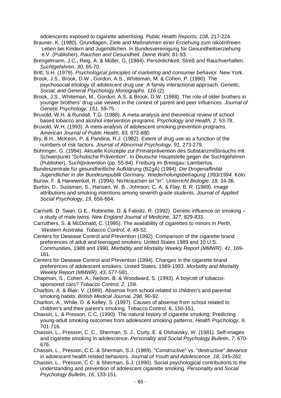adolescents exposed to cigarette advertising. *Public Health Reports*, *108*, 217-224.

- Brauner, K. (1980). Grundlagen, Ziele and Maßnahmen einer Erziehung zum nikotinfreien Leben bei Kindern and Jugendlichen. In Bundesvereinigung für Gesundheitserziehung e.V. (Publisher), *Rauchen and Gesundheit. Deine Wahl,* 81-93.
- Brengelmann, J.C., Reig, A. & Müller, G. (1984). Persönlichkeit, Streß and Rauchverhalten. *Suchtgefahren, 30,* 65-70.

Britt, S.H. (1979). *Psychological principles of marketing and consumer behavior.* New York.

- Brook, J.S., Brook, D.W., Gordon, A.S., Whiteman, M. & Cohen, P. (1990). The psychosocial etiology of adolescent drug use: A family interactional approach. *Genetic, Social, and General Psychology Monographs, 116* (2)*.*
- Brook, J.S., Whiteman, M., Gordon, A.S. & Brook, D.W. (1988). The role of older brothers in younger brothers' drug use viewed in the context of parent and peer influences. *Journal of Genetic Psychology, 151,* 59-75.
- Bruvold, W.H. & Rundall, T.G. (1988). A meta-analysis and theoretical review of school based tobacco and alcohol intervention programs. *Psychology and Health, 2,* 53-78.
- Bruvold, W.H. (1993). A meta-analysis of adolescent smoking prevention programs. *American Journal of Public Health, 83,* 872-880.
- Bry, B.H., McKeon, P. & Pandina, R.J. (1982). Extent of drug use as a function of the numbers of risk factors. *Journal of Abnormal Psychology, 91,* 273-279.
- Bühringer, G. (1994). Aktuelle Konzepte zur Primärprävention des Substanzmißbrauchs mit Schwerpunkt "Schulische Prävention". In Deutsche Hauptstelle gegen die Suchtgefahren (Publisher), *Suchtprävention* (pp. 55-64). Freiburg im Breisgau: Lambertus.

Bundeszentrale für gesundheítliche Aufklärung (BZgA) (1994). *Die Drogenaffinität Jugendlicher in der Bundesrepublik Germany. Wiederholungsbefragung 1993/1994.* Köln.

- Burow, F. & Hanewinkel, R. (1994). Nichtrauchen ist "in". *Unterricht Biologie, 18,* 34-36.
- Burton, D., Sussman, S., Hansen, W. B., Johnson, C. A. & Flay, B. R. (1989). Image attributions and smoking intentions among seventh grade students. *Journal of Applied Social Psychology*, *19*, 656-664.
- Carmelli, D. Swan, G.E., Robinette, D. & Fabsitz, R. (1992). Genetic influence on smoking a study of male twins. *New England Journal of Medicine, 327,* 829-833.
- Carruthers, S. & McDonald, C. (1995). The availability of cigarettes to minors in Perth, Western Australia. *Tobacco Control, 4,* 49-52.
- Centers for Desease Control and Prevention (1992). Comparison of the cigarette brand preferences of adult and teenaged smokers: United States 1989 and 10 U.S. Communities, 1988 and 1990. *Morbidity and Mortality Weekly Report (MMWR)*, *41*, 169- 181.
- Centers for Desease Control and Prevention (1994). Changes in the cigarette brand preferences of adolescent smokers: United States, 1989-1993. *Morbidity and Mortality Weekly Report (MMWR)*, *43*, 577-581.
- Chapman, S., Cohen, A., Nelson, B. & Woodward, S. (1993). A boycott of tobaccosponsored cars? *Tobacco Control, 2,* 159.
- Charlton, A. & Blair, V. (1989). Absense from school related to children's and parental smoking habits. *British Medical Journal, 298,* 90-92.
- Charlton, A., While, D. & Kelley, S. (1997). Causes of absense from school related to children's and their parent's smoking. Tobacco Control, 6, 150-151.
- Chassin, L. & Presson, C.C. (1990). The natural history of cigarette smoking: Predicting young-adult smoking outcomes from adolescent smoking patterns. *Health Psychology, 9,*  701-716.
- Chassin, L., Presson, C. C., Sherman, S. J., Corty, E. & Olshavsky, W. (1981). Self-images and cigarette smoking in adolescence. *Personality and Social Psychology Bulletin*, *7*, 670- 676.
- Chassin, L., Presson, C.C. & Sherman, S.J. (1989). "Constructive" vs. "destructive" deviance in adolescent health related behaviors. *Journal of Youth and Adolescence*, *18*, 245-262.
- Chassin, L., Presson, C.C. & Sherman, S.J. (1990). Social psychological contributions to the understanding and prevention of adolescent cigarette smoking. *Personality and Social Psychology Bulletin*, *16*, 133-151.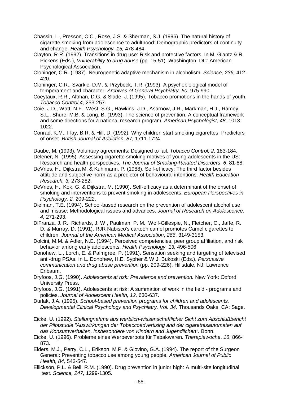- Chassin, L., Presson, C.C., Rose, J.S. & Sherman, S.J. (1996). The natural history of cigarette smoking from adolescence to adulthood: Demographic predictors of continuity and change. *Health Psychology, 15,* 478-484.
- Clayton, R.R. (1992). Transitions in drug use: Risk and protective factors. In M. Glantz & R. Pickens (Eds.), *Vulnerability to drug abuse* (pp. 15-51). Washington, DC: American Psychological Association.
- Cloninger, C.R. (1987). Neurogenetic adaptive mechanism in alcoholism. *Science, 236,* 412- 420.
- Cloninger, C.R., Svarkic, D.M. & Przybeck, T.R. (1993). A psychobiological model of temperament and character. *Archives of General Psychiatry, 50,* 975-990.
- Coeytaux, R.R., Altman, D.G. & Slade, J. (1995). Tobacco promotions in the hands of youth. *Tobacco Control,4,* 253-257.
- Coie, J.D., Watt, N.F., West, S.G., Hawkins, J.D., Asarnow, J.R., Markman, H.J., Ramey, S.L., Shure, M.B. & Long, B. (1993). The science of prevention. A conceptual framework and some directions for a national research program. *American Psychologist, 48,* 1013- 1022.
- Conrad, K.M., Flay, B.R. & Hill, D. (1992). Why children start smoking cigarettes: Predictors of onset. *British Journal of Addiction, 87,* 1711-1724.
- Daube, M. (1993). Voluntary agreements: Designed to fail. *Tobacco Control, 2,* 183-184.
- Delener, N. (1995). Assessing cigarette smoking motives of young adolescents in the US:
- Research and health perspectives. *The Journal of Smoking-Related Disorders*, *6*, 81-88. DeVries, H., Dijkstra M. & Kuhlmann, P. (1988). Self-efficacy: The third factor besides attitude and subjective norm as a predictor of behavioural intentions. *Health Education Research, 3,* 273-282.
- DeVries, H., Kok, G. & Dijkstra, M. (1990). Self-efficacy as a determinant of the onset of smoking and interventions to prevent smoking in adolescents. *European Perspectives in Psychology, 2,* 209-222.
- Dielman, T.E. (1994). School-based research on the prevention of adolescent alcohol use and misuse: Methodological issues and advances. *Journal of Research on Adolescence, 4,* 271-293.
- DiFranza, J. R., Richards, J. W., Paulman, P. M., Wolf-Gillespie, N., Fletcher, C., Jaffe, R. D. & Murray, D. (1991). RJR Nabisco's cartoon camel promotes Camel cigarettes to children. *Journal of the American Medical Association*, *266*, 3149-3153.
- Dolcini, M.M. & Adler, N.E. (1994). Perceived competencies, peer group affiliation, and risk behavior among early adolescents. *Health Psychology, 13,* 496-506.
- Donohew, L., Lorch, E. & Palmgree, P. (1991). Sensation seeking and targeting of televised anti-drug PSAs. In L. Donohew, H.E. Sypher & W.J. Bukoski (Eds.), *Persuasive communication and drug abuse prevention* (pp. 209-226). Hillsdale, NJ: Lawrence Erlbaum.
- Dryfoos, J.G. (1990). *Adolescents at risk: Prevalence and prevention.* New York: Oxford University Press.
- Dryfoos, J.G. (1991). Adolescents at risk: A summation of work in the field programs and policies. *Journal of Adolescent Health, 12,* 630-637.
- Durlak, J.A. (1995). *School-based prevention programs for children and adolescents. Developmental Clinical Psychology and Psychiatry. Vol. 34.* Thousands Oaks, CA: Sage.
- Eicke, U. (1992). *Stellungnahme aus werblich-wissenschaftlicher Sicht zum Abschlußbericht der Pilotstudie "Auswirkungen der Tobaccoadvertising and der cigarettesautomaten auf das Konsumverhalten, insbesondere von Kindern and Jugendlichen".* Bonn.
- Eicke, U. (1996). Probleme eines Werbeverbots für Tabakwaren. *Therapiewoche*, *16*, 866- 873.
- Elders, M.J., Perry, C.L., Erikson, M.P. & Giovino, G.A. (1994). The report of the Surgeon General: Preventing tobacco use among young people. *American Journal of Public Health, 84,* 543-547.
- Ellickson, P.L. & Bell, R.M. (1990). Drug prevention in junior high: A multi-site longitudinal test. *Science, 247,* 1299-1305.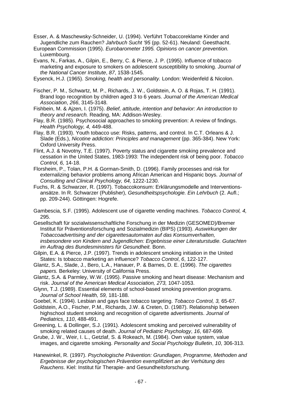Esser, A. & Maschewsky-Schneider, U. (1994). Verführt Tobaccoreklame Kinder and Jugendliche zum Rauchen? *Jahrbuch Sucht '95* (pp. 52-61). Neuland: Geesthacht.

- European Commission (1995). *Eurobarometer 1995. Opinions on cancer prevention.*  Luxembourg.
- Evans, N., Farkas, A., Gilpin, E., Berry, C. & Pierce, J. P. (1995). Influence of tobacco marketing and exposure to smokers on adolescent susceptibility to smoking. *Journal of the National Cancer Institute*, *87*, 1538-1545.

Eysenck, H.J. (1965). *Smoking, health and personality.* London: Weidenfeld & Nicolon.

- Fischer, P. M., Schwartz, M. P., Richards, J. W., Goldstein, A. O. & Rojas, T. H. (1991). Brand logo recognition by children aged 3 to 6 years. *Journal of the American Medical Association*, *266*, 3145-3148.
- Fishbein, M. & Ajzen, I. (1975). *Belief, attitude, intention and behavior: An introduction to theory and research.* Reading, MA: Addison-Wesley.
- Flay, B.R. (1985). Psychosocial approaches to smoking prevention: A review of findings. *Health Psychology, 4,* 449-488.
- Flay, B.R. (1993). Youth tobacco use: Risks, patterns, and control. In C.T. Orleans & J. Slade (Eds.), *Nicotine addiction: Principles and management* (pp. 365-384). New York: Oxford University Press.
- Flint, A.J. & Novotny, T.E. (1997). Poverty status and cigarette smoking prevalence and cessation in the United States, 1983-1993: The independent risk of being poor. *Tobacco Control, 6,* 14-18.
- Florsheim, P., Tolan, P.H. & Gorman-Smith, D. (1996). Family processes and risk for externalizing behavior problems among African American and Hispanic boys. *Journal of Consulting and Clinical Psychology, 64,* 1222-1230.
- Fuchs, R. & Schwarzer, R. (1997). Tobaccokonsum: Erklärungsmodelle and Interventionsansätze. In R. Schwarzer (Publisher), *Gesundheitspsychologie. Ein Lehrbuch* (2. Aufl.; pp. 209-244). Göttingen: Hogrefe.
- Gambescia, S.F. (1995). Adolescent use of cigarette vending machines. *Tobacco Control, 4,* 295.
- Gesellschaft für sozialwissenschaftliche Forschung in der Medizin (GESOMED)/Bremer Institut für Präventionsforschung and Sozialmedizin (BIPS) (1993). *Auswirkungen der Tobaccoadvertising and der cigarettesautomaten auf das Konsumverhalten, insbesondere von Kindern and Jugendlichen: Ergebnisse einer Literaturstudie. Gutachten im Auftrag des Bundesministers für Gesundheit.* Bonn.
- Gilpin, E.A. & Pierce, J.P. (1997). Trends in adolescent smoking initiation in the United States: Is tobacco marketing an influence? *Tobacco Control*, *6*, 122-127.
- Glantz, S.A., Slade, J., Bero, L.A., Hanauer, P. & Barnes, D. E. (1996). *The cigarettes papers.* Berkeley: University of California Press.
- Glantz, S.A. & Parmley, W.W. (1995). Passive smoking and heart disease: Mechanism and risk. *Journal of the American Medical Association, 273,* 1047-1053.
- Glynn, T.J. (1989). Essential elements of school-based smoking prevention programs. *Journal of School Health, 59,* 181-188.
- Goebel, K. (1994). Lesbian and gays face tobacco targeting. *Tobacco Control, 3,* 65-67.
- Goldstein, A.O., Fischer, P.M., Richards, J.W. & Creten, D. (1987). Relationship between highschool student smoking and recognition of cigarette advertisments. *Journal of Pediatrics*, *110*, 488-491.
- Greening, L. & Dollinger, S.J. (1991). Adolescent smoking and perceived vulnerability of smoking related causes of death. *Journal of Pediatric Psychology*, *16*, 687-699.
- Grube, J. W., Weir, I. L., Getzlaf, S. & Rokeach, M. (1984). Own value system, value images, and cigarette smoking. *Personality and Social Psychology Bulletin*, *10*, 306-313.
- Hanewinkel, R. (1997). *Psychologische Prävention: Grundlagen, Programme, Methoden and Ergebnisse der psychologischen Prävention exemplifiziert an der Verhütung des Rauchens*. Kiel: Institut für Therapie- and Gesundheitsforschung.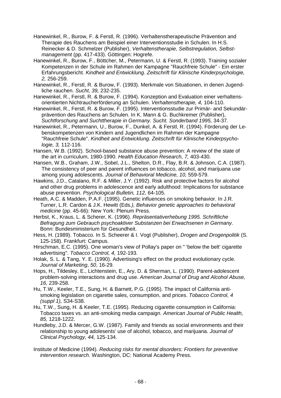- Hanewinkel, R., Burow, F. & Ferstl, R. (1996). Verhaltenstherapeutische Prävention and Therapie des Rauchens am Beispiel einer Interventionsstudie in Schulen. In H.S. Reinecker & D. Schmelzer (Publisher), *Verhaltenstherapie, Selbstregulation, Selbstmanagement* (pp. 417-433). Göttingen: Hogrefe.
- Hanewinkel, R., Burow, F., Böttcher, M., Petermann, U. & Ferstl, R. (1993). Training sozialer Kompetenzen in der Schule im Rahmen der Kampagne "Rauchfreie Schule" - Ein erster Erfahrungsbericht. *Kindheit and Entwicklung. Zeitschrift für Klinische Kinderpsychologie, 2,* 256-259.
- Hanewinkel, R., Ferstl, R. & Burow, F. (1993). Merkmale von Situationen, in denen Jugendliche rauchen. *Sucht, 39,* 232-235.
- Hanewinkel, R., Ferstl, R. & Burow, F. (1994). Konzeption and Evaluation einer verhaltensorientierten Nichtraucherförderung an Schulen. *Verhaltenstherapie, 4,* 104-110.
- Hanewinkel, R., Ferstl, R. & Burow, F. (1995). Interventionsstudie zur Primär- and Sekundärprävention des Rauchens an Schulen. In K. Mann & G. Buchkremer (Publisher), *Suchtforschung and Suchttherapie in Germany. Sucht. Sonderband 1995,* 34-37*.*
- Hanewinkel, R., Petermann, U., Burow, F., Dunkel, A. & Ferstl, R. (1994). Förderung der Lebenskompetenzen von Kindern and Jugendlichen im Rahmen der Kampagne "Rauchfreie Schule". *Kindheit and Entwicklung. Zeitschrift für Klinische Kinderpsychologie, 3,* 112-116.
- Hansen, W.B. (1992). School-based substance abuse prevention: A review of the state of the art in curriculum, 1980-1990. *Health Education Research, 7,* 403-430.
- Hansen, W.B., Graham, J.W., Sobel, J.L., Shelton, D.R., Flay, B.R. & Johnson, C.A. (1987). The consistency of peer and parent influences on tobacco, alcohol, and marijuana use among young adolescents. *Journal of Behavioral Medicine, 10,* 559-579.
- Hawkins, J.D., Catalano, R.F. & Miller, J.Y. (1992). Risk and protective factors for alcohol and other drug problems in adolescence and early adulthood: Implications for substance abuse prevention. *Psychological Bulletin, 112,* 64-105.
- Heath, A.C. & Madden, P.A.F. (1995). Genetic influences on smoking behavior. In J.R. Turner, L.R. Cardon & J.K. Hewitt (Eds*.), Behavior genetic approaches to behavioral medicine* (pp. 45-66): New York: Plenum Press.
- Herbst, K., Kraus, L. & Scherer, K. (1996). *Repräsentativerhebung 1995. Schriftliche Befragung zum Gebrauch psychoaktiver Substanzen bei Erwachsenen in Germany.* Bonn: Bundesministerium für Gesundheit.
- Hess, H. (1989). Tobacco. In S. Scheerer & I. Vogt (Publisher), *Drogen and Drogenpolitik* (S. 125-158). Frankfurt: Campus.
- Hirschman, E.C. (1995). One woman's view of Pollay's paper on " 'below the belt' cigarette advertising". *Tobacco Control, 4,* 192-193.
- Holak, S. L. & Tang, Y. E. (1990). Advertising's effect on the product evolutionary cycle. *Journal of Marketing*, *50*, 16-29.
- Hops, H., Tildesley, E., Lichtenstein, E., Ary, D. & Sherman, L. (1990). Parent-adolescent problem-solving interactions and drug use. *American Journal of Drug and Alcohol Abuse, 16,* 239-258.
- Hu, T.W., Keeler, T.E., Sung, H. & Barnett, P.G. (1995). The impact of California antismoking legislation on cigarette sales, consumption, and prices. *Tobacco Control, 4 (suppl 1),* S34-S38.
- Hu, T.W., Sung, H. & Keeler, T.E. (1995). Reducing cigarette consumption in California: Tobacco taxes vs. an anti-smoking media campaign. *American Journal of Public Health, 85,* 1218-1222.
- Hundleby, J.D. & Mercer, G.W. (1987). Family and friends as social environments and their relationship to young adolesents' use of alcohol, tobacco, and marijuana. *Journal of Clinical Psychology, 44,* 125-134.
- Institute of Medicine (1994). *Reducing risks for mental disorders: Frontiers for preventive intervention research.* Washington, DC: National Academy Press.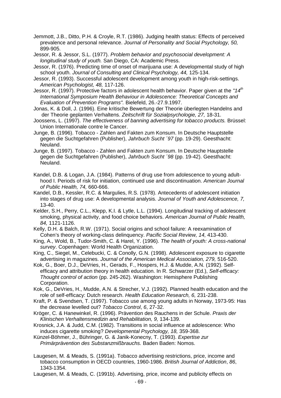- Jemmott, J.B., Ditto, P.H. & Croyle, R.T. (1986). Judging health status: Effects of perceived prevalence and personal relevance. *Journal of Personality and Social Psychology, 50,*  899-905.
- Jessor, R. & Jessor, S.L. (1977). *Problem behavior and psychosocial development: A longitudinal study of youth.* San Diego, CA: Academic Press.
- Jessor, R. (1976). Predicting time of onset of marijuana use: A developmental study of high school youth. *Journal of Consulting and Clinical Psychology, 44,* 125-134.
- Jessor, R. (1993). Successful adolescent development among youth in high-risk-settings. *American Psychologist, 48,* 117-126.
- Jessor, R. (1997). Protective factors in adolescent health behavior. Paper given at the *"14th International Symposium Health Behaviour in Adolescence: Theoretical Concepts and Evaluation of Prevention Programs".* Bielefeld, 26.-27.9.1997.
- Jonas, K. & Doll, J. (1996). Eine kritische Bewertung der Theorie überlegten Handelns and der Theorie geplanten Verhaltens. *Zeitschrift für Sozialpsychologie, 27,* 18-31.
- Joossens, L. (1997). *The effectiveness of banning advertising for tobacco products.* Brüssel: Union Internationale contre le Cancer.
- Junge, B. (1996). Tobacco Zahlen and Fakten zum Konsum. In Deutsche Hauptstelle gegen die Suchtgefahren (Publisher), *Jahrbuch Sucht ´97* (pp. 19-29). Geesthacht: Neuland.
- Junge, B. (1997). Tobacco Zahlen and Fakten zum Konsum. In Deutsche Hauptstelle gegen die Suchtgefahren (Publisher), *Jahrbuch Sucht ´98* (pp. 19-42). Geesthacht: Neuland.
- Kandel, D.B. & Logan, J.A. (1984). Patterns of drug use from adolescence to young adulthood I. Periods of risk for initiation, continued use and discontinuation. *American Journal of Public Health, 74,* 660-666.
- Kandel, D.B., Kessler, R.C. & Margulies, R.S. (1978). Antecedents of adolescent initiation into stages of drug use: A developmental analysis. *Journal of Youth and Adolescence, 7,*  13-40.
- Kelder, S.H., Perry, C.L., Klepp, K.I. & Lytle, L.L. (1994). Longitudinal tracking of adolescent smoking, physical activity, and food choice behaviors. *American Journal of Public Health, 84,* 1121-1126.
- Kelly, D.H. & Balch, R.W. (1971). Social origins and school failure: A reexamination of Cohen's theory of working-class delinquency. *Pacific Social Review, 14,* 413-430.
- King, A., Wold, B., Tudor-Smith, C. & Harel, Y. (1996). *The health of youth: A cross-national survey*. Copenhagen: World Health Organization.
- King, C., Siegel, M., Celebucki, C. & Conolly, G.N. (1998). Adolescent exposure to cigarette advertising in magazines. *Journal of the American Medical Association, 279,* 516-520.
- Kok, G., Boer, D.J., DeVries, H., Gerads, F., Hospers, H.J. & Mudde, A.N. (1992). Selfefficacy and attribution theory in health education. In R. Schwarzer (Ed.), *Self-efficacy: Thought control of action* (pp. 245-262). Washington: Hemisphere Publishing Corporation.
- Kok, G., DeVries, H., Mudde, A.N. & Strecher, V.J. (1992). Planned health education and the role of self-efficacy: Dutch research. *Health Education Research, 6,* 231-238.
- Kraft, P. & Svendsen, T. (1997). Tobacco use among young adults in Norway, 1973-95: Has the decrease levelled out? *Tobacco Control*, *6*, 27-32.
- Kröger, C. & Hanewinkel, R. (1996). Prävention des Rauchens in der Schule. *Praxis der Klinischen Verhaltensmedizin and Rehabilitation, 9,* 134-139.
- Krosnick, J.A. & Judd, C.M. (1982). Transitions in social influence at adolescence: Who induces cigarette smoking? *Developmental Psychology, 18,* 359-368.
- Künzel-Böhmer, J., Bühringer, G. & Janik-Konecny, T. (1993). *Expertise zur Primärprävention des Substanzmißbrauchs.* Baden Baden: Nomos.
- Laugesen, M. & Meads, S. (1991a). Tobacco advertising restrictions, price, income and tobacco consumption in OECD countries, 1960-1986. *British Journal of Addiction*, *86*, 1343-1354.
- Laugesen, M. & Meads, C. (1991b). Advertising, price, income and publicity effects on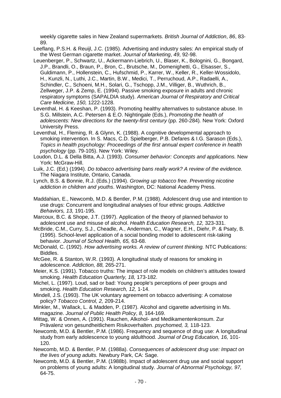weekly cigarette sales in New Zealand supermarkets. *British Journal of Addiction*, *86*, 83- 89.

Leeflang, P.S.H. & Reuijl, J.C. (1985). Advertising and industry sales: An empirical study of the West German cigarette market. *Journal of Marketing*, *49*, 92-98.

- Leuenberger, P., Schwartz, U., Ackermann-Liebrich, U., Blaser, K., Bolognini, G., Bongard, J.P., Brandli, O., Braun, P., Bron, C., Brutsche, M., Domenighetti, G., Elsasser, S., Guldimann, P., Hollenstein, C., Hufschmid, P., Karrer, W., Keller, R., Keller-Wossidolo, H., Kunzli, N., Luthi, J.C., Martin, B.W., Medici, T., Perruchoud, A.P., Radaelli, A., Schindler, C., Schoeni, M.H., Solari, G., Tschopp, J.M., Villiger, B., Wuthrich, B., Zellweger, J.P. & Zemp, E. (1994). Passive smoking exposure in adults and chronic respiratory symptoms (SAPALDIA study). *American Journal of Respiratory and Critical Care Medicine, 150,* 1222-1228.
- Leventhal, H. & Keeshan, P. (1993). Promoting healthy alternatives to substance abuse. In S.G. Millstein, A.C. Petersen & E.O. Nightingale (Eds.), *Promoting the health of adolescents: New directions for the twenty-first century* (pp. 260-284)*.* New York: Oxford University Press.

Leventhal, H., Fleming, R. & Glynn, K. (1988). A cognitive developmental approach to smoking intervention. In S. Macs, C.D. Spielberger, P.B. Defares & I.G. Sarason (Eds.), *Topics in health psychology: Proceedings of the first annual expert conference in health psychology* (pp. 79-105). New York: Wiley.

Loudon, D.L. & Della Bitta, A.J. (1993). *Consumer behavior: Concepts and applications.* New York: McGraw-Hill.

Luik, J.C. (Ed.) (1994). *Do tobacco advertising bans really work? A review of the evidence.*  The Niagara Institute, Ontario, Canada.

Lynch, B.S. & Bonnie, R.J. (Eds.) (1994). *Growing up tobacco free. Preventing nicotine addiction in children and youths*. Washington, DC: National Academy Press.

Maddahian, E., Newcomb, M.D. & Bentler, P.M. (1988). Adolescent drug use and intention to use drugs: Concurrent and longitudinal analyses of four ethnic groups. *Addictive Behaviors, 13,* 191-195.

Marcoux, B.C. & Shope, J.T. (1997). Application of the theory of planned behavior to adolescent use and misuse of alcohol. *Health Education Research, 12,* 323-331.

McBride, C.M., Curry, S.J., Cheadle, A., Anderman, C., Wagner, E.H., Diehr, P. & Psaty, B. (1995). School-level application of a social bonding model to adolescent risk-taking behavior. *Journal of School Health, 65,* 63-68.

McDonald, C. (1992). *How advertising works. A review of current thinking.* NTC Publications: Biddles.

McGee, R. & Stanton, W.R. (1993). A longitudinal study of reasons for smoking in adolescence. *Addiction, 88,* 265-271.

Meier, K.S. (1991). Tobacco truths: The impact of role models on children's attitudes toward smoking. *Health Education Quarterly, 18,* 173-182.

Michel, L. (1997). Loud, sad or bad: Young people's perceptions of peer groups and smoking. *Health Education Research, 12,* 1-14.

Mindell, J.S. (1993). The UK voluntary agreement on tobacco advertising: A comatose policy? *Tobacco Control, 2,* 209-214.

Minkler, M., Wallack, L. & Madden, P. (1987). Alcohol and cigarette advertising in Ms. magazine. *Journal of Public Health Policy*, *8*, 164-169.

Mittag, W. & Onnen, A. (1991). Rauchen, Alkohol- and Medikamentenkonsum. Zur Prävalenz von gesundheitlichem Risikoverhalten. *psychomed, 3,* 118-123.

Newcomb, M.D. & Bentler, P.M. (1986). Frequency and sequence of drug use: A longitudinal study from early adolescence to young aldulthood. *Journal of Drug Education, 16,* 101- 120.

Newcomb, M.D. & Bentler, P.M. (1988a). *Consequences of adolescent drug use: Impact on the lives of young adults.* Newbury Park, CA: Sage.

Newcomb, M.D. & Bentler, P.M. (1988b). Impact of adolescent drug use and social support on problems of young adults: A longitudinal study. *Journal of Abnormal Psychology, 97,* 64-75.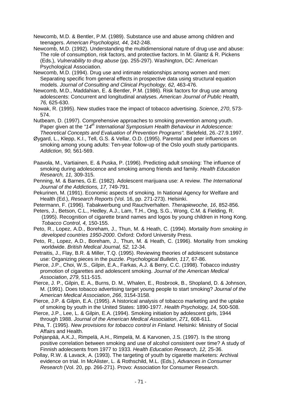Newcomb, M.D. & Bentler, P.M. (1989). Substance use and abuse among children and teenagers. *American Psychologist, 44,* 242-248.

- Newcomb, M.D. (1992). Understanding the multidimensional nature of drug use and abuse: The role of consumption, risk factors, and protective factors. In M. Glantz & R. Pickens (Eds.), *Vulnerability to drug abuse* (pp. 255-297). Washington, DC: American Psychological Association.
- Newcomb, M.D. (1994). Drug use and intimate relationships among women and men: Separating specific from general effects in prospective data using structural equation models. *Journal of Consulting and Clinical Psychology, 62,* 463-476.
- Newcomb, M.D., Maddahian, E. & Bentler, P.M. (1986). Risk factors for drug use among adolescents: Concurrent and longitudinal analyses. *American Journal of Public Health, 76,* 625-630.
- Nowak, R. (1995). New studies trace the impact of tobacco advertising. *Science*, *270*, 573- 574.
- Nutbeam, D. (1997). Comprehensive approaches to smoking prevention among youth. Paper given at the "14<sup>th</sup> International Symposium Health Behaviour in Adolescence: *Theoretical Concepts and Evaluation of Prevention Programs".* Bielefeld, 26.-27.9.1997.
- Øygard, L., Klepp, K.I., Tell, G.S. & Vellar, O.D. (1995). Parental and peer influences on smoking among young adults: Ten-year follow-up of the Oslo youth study participants. *Addiction, 90,* 561-569.
- Paavola, M., Vartiainen, E. & Puska, P. (1996). Predicting adult smoking: The influence of smoking during adolescence and smoking among friends and family. *Health Education Research, 11,* 309-315.
- Penning, M. & Barnes, G.E. (1982). Adolescent marijuana use: A review. *The International Journal of the Addictions, 17,* 749-791.
- Pekurinen, M. (1991). Economic aspects of smoking. In National Agency for Welfare and Health (Ed.), *Research Reports* (Vol. 16, pp. 271-273). Helsinki.
- Petermann, F. (1996). Tabakwerbung und Rauchverhalten. *Therapiewoche*, *16*, 852-856.
- Peters, J., Betson, C.L., Hedley, A.J., Lam, T.H., Ong, S.G., Wong, C.M. & Fielding, R. (1995). Recognition of cigarette brand names and logos by young children in Hong Kong. *Tobacco Control, 4,* 150-155.
- Peto, R., Lopez, A.D., Boreham, J., Thun, M. & Heath, C. (1994). *Mortality from smoking in developed countries 1950-2000*. Oxford: Oxford University Press.
- Peto, R., Lopez, A.D., Boreham, J., Thun, M. & Heath, C. (1996). Mortality from smoking worldwide. *British Medical Journal, 52,* 12-34.
- Petraitis, J., Flay, B.R. & Miller, T.Q. (1995). Reviewing theories of adolescent substance use: Organizing pieces in the puzzle. *Psychological Bulletin, 117,* 67-86.
- Pierce, J.P., Choi, W.S., Gilpin, E.A., Farkas, A.J. & Berry, C.C. (1998). Tobacco industry promotion of cigarettes and adolescent smoking. *Journal of the American Medical Association*, *279*, 511-515.
- Pierce, J. P., Gilpin, E. A., Burns, D. M., Whalen, E., Rosbrook, B., Shopland, D. & Johnson, M. (1991). Does tobacco advertising target young people to start smoking? *Journal of the American Medical Association*, *266*, 3154-3158.
- Pierce, J.P. & Gilpin, E.A. (1995). A historical analysis of tobacco marketing and the uptake of smoking by youth in the United States: 1890-1977. *Health Psychology, 14,* 500-508.
- Pierce, J.P., Lee, L. & Gilpin, E.A. (1994). Smoking initiation by adolescent girls, 1944 through 1988. *Journal of the American Medical Association*, *271*, 608-611.
- Piha, T. (1995). *New provisions for tobacco control in Finland.* Helsinki: Ministry of Social Affairs and Health.
- Pohjanpää, A.K.J., Rimpelä, A.H., Rimpelä, M. & Karvonen, J.S. (1997). Is the strong positive correlation between smoking and use of alcohol consistent over time? A study of Finnish adolecsents from 1977 to 1933. *Health Education Research, 12,* 25-36.
- Pollay, R.W. & Lavack, A. (1993). The targeting of youth by cigarette marketers: Archival evidence on trial. In McAlister, L. & Rothschild, M.L. (Eds.), *Advances in Consumer Research* (Vol. 20, pp. 266-271). Provo: Association for Consumer Research.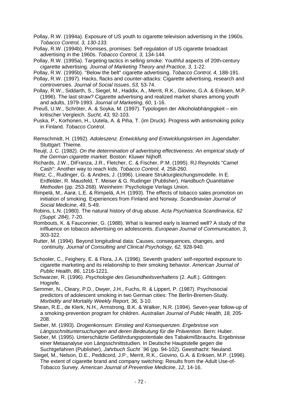Pollay, R.W. (1994a). Exposure of US youth to cigarette television advertising in the 1960s. *Tobacco Control, 3, 130-133.*

Pollay, R.W. (1994b). Promises, promises: Self-regulation of US cigarette broadcast advertising in the 1960s. *Tobacco Control, 3,* 134-144.

Pollay, R.W. (1995a). Targeting tactics in selling smoke: Youthful aspects of 20th-century cigarette advertising. *Journal of Marketing Theory and Practice*, *3*, 1-22.

Pollay, R.W. (1995b). "Below the belt" cigarette advertising. *Tobacco Control, 4,* 188-191.

Pollay, R.W. (1997). Hacks, flacks and counter-attacks: Cigarette advertising, research and controversies. *Journal of Social Issues*, *53*, 53-74.

Pollay, R.W., Siddarth, S., Siegel, M., Haddix, A., Merrit, R.K., Giovino, G.A. & Eriksen, M.P. (1996). The last straw? Cigarette advertising and realized market shares among youth and adults, 1979-1993. *Journal of Marketing*, *60*, 1-16.

Preuß, U.W., Schröter, A. & Soyka, M. (1997). Typologien der Alkoholabhängigkeit – ein kritischer Vergleich. *Sucht, 43,* 92-103.

Puska, P., Korhonen, H., Uutela, A. & Piha, T. (im Druck). Progress with antismoking policy in Finland. *Tobacco Control*.

Remschmidt, H. (1992). *Adoleszenz. Entwicklung and Entwicklungskrisen im Jugendalter.*  Stuttgart: Thieme.

Reuijl, J. C. (1982). *On the determination of advertising effectiveness: An empirical study of the German cigarette market.* Boston: Kluwer Nijhoff.

Richards, J.W., DiFranza, J.R., Fletcher, C. & Fischer, P.M. (1995). RJ Reynolds "Camel Cash": Another way to reach kids. *Tobacco Control, 4,* 258-260.

Rietz, C., Rudinger, G. & Andres, J. (1996). Lineare Strukturgleichungsmodelle. In E. Erdfelder, R. Mausfeld, T. Meiser & G. Rudinger (Publisher), *Handbuch Quantitative Methoden* (pp. 253-268). Weinheim: Psychologie Verlags Union.

Rimpelä, M., Aarø, L.E. & Rimpelä, A.H. (1993). The effects of tobacco sales promotion on initiation of smoking. Experiences from Finland and Norway. *Scandinavian Journal of Social Medicine*, *49*, 5-49.

Robins, L.N. (1980). The natural history of drug abuse. *Acta Psychiatrica Scandinavica, 62 (Suppl. 284),* 7-20.

Rombouts, K. & Fauconnier, G. (1988). What is learned early is learned well? A study of the inflluence on tobacco advertising on adolescents. *European Journal of Communication*, *3*, 303-322.

Rutter, M. (1994). Beyond longitudinal data: Causes, consequences, changes, and continuity. *Journal of Consulting and Clinical Psychology, 62,* 928-940.

Schooler, C., Feighery, E. & Flora, J.A. (1996). Seventh graders' self-reported exposure to cigarette marketing and its relationship to their smoking behavior. *American Journal of Public Health*, *86*, 1216-1221.

Schwarzer, R. (1996). *Psychologie des Gesundheitsverhaltens* (2. Aufl.). Göttingen: Hogrefe.

Semmer, N., Cleary, P.D., Dwyer, J.H., Fuchs, R. & Lippert, P. (1987). Psychosocial predictors of adolescent smoking in two German cities: The Berlin-Bremen-Study. *Morbidity and Mortality Weekly Report, 36,* 3-10.

Shean, R.E., de Klerk, N.H., Armstrong, B.K. & Walker, N.R. (1994). Seven-year follow-up of a smoking-prevention program for children. *Australian Journal of Public Health, 18,* 205- 208.

Sieber, M. (1993). *Drogenkonsum: Einstieg and Konsequenzen. Ergebnisse von Längsschnittuntersuchungen and deren Bedeutung für die Prävention.* Bern: Huber.

Sieber, M. (1995). Unterschätzte Gefährdungspotentiale des Tabakmißbrauchs. Ergebnisse einer Metaanalyse von Längsschnittstudien. In Deutsche Hauptstelle gegen die Suchtgefahren (Publisher), *Jahrbuch Sucht ´96* (pp. 94-102). Geesthacht: Neuland.

Siegel, M., Nelson, D.E., Peddicord, J.P., Merrit, R.K., Giovino, G.A. & Eriksen, M.P. (1996). The extent of cigarette brand and company switching: Results from the Adult Use-of-Tobacco Survey. *American Journal of Preventive Medicine*, *12*, 14-16.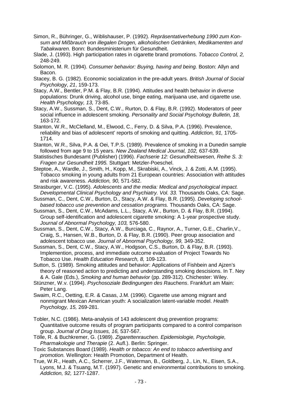- Simon, R., Bühringer, G., Wiblishauser, P. (1992). *Repräsentativerhebung 1990 zum Konsum and Mißbrauch von illegalen Drogen, alkoholischen Getränken, Medikamenten and Tabakwaren.* Bonn: Bundesministerium für Gesundheit.
- Slade, J. (1993). High participation rates in cigarette brand promotions. *Tobacco Control, 2,* 248-249.
- Solomon, M. R. (1994). *Consumer behavior: Buying, having and being.* Boston: Allyn and Bacon.
- Stacey, B. G. (1982). Economic socialization in the pre-adult years. *British Journal of Social Psychology*, *21*, 159-173.
- Stacy, A.W., Bentler, P.M. & Flay, B.R. (1994). Attitudes and health behavior in diverse populations: Drunk driving, alcohol use, binge eating, marijuana use, and cigarette use. *Health Psychology, 13,* 73-85.
- Stacy, A.W., Sussman, S., Dent, C.W., Rurton, D. & Flay, B.R. (1992). Moderators of peer social influence in adolescent smoking. *Personality and Social Psychology Bulletin, 18,*  163-172.
- Stanton, W.R., McClelland, M., Elwood, C., Ferry, D. & Silva, P.A. (1996). Prevalence, reliability and bias of adolescent' reports of smoking and quitting. *Addiction, 91,* 1705- 1714.
- Stanton, W.R., Silva, P.A. & Oei, T.P.S. (1989). Prevalence of smoking in a Dunedin sample followed from age 9 to 15 years. *New Zealand Medical Journal, 102,* 637-639.
- Statistisches Bundesamt (Publisher) (1996). *Fachserie 12: Gesundheitswesen, Reihe S. 3: Fragen zur Gesundheit 1995.* Stuttgart: Metzler-Poeschel.
- Steptoe, A., Wardle, J., Smith, H., Kopp, M., Skrabiski, A., Vinck, J. & Zotti, A.M. (1995). Tobacco smoking in young adults from 21 European countries: Association with attitudes and risk awareness. *Addiction, 90,* 571-582.
- Strasburger, V.C. (1995). *Adolescents and the media: Medical and psychological impact. Developmental Clinical Psychology and Psychiatry. Vol. 33.* Thousands Oaks, CA: Sage.
- Sussman, C., Dent, C.W., Burton, D., Stacy, A.W. & Flay, B.R. (1995). *Developing schoolbased tobacco use prevention and cessation programs.* Thousands Oaks, CA: Sage.
- Sussman, S., Dent, C.W., McAdams, L.L., Stacy, A.W., Burton, D. & Flay, B.R. (1994). Group self-identification and adolescent cigarette smoking: A 1-year prospective study. *Journal of Abnormal Psychology, 103,* 576-580.
- Sussman, S., Dent, C.W., Stacy, A.W., Burciaga, C., Raynor, A., Turner, G.E., Charlin,V., Craig, S., Hansen, W.B., Burton, D. & Flay, B.R. (1990). Peer group association and adolescent tobacco use. *Journal of Abnormal Psychology, 99,* 349-352.
- Sussman, S., Dent, C.W., Stacy, A.W., Hodgson, C.S., Burton, D. & Flay, B.R. (1993). Implemention, process, and immediate outcome evaluation of Project Towards No Tobacco Use. *Health Education Research, 8,* 109-123.
- Sutton, S. (1989). Smoking attitudes and behavior: Applications of Fishbein and Ajzen's theory of reasoned action to predicting and understanding smoking descisions. In T. Ney & A. Gale (Eds.), *Smoking and human behavior* (pp. 289-312). Chichester: Wiley.
- Stünzner, W.v. (1994). *Psychosoziale Bedingungen des Rauchens*. Frankfurt am Main: Peter Lang.
- Swaim, R.C., Oetting, E.R. & Casas, J.M. (1996). Cigarette use among migrant and nonmigrant Mexican American youth: A socialization latent-variable model. *Health Psychology, 15,* 269-281.
- Tobler, N.C. (1986). Meta-analysis of 143 adolescent drug prevention programs: Quantitative outcome results of program participants compared to a control comparison group. *Journal of Drug Issues, 16,* 537-567.
- Tölle, R. & Buchkremer, G. (1989). *Zigarettenrauchen. Epidemiologie, Psychologie, Pharmakologie und Therapie* (2. Aufl.). Berlin: Springer.
- Toxic Substances Board (1989). *Health or tobacco: An end to tobacco advertising and promotion.* Wellington: Health Promotion, Department of Health.
- True, W.R., Heath, A.C., Scherrer, J.F., Waterman, B., Goldberg, J., Lin, N., Eisen, S.A., Lyons, M.J. & Tsuang, M.T. (1997). Genetic and environmental contributions to smoking. *Addiction, 92,* 1277-1287.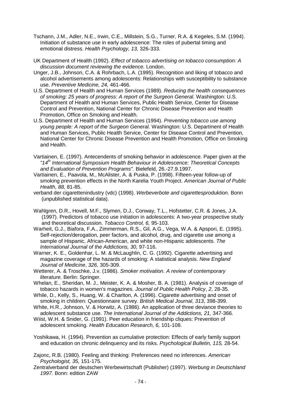- Tschann, J.M., Adler, N.E., Irwin, C.E., Millstein, S.G., Turner, R.A. & Kegeles, S.M. (1994). Initiation of substance use in early adolescence: The roles of pubertal timing and emotional distress. *Health Psychology, 13,* 326-333.
- UK Department of Health (1992). *Effect of tobacco advertising on tobacco consumption: A discussion document reviewing the evidence.* London.
- Unger, J.B., Johnson, C.A. & Rohrbach, L.A. (1995). Recognition and liking of tobacco and alcohol advertisements among adolescents: Relationships with susceptibility to substance use. *Preventive Medicine, 24,* 461-466.
- U.S. Department of Health and Human Services (1989). *Reducing the health consequences of smoking: 25 years of progress: A report of the Surgeon General.* Washington: U.S. Department of Health and Human Services, Public Health Service, Center for Disease Control and Prevention, National Center for Chronic Disease Prevention and Health Promotion, Office on Smoking and Health.
- U.S. Department of Health and Human Services (1994). *Preventing tobacco use among young people: A report of the Surgeon General.* Washington: U.S. Department of Health and Human Services, Public Health Service, Center for Disease Control and Prevention, National Center for Chronic Disease Prevention and Health Promotion, Office on Smoking and Health.
- Vartiainen, E. (1997). Antecendents of smoking behavior in adolescence. Paper given at the *"14th International Symposium Health Behaviour in Adolescence: Theoretical Concepts and Evaluation of Prevention Programs".* Bielefeld, 26.-27.9.1997.
- Vartiainen, E., Paavola, M., McAlister, A. & Puska, P. (1998). Fifteen-year follow-up of smoking prevention effects in the North Karelia Youth Project. *American Journal of Public Health, 88,* 81-85.
- verband der cigarettenindustry (vdc) (1998). *Werbeverbote and cigarettesproduktion*. Bonn (unpublished statistical data).
- Wahlgren, D.R., Hovell, M.F., Slymen, D.J., Conway, T.L., Hofstetter, C.R. & Jones, J.A. (1997). Predictors of tobacco use initiation in adolescents: A two-year prospective study and theoretical discussion. *Tobacco Control, 6,* 95-103.
- Warheit, G.J., Biafora, F.A., Zimmerman, R.S., Gil, A.G., Vega, W.A. & Apspori, E. (1995). Self-rejection/derogation, peer factors, and alcohol, drug, and cigarette use among a sample of Hispanic, African-American, and white non-Hispanic adolescents. *The International Journal of the Addictions, 30,* 97-116.
- Warner, K. E., Goldenhar, L. M. & McLaughlin, C. G. (1992). Cigarette advertising and magazine coverage of the hazards of smoking: A statistical analysis. *New England Journal of Medicine*, *326*, 305-309.
- Wetterer, A. & Troschke, J.v. (1986). *Smoker motivation. A review of contemporary literature.* Berlin: Springer.
- Whelan, E., Sheridan, M. J., Meister, K. A. & Mosher, B. A. (1981). Analysis of coverage of tobacco hazards in women's magazines. *Journal of Public Health Policy*, *2*, 28-35.
- While, D., Kelly, S., Huang, W. & Charlton, A. (1996). Cigarette advertising and onset of smoking in children: Questionnaire survey. *British Medical Journal*, *313*, 398-399.
- White, H.R., Johnson, V. & Horwitz, A. (1986). An application of three deviance theories to adolescent substance use. *The International Journal of the Addictions, 21,* 347-366.
- Wiist, W.H. & Snider, G. (1991). Peer education in friendship cliques: Prevention of adolescent smoking. *Health Education Research, 6,* 101-108.
- Yoshikawa, H. (1994). Prevention as cumulative protection: Effects of early family support and education on chronic delinquency and its risks. *Psychological Bulletin, 115,* 28-54.
- Zajonc, R.B. (1980). Feeling and thinking: Preferences need no inferences. *American Psychologist, 35,* 151-175.
- Zentralverband der deutschen Werbewirtschaft (Publisher) (1997). *Werbung in Deutschland 1997.* Bonn: edition ZAW